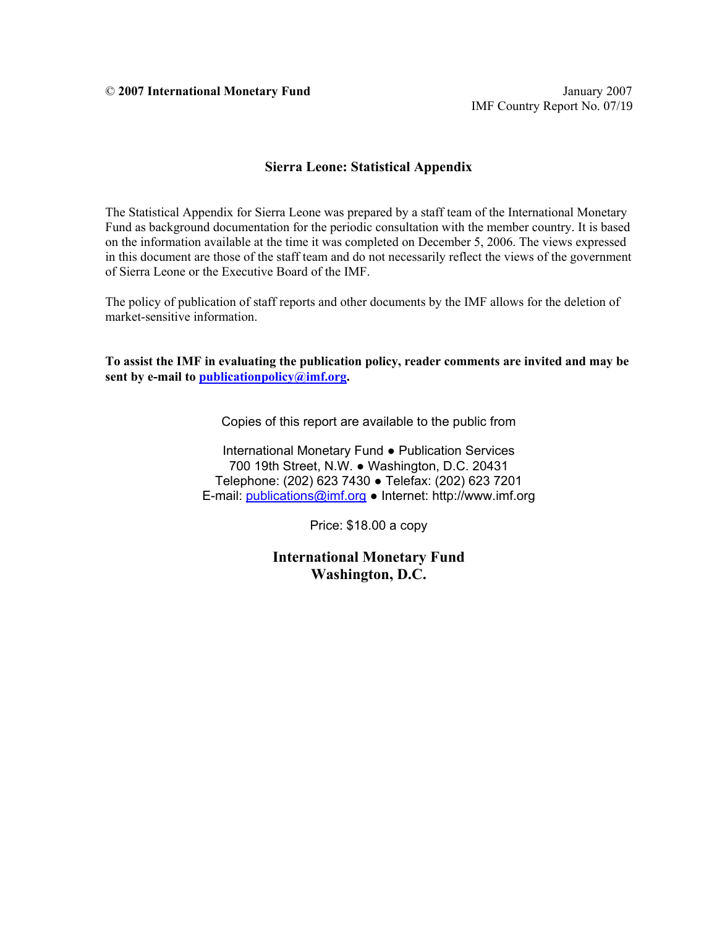## **Sierra Leone: Statistical Appendix**

The Statistical Appendix for Sierra Leone was prepared by a staff team of the International Monetary Fund as background documentation for the periodic consultation with the member country. It is based on the information available at the time it was completed on December 5, 2006. The views expressed in this document are those of the staff team and do not necessarily reflect the views of the government of Sierra Leone or the Executive Board of the IMF.

The policy of publication of staff reports and other documents by the IMF allows for the deletion of market-sensitive information.

**To assist the IMF in evaluating the publication policy, reader comments are invited and may be sent by e-mail to publicationpolicy@imf.org.** 

Copies of this report are available to the public from

International Monetary Fund ● Publication Services 700 19th Street, N.W. ● Washington, D.C. 20431 Telephone: (202) 623 7430 ● Telefax: (202) 623 7201 E-mail: publications@imf.org ● Internet: http://www.imf.org

Price: \$18.00 a copy

**International Monetary Fund Washington, D.C.**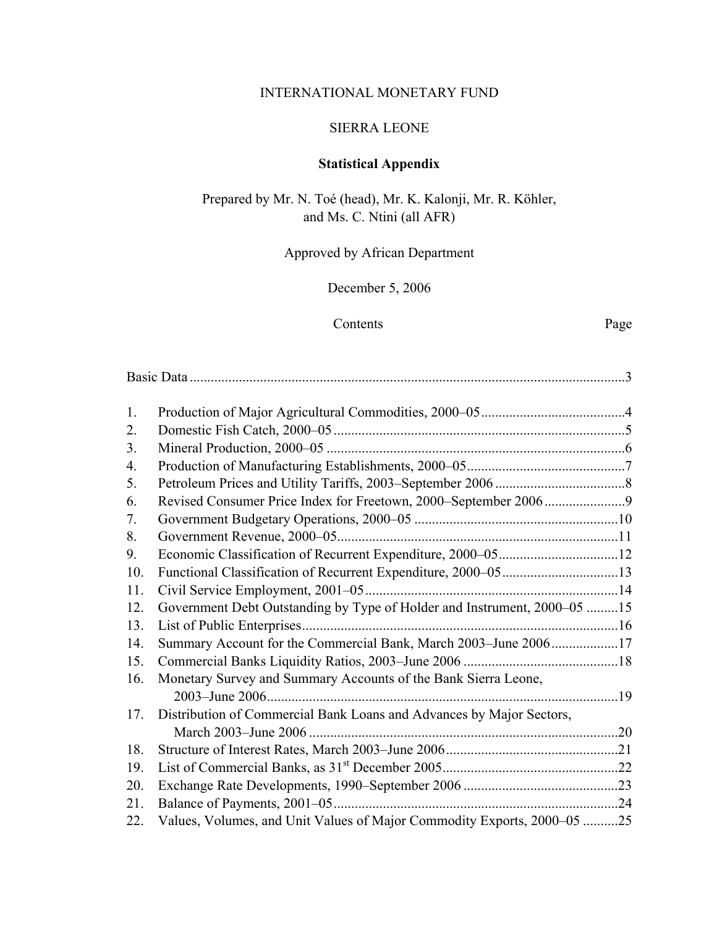## INTERNATIONAL MONETARY FUND

## SIERRA LEONE

# **Statistical Appendix**

Prepared by Mr. N. Toé (head), Mr. K. Kalonji, Mr. R. Köhler, and Ms. C. Ntini (all AFR)

## Approved by African Department

## December 5, 2006

## Contents Page

| 1.             |                                                                          |  |
|----------------|--------------------------------------------------------------------------|--|
| 2.             |                                                                          |  |
| 3 <sub>1</sub> |                                                                          |  |
| 4.             |                                                                          |  |
| 5.             |                                                                          |  |
| 6.             |                                                                          |  |
| 7.             |                                                                          |  |
| 8.             |                                                                          |  |
| 9.             |                                                                          |  |
| 10.            |                                                                          |  |
| 11.            |                                                                          |  |
| 12.            | Government Debt Outstanding by Type of Holder and Instrument, 2000–05 15 |  |
| 13.            |                                                                          |  |
| 14.            | Summary Account for the Commercial Bank, March 2003-June 200617          |  |
| 15.            |                                                                          |  |
| 16.            | Monetary Survey and Summary Accounts of the Bank Sierra Leone,           |  |
|                |                                                                          |  |
| 17.            | Distribution of Commercial Bank Loans and Advances by Major Sectors,     |  |
|                |                                                                          |  |
| 18.            |                                                                          |  |
| 19.            |                                                                          |  |
| 20.            |                                                                          |  |
| 21.            |                                                                          |  |
| 22.            | Values, Volumes, and Unit Values of Major Commodity Exports, 2000-05 25  |  |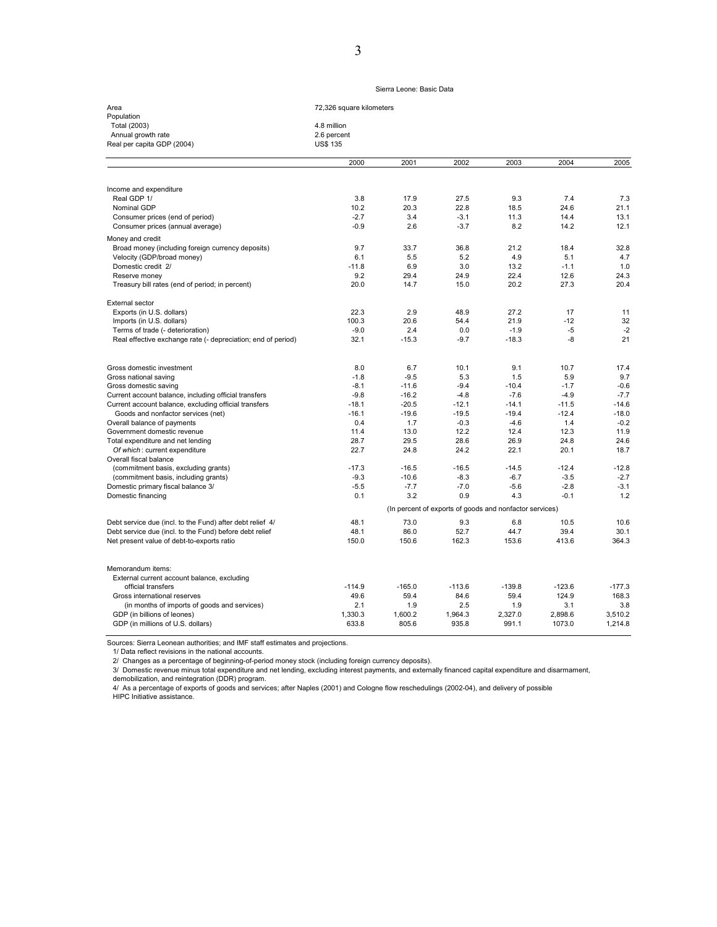### Sierra Leone: Basic Data

| Area                       | 72,326 square kilometers |
|----------------------------|--------------------------|
| Population                 |                          |
| Total (2003)               | 4.8 million              |
| Annual growth rate         | 2.6 percent              |
| Real per capita GDP (2004) | <b>US\$ 135</b>          |
|                            |                          |

|                                                              | 2000                                                    | 2001     | 2002     | 2003     | 2004     | 2005     |  |  |  |
|--------------------------------------------------------------|---------------------------------------------------------|----------|----------|----------|----------|----------|--|--|--|
|                                                              |                                                         |          |          |          |          |          |  |  |  |
| Income and expenditure                                       |                                                         |          |          |          |          |          |  |  |  |
| Real GDP 1/                                                  | 3.8                                                     | 17.9     | 27.5     | 9.3      | 7.4      | 7.3      |  |  |  |
| Nominal GDP                                                  | 10.2                                                    | 20.3     | 22.8     | 18.5     | 24.6     | 21.1     |  |  |  |
| Consumer prices (end of period)                              | $-2.7$                                                  | 3.4      | $-3.1$   | 11.3     | 14.4     | 13.1     |  |  |  |
| Consumer prices (annual average)                             | $-0.9$                                                  | 2.6      | $-3.7$   | 8.2      | 14.2     | 12.1     |  |  |  |
| Money and credit                                             |                                                         |          |          |          |          |          |  |  |  |
| Broad money (including foreign currency deposits)            | 9.7                                                     | 33.7     | 36.8     | 21.2     | 18.4     | 32.8     |  |  |  |
| Velocity (GDP/broad money)                                   | 6.1                                                     | 5.5      | 5.2      | 4.9      | 5.1      | 4.7      |  |  |  |
| Domestic credit 2/                                           | $-11.8$                                                 | 6.9      | 3.0      | 13.2     | $-1.1$   | 1.0      |  |  |  |
| Reserve money                                                | 9.2                                                     | 29.4     | 24.9     | 22.4     | 12.6     | 24.3     |  |  |  |
| Treasury bill rates (end of period; in percent)              | 20.0                                                    | 14.7     | 15.0     | 20.2     | 27.3     | 20.4     |  |  |  |
|                                                              |                                                         |          |          |          |          |          |  |  |  |
| External sector                                              |                                                         |          |          |          |          |          |  |  |  |
| Exports (in U.S. dollars)                                    | 22.3                                                    | 2.9      | 48.9     | 27.2     | 17       | 11       |  |  |  |
| Imports (in U.S. dollars)                                    | 100.3                                                   | 20.6     | 54.4     | 21.9     | $-12$    | 32       |  |  |  |
| Terms of trade (- deterioration)                             | $-9.0$                                                  | 2.4      | 0.0      | $-1.9$   | $-5$     | $-2$     |  |  |  |
| Real effective exchange rate (- depreciation; end of period) | 32.1                                                    | $-15.3$  | $-9.7$   | $-18.3$  | -8       | 21       |  |  |  |
|                                                              |                                                         |          |          |          |          |          |  |  |  |
| Gross domestic investment                                    | 8.0                                                     | 6.7      | 10.1     | 9.1      | 10.7     | 17.4     |  |  |  |
| Gross national saving                                        | $-1.8$                                                  | $-9.5$   | 5.3      | 1.5      | 5.9      | 9.7      |  |  |  |
| Gross domestic saving                                        | $-8.1$                                                  | $-11.6$  | $-9.4$   | $-10.4$  | $-1.7$   | $-0.6$   |  |  |  |
| Current account balance, including official transfers        | $-9.8$                                                  | $-16.2$  | $-4.8$   | $-7.6$   | $-4.9$   | $-7.7$   |  |  |  |
| Current account balance, excluding official transfers        | $-18.1$                                                 | $-20.5$  | $-12.1$  | $-14.1$  | $-11.5$  | $-14.6$  |  |  |  |
| Goods and nonfactor services (net)                           | $-16.1$                                                 | $-19.6$  | $-19.5$  | $-19.4$  | $-12.4$  | $-18.0$  |  |  |  |
| Overall balance of payments                                  | 0.4                                                     | 1.7      | $-0.3$   | $-4.6$   | 1.4      | $-0.2$   |  |  |  |
| Government domestic revenue                                  | 11.4                                                    | 13.0     | 12.2     | 12.4     | 12.3     | 11.9     |  |  |  |
| Total expenditure and net lending                            | 28.7                                                    | 29.5     | 28.6     | 26.9     | 24.8     | 24.6     |  |  |  |
| Of which: current expenditure                                | 22.7                                                    | 24.8     | 24.2     | 22.1     | 20.1     | 18.7     |  |  |  |
| Overall fiscal balance                                       |                                                         |          |          |          |          |          |  |  |  |
| (commitment basis, excluding grants)                         | $-17.3$                                                 | $-16.5$  | $-16.5$  | $-14.5$  | $-12.4$  | $-12.8$  |  |  |  |
| (commitment basis, including grants)                         | $-9.3$                                                  | $-10.6$  | $-8.3$   | $-6.7$   | $-3.5$   | $-2.7$   |  |  |  |
| Domestic primary fiscal balance 3/                           | $-5.5$                                                  | $-7.7$   | $-7.0$   | $-5.6$   | $-2.8$   | $-3.1$   |  |  |  |
| Domestic financing                                           | 0.1                                                     | 3.2      | 0.9      | 4.3      | $-0.1$   | 1.2      |  |  |  |
|                                                              | (In percent of exports of goods and nonfactor services) |          |          |          |          |          |  |  |  |
| Debt service due (incl. to the Fund) after debt relief 4/    | 48.1                                                    | 73.0     | 9.3      | 6.8      | 10.5     | 10.6     |  |  |  |
| Debt service due (incl. to the Fund) before debt relief      | 48.1                                                    | 86.0     | 52.7     | 44.7     | 39.4     | 30.1     |  |  |  |
| Net present value of debt-to-exports ratio                   | 150.0                                                   | 150.6    | 162.3    | 153.6    | 413.6    | 364.3    |  |  |  |
|                                                              |                                                         |          |          |          |          |          |  |  |  |
| Memorandum items:                                            |                                                         |          |          |          |          |          |  |  |  |
| External current account balance, excluding                  |                                                         |          |          |          |          |          |  |  |  |
| official transfers                                           | $-114.9$                                                | $-165.0$ | $-113.6$ | $-139.8$ | $-123.6$ | $-177.3$ |  |  |  |
| Gross international reserves                                 | 49.6                                                    | 59.4     | 84.6     | 59.4     | 124.9    | 168.3    |  |  |  |
| (in months of imports of goods and services)                 | 2.1                                                     | 1.9      | 2.5      | 1.9      | 3.1      | 3.8      |  |  |  |
| GDP (in billions of leones)                                  | 1,330.3                                                 | 1,600.2  | 1,964.3  | 2,327.0  | 2,898.6  | 3.510.2  |  |  |  |
| GDP (in millions of U.S. dollars)                            | 633.8                                                   | 805.6    | 935.8    | 991.1    | 1073.0   | 1,214.8  |  |  |  |
|                                                              |                                                         |          |          |          |          |          |  |  |  |

Sources: Sierra Leonean authorities; and IMF staff estimates and projections.

1/ Data reflect revisions in the national accounts.<br>2/ Changes as a percentage of beginning-of-period money stock (including foreign currency deposits).<br>3/ Domestic revenue minus total expenditure and net lending, excludin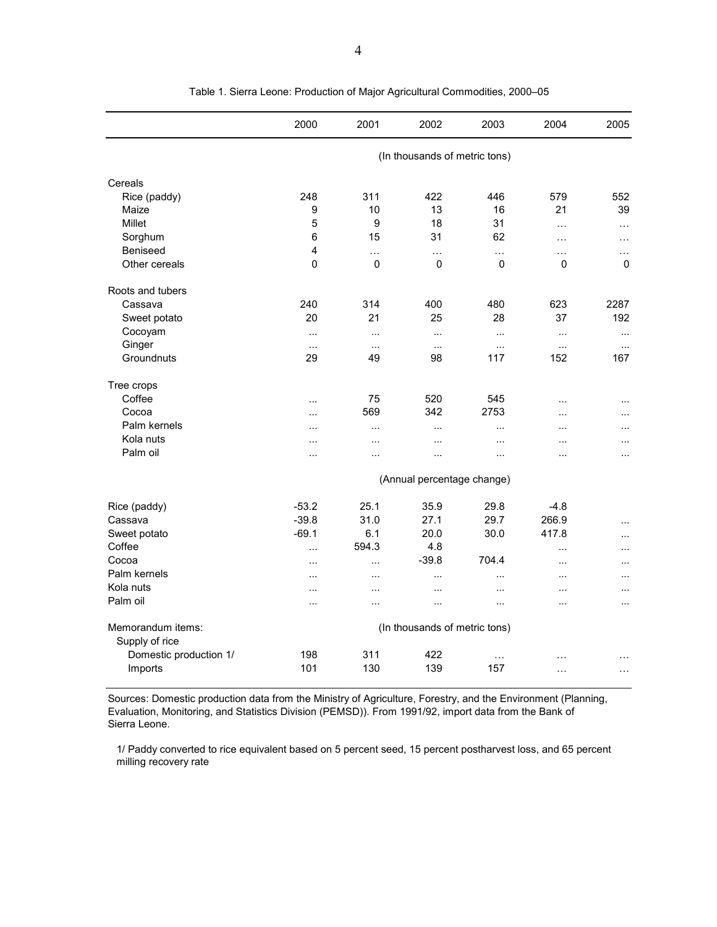|                                     | 2000                       | 2001        | 2002                          | 2003        | 2004        | 2005          |  |  |  |
|-------------------------------------|----------------------------|-------------|-------------------------------|-------------|-------------|---------------|--|--|--|
|                                     |                            |             | (In thousands of metric tons) |             |             |               |  |  |  |
| Cereals                             |                            |             |                               |             |             |               |  |  |  |
| Rice (paddy)                        | 248                        | 311         | 422                           | 446         | 579         | 552           |  |  |  |
| Maize                               | 9                          | 10          | 13                            | 16          | 21          | 39            |  |  |  |
| Millet                              | 5                          | 9           | 18                            | 31          | $\cdots$    | $\ldots$      |  |  |  |
| Sorghum                             | 6                          | 15          | 31                            | 62          | $\cdots$    | $\cdots$      |  |  |  |
| Beniseed                            | 4                          | .           | $\cdots$                      | $\ldots$    | $\cdots$    | $\ldots$      |  |  |  |
| Other cereals                       | $\mathbf{0}$               | $\mathbf 0$ | $\mathbf 0$                   | $\mathbf 0$ | $\mathbf 0$ | $\Omega$      |  |  |  |
| Roots and tubers                    |                            |             |                               |             |             |               |  |  |  |
| Cassava                             | 240                        | 314         | 400                           | 480         | 623         | 2287          |  |  |  |
| Sweet potato                        | 20                         | 21          | 25                            | 28          | 37          | 192           |  |  |  |
| Cocoyam                             | $\ddotsc$                  | $\ddotsc$   | $\cdots$                      | $\cdots$    | $\cdots$    | $\ldots$      |  |  |  |
| Ginger                              | $\ddotsc$                  | $\ddotsc$   | $\cdots$                      | $\ddots$    | $\cdots$    | $\cdot$       |  |  |  |
| Groundnuts                          | 29                         | 49          | 98                            | 117         | 152         | 167           |  |  |  |
| Tree crops                          |                            |             |                               |             |             |               |  |  |  |
| Coffee                              | .                          | 75          | 520                           | 545         | $\ddotsc$   | $\sim$        |  |  |  |
| Cocoa                               | .                          | 569         | 342                           | 2753        | .           | $\cdots$      |  |  |  |
| Palm kernels                        | .                          | $\ldots$    |                               | $\sim$      |             | $\ddotsc$     |  |  |  |
| Kola nuts                           |                            | $\ddotsc$   |                               | $\ddotsc$   | .           | $\cdots$      |  |  |  |
| Palm oil                            | .                          | $\ddotsc$   | $\ddotsc$                     | $\ddotsc$   |             | $\ddotsc$     |  |  |  |
|                                     | (Annual percentage change) |             |                               |             |             |               |  |  |  |
| Rice (paddy)                        | $-53.2$                    | 25.1        | 35.9                          | 29.8        | $-4.8$      |               |  |  |  |
| Cassava                             | $-39.8$                    | 31.0        | 27.1                          | 29.7        | 266.9       | $\ddotsc$     |  |  |  |
| Sweet potato                        | $-69.1$                    | 6.1         | 20.0                          | 30.0        | 417.8       | $\cdots$      |  |  |  |
| Coffee                              | $\cdots$                   | 594.3       | 4.8                           |             | $\cdots$    | $\ddotsc$     |  |  |  |
| Cocoa                               | .                          | $\cdots$    | $-39.8$                       | 704.4       | $\ddotsc$   | $\ddotsc$     |  |  |  |
| Palm kernels                        | $\cdot$                    | $\cdot$     | $\cdots$                      | $\ddotsc$   | $\cdots$    | $\ddotsc$     |  |  |  |
| Kola nuts                           | .                          | $\ddotsc$   | $\ddotsc$                     | $\ddotsc$   | $\ddotsc$   | $\ddotsc$     |  |  |  |
| Palm oil                            | $\cdot$                    | $\cdot$     | $\ddotsc$                     | $\cdots$    | $\cdots$    | $\cdots$      |  |  |  |
| Memorandum items:<br>Supply of rice |                            |             | (In thousands of metric tons) |             |             |               |  |  |  |
| Domestic production 1/              | 198                        | 311         | 422                           | $\ddotsc$   |             |               |  |  |  |
| Imports                             | 101                        | 130         | 139                           | 157         | .           | $\sim$ $\sim$ |  |  |  |

Table 1. Sierra Leone: Production of Major Agricultural Commodities, 2000–05

Sources: Domestic production data from the Ministry of Agriculture, Forestry, and the Environment (Planning, Evaluation, Monitoring, and Statistics Division (PEMSD)). From 1991/92, import data from the Bank of Sierra Leone.

1/ Paddy converted to rice equivalent based on 5 percent seed, 15 percent postharvest loss, and 65 percent milling recovery rate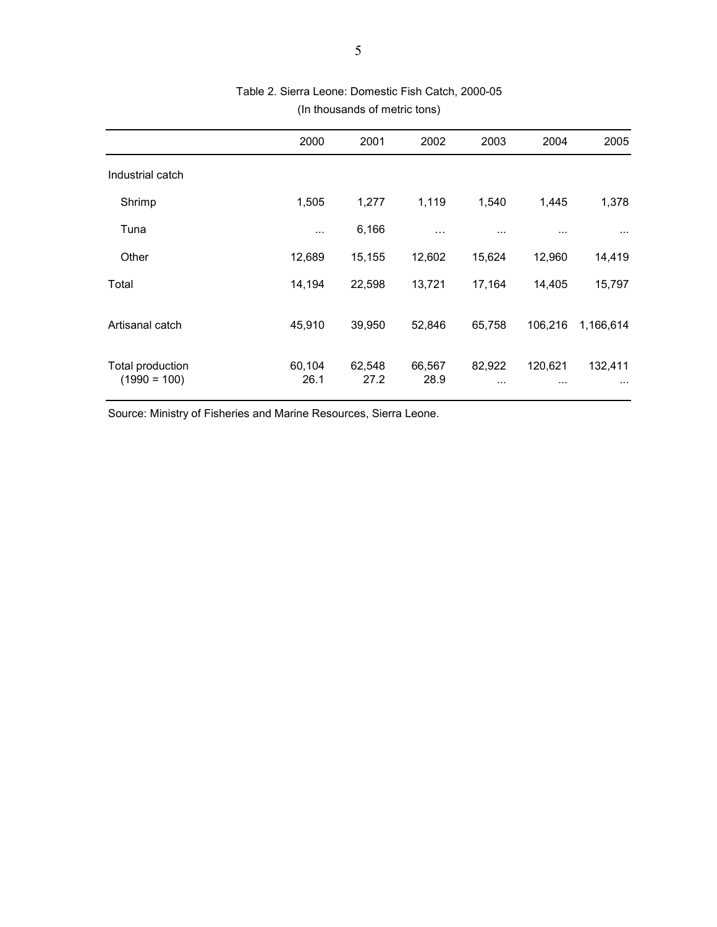|                                    | 2000           | 2001           | 2002           | 2003               | 2004                | 2005                |
|------------------------------------|----------------|----------------|----------------|--------------------|---------------------|---------------------|
| Industrial catch                   |                |                |                |                    |                     |                     |
| Shrimp                             | 1,505          | 1,277          | 1,119          | 1,540              | 1,445               | 1,378               |
| Tuna                               | $\cdots$       | 6,166          | $\cdots$       |                    | .                   | $\cdots$            |
| Other                              | 12,689         | 15,155         | 12,602         | 15,624             | 12,960              | 14,419              |
| Total                              | 14,194         | 22,598         | 13,721         | 17,164             | 14,405              | 15,797              |
| Artisanal catch                    | 45,910         | 39,950         | 52,846         | 65,758             | 106,216             | 1,166,614           |
| Total production<br>$(1990 = 100)$ | 60,104<br>26.1 | 62,548<br>27.2 | 66,567<br>28.9 | 82,922<br>$\cdots$ | 120,621<br>$\cdots$ | 132,411<br>$\cdots$ |

## Table 2. Sierra Leone: Domestic Fish Catch, 2000-05 (In thousands of metric tons)

Source: Ministry of Fisheries and Marine Resources, Sierra Leone.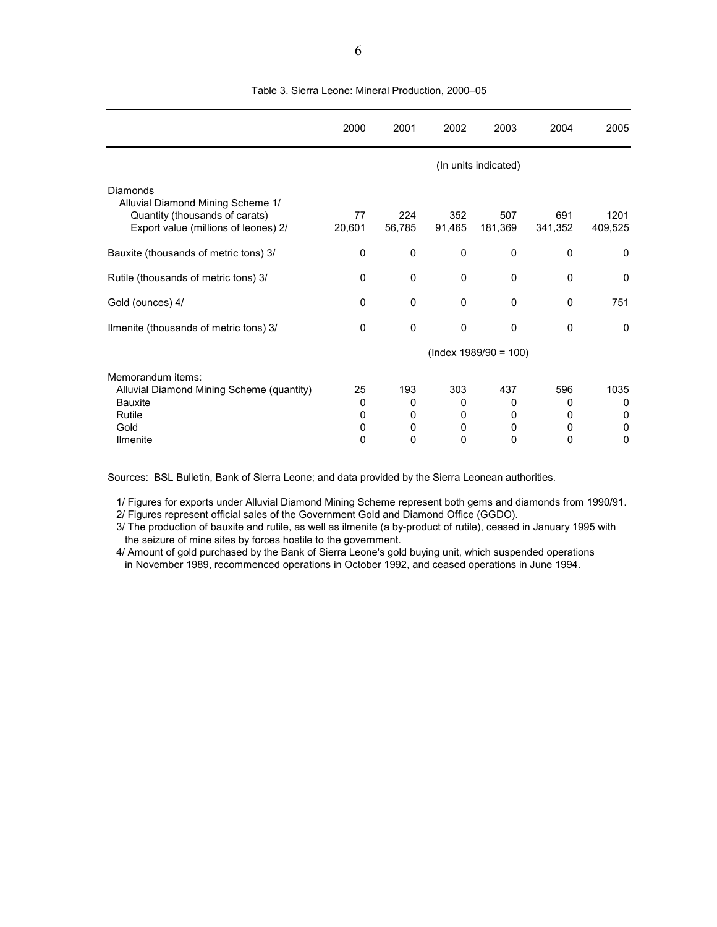|                                                                                                                         | 2000                   | 2001                    | 2002                           | 2003                    | 2004                    | 2005                     |
|-------------------------------------------------------------------------------------------------------------------------|------------------------|-------------------------|--------------------------------|-------------------------|-------------------------|--------------------------|
|                                                                                                                         |                        |                         |                                | (In units indicated)    |                         |                          |
| Diamonds<br>Alluvial Diamond Mining Scheme 1/<br>Quantity (thousands of carats)<br>Export value (millions of leones) 2/ | 77<br>20,601           | 224<br>56,785           | 352<br>91,465                  | 507<br>181,369          | 691<br>341,352          | 1201<br>409,525          |
| Bauxite (thousands of metric tons) 3/                                                                                   | 0                      | 0                       | 0                              | 0                       | 0                       | 0                        |
| Rutile (thousands of metric tons) 3/                                                                                    | 0                      | $\Omega$                | $\Omega$                       | 0                       | 0                       | 0                        |
| Gold (ounces) 4/                                                                                                        | 0                      | $\Omega$                | 0                              | 0                       | 0                       | 751                      |
| Ilmenite (thousands of metric tons) 3/                                                                                  | 0                      | $\mathbf 0$             | $\mathbf{0}$                   | 0                       | 0                       | 0                        |
|                                                                                                                         |                        |                         |                                | $(hdex 1989/90 = 100)$  |                         |                          |
| Memorandum items:<br>Alluvial Diamond Mining Scheme (quantity)<br><b>Bauxite</b><br>Rutile<br>Gold<br><b>Ilmenite</b>   | 25<br>0<br>0<br>0<br>0 | 193<br>0<br>0<br>0<br>0 | 303<br>$\Omega$<br>0<br>0<br>0 | 437<br>0<br>0<br>0<br>0 | 596<br>0<br>0<br>0<br>0 | 1035<br>0<br>0<br>0<br>0 |

Table 3. Sierra Leone: Mineral Production, 2000–05

Sources: BSL Bulletin, Bank of Sierra Leone; and data provided by the Sierra Leonean authorities.

1/ Figures for exports under Alluvial Diamond Mining Scheme represent both gems and diamonds from 1990/91. 2/ Figures represent official sales of the Government Gold and Diamond Office (GGDO).

3/ The production of bauxite and rutile, as well as ilmenite (a by-product of rutile), ceased in January 1995 with the seizure of mine sites by forces hostile to the government.

4/ Amount of gold purchased by the Bank of Sierra Leone's gold buying unit, which suspended operations in November 1989, recommenced operations in October 1992, and ceased operations in June 1994.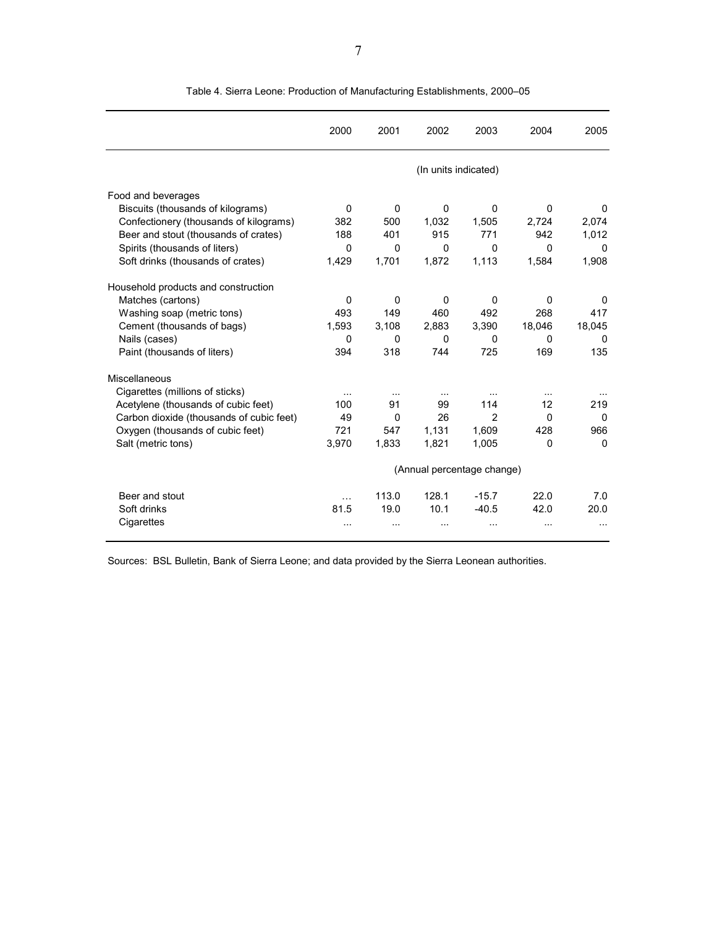|                                          | 2000     | 2001        | 2002                       | 2003           | 2004     | 2005     |
|------------------------------------------|----------|-------------|----------------------------|----------------|----------|----------|
|                                          |          |             | (In units indicated)       |                |          |          |
| Food and beverages                       |          |             |                            |                |          |          |
| Biscuits (thousands of kilograms)        | $\Omega$ | $\mathbf 0$ | 0                          | $\Omega$       | $\Omega$ | 0        |
| Confectionery (thousands of kilograms)   | 382      | 500         | 1,032                      | 1,505          | 2,724    | 2,074    |
| Beer and stout (thousands of crates)     | 188      | 401         | 915                        | 771            | 942      | 1,012    |
| Spirits (thousands of liters)            | $\Omega$ | $\Omega$    | 0                          | $\Omega$       | 0        | 0        |
| Soft drinks (thousands of crates)        | 1,429    | 1,701       | 1,872                      | 1,113          | 1,584    | 1,908    |
| Household products and construction      |          |             |                            |                |          |          |
| Matches (cartons)                        | 0        | $\mathbf 0$ | 0                          | $\Omega$       | 0        | 0        |
| Washing soap (metric tons)               | 493      | 149         | 460                        | 492            | 268      | 417      |
| Cement (thousands of bags)               | 1,593    | 3,108       | 2,883                      | 3,390          | 18,046   | 18,045   |
| Nails (cases)                            | 0        | 0           | 0                          | 0              | 0        | 0        |
| Paint (thousands of liters)              | 394      | 318         | 744                        | 725            | 169      | 135      |
| Miscellaneous                            |          |             |                            |                |          |          |
| Cigarettes (millions of sticks)          |          |             |                            |                |          |          |
| Acetylene (thousands of cubic feet)      | 100      | 91          | 99                         | 114            | 12       | 219      |
| Carbon dioxide (thousands of cubic feet) | 49       | $\mathbf 0$ | 26                         | $\overline{2}$ | $\Omega$ | 0        |
| Oxygen (thousands of cubic feet)         | 721      | 547         | 1,131                      | 1,609          | 428      | 966      |
| Salt (metric tons)                       | 3,970    | 1,833       | 1,821                      | 1,005          | 0        | $\Omega$ |
|                                          |          |             | (Annual percentage change) |                |          |          |
| Beer and stout                           | $\cdots$ | 113.0       | 128.1                      | $-15.7$        | 22.0     | 7.0      |
| Soft drinks                              | 81.5     | 19.0        | 10.1                       | $-40.5$        | 42.0     | 20.0     |
| Cigarettes                               |          |             | .                          | $\ddotsc$      |          |          |

Table 4. Sierra Leone: Production of Manufacturing Establishments, 2000–05

Sources: BSL Bulletin, Bank of Sierra Leone; and data provided by the Sierra Leonean authorities.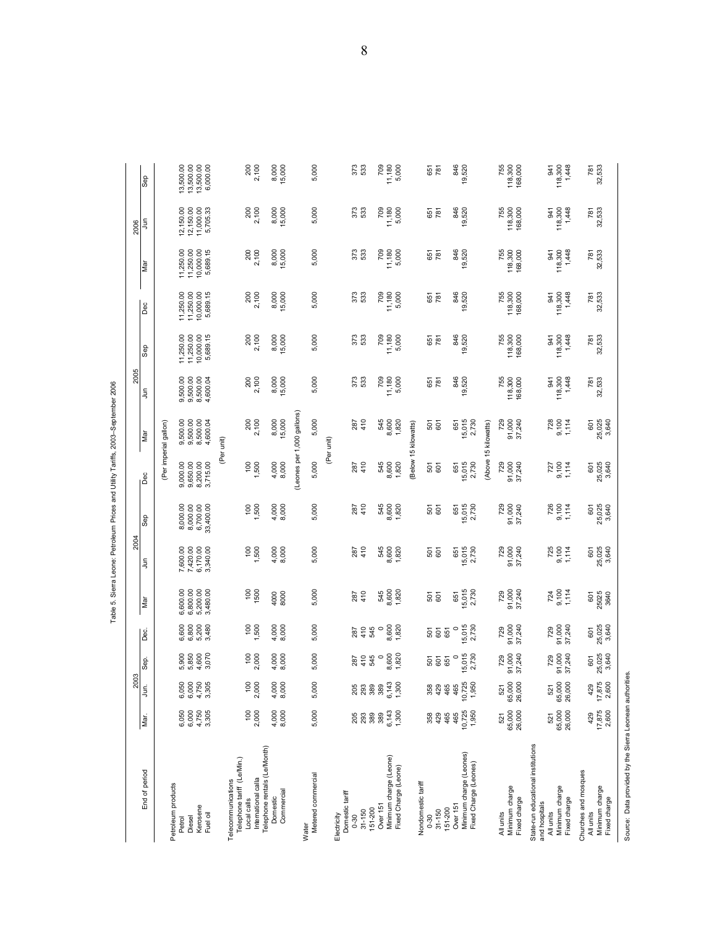|                                                                  |                          | 2003                     |                         |                         |                                              | 2004                                         |                                                                              |                         |                                        | 2005                             |                                     |                                     |                                     | 2006                                |                                                                    |
|------------------------------------------------------------------|--------------------------|--------------------------|-------------------------|-------------------------|----------------------------------------------|----------------------------------------------|------------------------------------------------------------------------------|-------------------------|----------------------------------------|----------------------------------|-------------------------------------|-------------------------------------|-------------------------------------|-------------------------------------|--------------------------------------------------------------------|
| End of period                                                    | Mar.                     | jа.                      | Sep.                    | Dec.                    | Mar                                          | Ę                                            | Sep                                                                          | Dec                     | Mar                                    | $\tilde{z}$                      | Sep                                 | Dec                                 | Mar                                 | $\tilde{z}$                         | <b>Gec</b>                                                         |
| Petroleum products                                               |                          |                          |                         |                         |                                              |                                              |                                                                              |                         | (Per imperial gallon)                  |                                  |                                     |                                     |                                     |                                     |                                                                    |
| Diesel<br>Petrol                                                 | 6,000<br>6,050           | 6,050<br>6,000           | 5,900<br>5,850          | 6,600<br>6,800          | 6,600.00<br>6,800.00<br>5,200.00<br>3,480.00 | 7,600.00<br>7,420.00<br>6,170.00<br>3,340.00 | $\begin{array}{c} 8,000.00 \\ 8,000.00 \\ 6,700.00 \\ 33,400.00 \end{array}$ | 9,000.00<br>9,650.00    | $9,500.00$<br>$9,500.00$<br>$8,500.00$ | 9,500.00<br>9,500.00<br>8,500.00 | 11,250.00<br>11,250.00<br>10,000.00 | 11,250.00<br>11,250.00<br>10,000.00 | 11,250.00<br>11,250.00<br>10,000.00 | 12,150.00<br>12,150.00<br>11,000.00 | $\begin{array}{c} 13,500.00 \\ 13,500.00 \\ 13,500.00 \end{array}$ |
| Kerosene<br>Fuel oil                                             | 4,750<br>3,305           | 3,305<br>4,750           | 4,600<br>3,070          | 3,480<br>5,200          |                                              |                                              |                                                                              | 8,200.00<br>3,715.00    | 4,600.04                               | 4,600.04                         | 5,689.15                            | 5,689.15                            | 5,689.15                            | 5,705.33                            | 6,000.00                                                           |
| Telecommunications                                               |                          |                          |                         |                         |                                              |                                              |                                                                              |                         | (Per unit)                             |                                  |                                     |                                     |                                     |                                     |                                                                    |
| Telephone tariff (Le/Min.)<br>International calla<br>Local calls | 2,000<br>$\overline{00}$ | $\frac{10}{10}$<br>2,00C | 2,000                   | $\frac{6}{2}$           | $\frac{100}{500}$                            | $\frac{100}{500}$                            | $\frac{50}{20}$                                                              | 1,500                   | 200<br>2,100                           | 200<br>2,100                     | 200<br>2,100                        | 200<br>2,100                        | 200<br>2,100                        | 200<br>2,100                        | 200<br>2,100                                                       |
| Telephone rentals (Le/Month)<br>Commercial<br>Domestic           | 4,000<br>8,000           | 8,000<br>4,000           | 4,000<br>8,000          | 4,000<br>8,000          | 4000<br>8000                                 | 4,000<br>8,000                               | 4,000<br>8,000                                                               | 4,000<br>8,000          | 8,000<br>15,000                        | 8,000<br>15,000                  | 8,000<br>15,000                     | 8,000<br>15,000                     | 8,000<br>15,000                     | 8,000<br>15,000                     | 8,000<br>15,000                                                    |
|                                                                  |                          |                          |                         |                         |                                              |                                              |                                                                              |                         | (Leones per 1,000 gallons)             |                                  |                                     |                                     |                                     |                                     |                                                                    |
| Metered commercial<br>Water                                      | 5,000                    | 5,000                    | 5,000                   | 5,000                   | 5,000                                        | 5,000                                        | 5,000                                                                        | 5,000                   | 5,000                                  | 5,000                            | 5,000                               | 5,000                               | 5,000                               | 5,000                               | 5,000                                                              |
| Domestic tariff<br>Electricity                                   |                          |                          |                         |                         |                                              |                                              |                                                                              |                         | (Per unit)                             |                                  |                                     |                                     |                                     |                                     |                                                                    |
| $31 - 150$<br>$0 - 30$                                           | <b>205</b><br>293        | 205<br>293               | 287<br>410<br>545       | 287<br>4 10<br>545      | 410<br>287                                   | 287<br>410                                   | 287<br>410                                                                   | 287<br>410              | 410<br>287                             | 373<br>533                       | 373<br>533                          | 373<br>533                          | 373<br>533                          | 373<br>533                          | 373<br>533                                                         |
| Over 151<br>151-200                                              | 389<br>389               | 389<br>389               | $\circ$                 | $\circ$                 |                                              |                                              |                                                                              |                         |                                        | 709                              | 709                                 | 709                                 | 709                                 | 709                                 |                                                                    |
| Minimum charge (Leone)<br>Fixed Charge (Leone)                   | 6,143<br>1,300           | 6,143<br>1,300           | 8,600<br>1,820          | 8,600<br>1,820          | 545<br>8,600<br>1,820                        | 545<br>8,600<br>1,820                        | 545<br>8,600<br>1,820                                                        | 545<br>8,600<br>1,820   | 545<br>8,600<br>1,820                  | 11,180<br>5,000                  | $\frac{11,180}{5,000}$              | 11,180<br>5,000                     | 11,180<br>5,000                     | 11,180<br>5,000                     | 11,180<br>5,000                                                    |
| Nondomestic tariff                                               |                          |                          |                         |                         |                                              |                                              |                                                                              |                         | (Below 15 kilowatts)                   |                                  |                                     |                                     |                                     |                                     |                                                                    |
| $31 - 150$<br>$0 - 30$                                           | 429<br>358               | 358<br>429               | 55<br>55<br>55          |                         | $\frac{5}{6}$                                | 501<br>601                                   | 501<br>601                                                                   | 501<br>601              | 501<br>601                             | 651<br>781                       | 651<br>781                          | 651<br>781                          | 651<br>781                          | 781<br>651                          | 651<br>781                                                         |
| Over <sub>151</sub><br>151-200                                   | 465<br>465               | 465<br>465               | $\circ$                 | $\circ$                 | 651                                          | 651                                          | 651                                                                          | 651                     | 651                                    |                                  |                                     |                                     |                                     |                                     | 846                                                                |
| Minimum charge (Leones)<br>Fixed Charge (Leones)                 | $10,725$<br>$1,950$      | $10,725$<br>$1,950$      | 15,015<br>2,730         | 15,015<br>2,730         | 15,015<br>2,730                              | 15,015<br>2,730                              | $15,015$<br>$2,730$                                                          | 15,015<br>2,730         | 15,015<br>2,730                        | 846<br>39,520                    | 846<br>19,520                       | 846<br>19,520                       | 846<br>19,520                       | 846<br>19,520                       | 19,520                                                             |
|                                                                  |                          |                          |                         |                         |                                              |                                              |                                                                              |                         | (Above 15 kilowatts)                   |                                  |                                     |                                     |                                     |                                     |                                                                    |
| Minimum charge<br>Fixed charge<br>All units                      | 65,000<br>26,000<br>521  | 65,000<br>26,000<br>521  | 91,000<br>37,240<br>729 | 91,000<br>37,240<br>729 | 91,000<br>37,240<br>729                      | 91,000<br>37,240<br>729                      | 729<br>91,000<br>37,240                                                      | 729<br>91,000<br>37,240 | 729<br>91,000<br>37,240                | 755<br>118,300<br>168,000        | 755<br>118,300<br>168,000           | 755<br>118,300<br>168,000           | 118,300<br>168,000<br>755           | 755<br>118,300<br>168,000           | 755<br>118,300<br>168,000                                          |
| State-run educational institutions<br>and hospitals<br>All units | 521                      | 521                      | 729                     | 729                     |                                              |                                              |                                                                              |                         |                                        | <b>S41</b>                       | 341                                 | 941                                 | 941                                 | 54                                  | 941                                                                |
| Minimum charge<br>Fixed charge                                   | 26,000<br>65,000         | 26,000<br>65,000         | 91,000<br>37,240        | 91,000<br>37,240        | 724<br>9,100<br>1,114                        | 725<br>9,100<br>1,114                        | 726<br>9,100<br>1,114                                                        | 727<br>9, 100<br>1, 114 | 728<br>9.100<br>1.114                  | 118,300<br>1,448                 | 118,300<br>1,448                    | 118,300<br>1,448                    | 118,300<br>1,448                    | 1,448<br>118,300                    | 118,300<br>1,448                                                   |
| Churches and mosques<br>All units                                | 429                      | 429                      | 601                     | 601                     |                                              |                                              | 601                                                                          | 601                     | 601                                    | 781<br>32,533                    | 781<br>32,533                       | 781<br>32,533                       | 781<br>32,533                       | 781                                 | 781                                                                |
| Minimum charge<br>Fixed charge                                   | 17,875<br>2,600          | $\frac{17,875}{2,600}$   | 25,025<br>3,640         | 25,025<br>3,640         | 601<br>25025<br>3640                         | 601<br>25,025<br>3,640                       | 25,025<br>3,640                                                              | 25,025<br>3,640         | 25,025<br>3,640                        |                                  |                                     |                                     |                                     | 32,533                              | 32,533                                                             |
| Source: Data provided by the Sierra Leonean authorities.         |                          |                          |                         |                         |                                              |                                              |                                                                              |                         |                                        |                                  |                                     |                                     |                                     |                                     |                                                                    |

Table 5. Sierra Leone: Petroleum Prices and Utility Tariffs, 2003-September 2006 Table 5. Sierra Leone: Petroleum Prices and Utility Tariffs, 2003–September 2006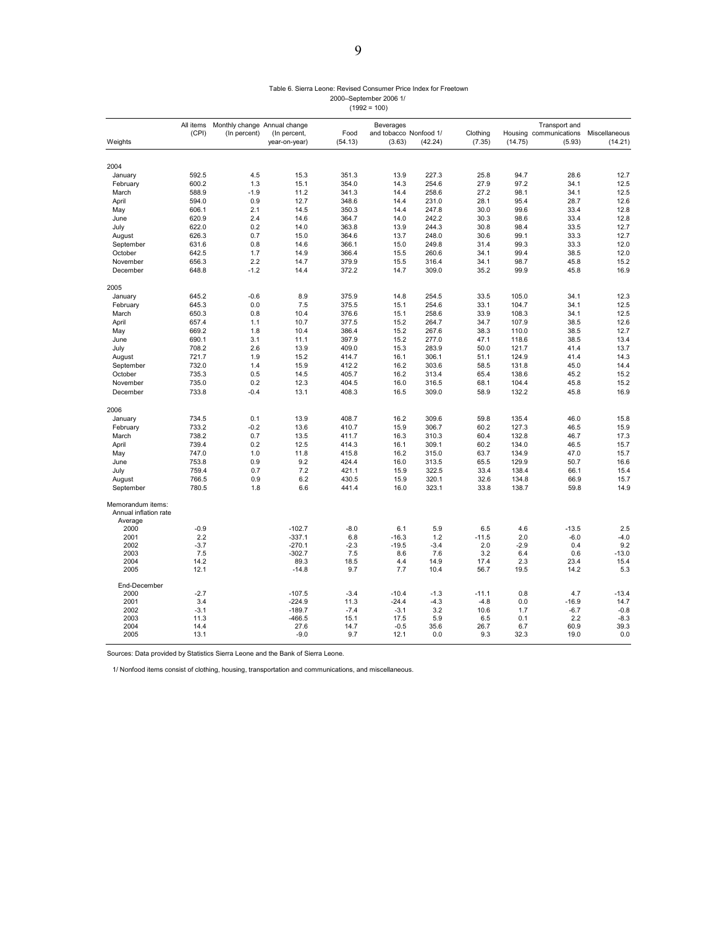### Table 6. Sierra Leone: Revised Consumer Price Index for Freetown 2000–September 2006 1/  $(1992 = 100)$

|                                                       | All items     | Monthly change Annual change |                      |                | Beverages              |               |                |            | Transport and          |                |
|-------------------------------------------------------|---------------|------------------------------|----------------------|----------------|------------------------|---------------|----------------|------------|------------------------|----------------|
|                                                       | (CPI)         | (In percent)                 | (In percent,         | Food           | and tobacco Nonfood 1/ |               | Clothing       |            | Housing communications | Miscellaneous  |
| Weights                                               |               |                              | year-on-year)        | (54.13)        | (3.63)                 | (42.24)       | (7.35)         | (14.75)    | (5.93)                 | (14.21)        |
| 2004                                                  |               |                              |                      |                |                        |               |                |            |                        |                |
| January                                               | 592.5         | 4.5                          | 15.3                 | 351.3          | 13.9                   | 227.3         | 25.8           | 94.7       | 28.6                   | 12.7           |
| February                                              | 600.2         | 1.3                          | 15.1                 | 354.0          | 14.3                   | 254.6         | 27.9           | 97.2       | 34.1                   | 12.5           |
| March                                                 | 588.9         | $-1.9$                       | 11.2                 | 341.3          | 14.4                   | 258.6         | 27.2           | 98.1       | 34.1                   | 12.5           |
| April                                                 | 594.0         | 0.9                          | 12.7                 | 348.6          | 14.4                   | 231.0         | 28.1           | 95.4       | 28.7                   | 12.6           |
| May                                                   | 606.1         | 2.1                          | 14.5                 | 350.3          | 14.4                   | 247.8         | 30.0           | 99.6       | 33.4                   | 12.8           |
| June                                                  | 620.9         | 2.4                          | 14.6                 | 364.7          | 14.0                   | 242.2         | 30.3           | 98.6       | 33.4                   | 12.8           |
| July                                                  | 622.0         | 0.2                          | 14.0                 | 363.8          | 13.9                   | 244.3         | 30.8           | 98.4       | 33.5                   | 12.7           |
| August                                                | 626.3         | 0.7                          | 15.0                 | 364.6          | 13.7                   | 248.0         | 30.6           | 99.1       | 33.3                   | 12.7           |
| September                                             | 631.6         | 0.8                          | 14.6                 | 366.1          | 15.0                   | 249.8         | 31.4           | 99.3       | 33.3                   | 12.0           |
| October                                               | 642.5         | 1.7                          | 14.9                 | 366.4          | 15.5                   | 260.6         | 34.1           | 99.4       | 38.5                   | 12.0           |
| November                                              | 656.3         | 2.2                          | 14.7                 | 379.9          | 15.5                   | 316.4         | 34.1           | 98.7       | 45.8                   | 15.2           |
| December                                              | 648.8         | $-1.2$                       | 14.4                 | 372.2          | 14.7                   | 309.0         | 35.2           | 99.9       | 45.8                   | 16.9           |
| 2005                                                  |               |                              |                      |                |                        |               |                |            |                        |                |
| January                                               | 645.2         | $-0.6$                       | 8.9                  | 375.9          | 14.8                   | 254.5         | 33.5           | 105.0      | 34.1                   | 12.3           |
| February                                              | 645.3         | 0.0                          | 7.5                  | 375.5          | 15.1                   | 254.6         | 33.1           | 104.7      | 34.1                   | 12.5           |
| March                                                 | 650.3         | 0.8                          | 10.4                 | 376.6          | 15.1                   | 258.6         | 33.9           | 108.3      | 34.1                   | 12.5           |
| April                                                 | 657.4         | 1.1                          | 10.7                 | 377.5          | 15.2                   | 264.7         | 34.7           | 107.9      | 38.5                   | 12.6           |
| May                                                   | 669.2         | 1.8                          | 10.4                 | 386.4          | 15.2                   | 267.6         | 38.3           | 110.0      | 38.5                   | 12.7           |
| June                                                  | 690.1         | 3.1                          | 11.1                 | 397.9          | 15.2                   | 277.0         | 47.1           | 118.6      | 38.5                   | 13.4           |
| July                                                  | 708.2         | 2.6                          | 13.9                 | 409.0          | 15.3                   | 283.9         | 50.0           | 121.7      | 41.4                   | 13.7           |
| August                                                | 721.7         | 1.9                          | 15.2                 | 414.7          | 16.1                   | 306.1         | 51.1           | 124.9      | 41.4                   | 14.3           |
| September                                             | 732.0         | 1.4                          | 15.9                 | 412.2          | 16.2                   | 303.6         | 58.5           | 131.8      | 45.0                   | 14.4           |
| October                                               | 735.3         | 0.5                          | 14.5                 | 405.7          | 16.2                   | 313.4         | 65.4           | 138.6      | 45.2                   | 15.2           |
| November                                              | 735.0         | 0.2                          | 12.3                 | 404.5          | 16.0                   | 316.5         | 68.1           | 104.4      | 45.8                   | 15.2           |
| December                                              | 733.8         | $-0.4$                       | 13.1                 | 408.3          | 16.5                   | 309.0         | 58.9           | 132.2      | 45.8                   | 16.9           |
| 2006                                                  |               |                              |                      |                |                        |               |                |            |                        |                |
| January                                               | 734.5         | 0.1                          | 13.9                 | 408.7          | 16.2                   | 309.6         | 59.8           | 135.4      | 46.0                   | 15.8           |
| February                                              | 733.2         | $-0.2$                       | 13.6                 | 410.7          | 15.9                   | 306.7         | 60.2           | 127.3      | 46.5                   | 15.9           |
| March                                                 | 738.2         | 0.7                          | 13.5                 | 411.7          | 16.3                   | 310.3         | 60.4           | 132.8      | 46.7                   | 17.3           |
| April                                                 | 739.4         | 0.2                          | 12.5                 | 414.3          | 16.1                   | 309.1         | 60.2           | 134.0      | 46.5                   | 15.7           |
| May                                                   | 747.0         | 1.0                          | 11.8                 | 415.8          | 16.2                   | 315.0         | 63.7           | 134.9      | 47.0                   | 15.7           |
| June                                                  | 753.8         | 0.9                          | 9.2                  | 424.4          | 16.0                   | 313.5         | 65.5           | 129.9      | 50.7                   | 16.6           |
| July                                                  | 759.4         | 0.7                          | 7.2                  | 421.1          | 15.9                   | 322.5         | 33.4           | 138.4      | 66.1                   | 15.4           |
| August                                                | 766.5         | 0.9                          | 6.2                  | 430.5          | 15.9                   | 320.1         | 32.6           | 134.8      | 66.9                   | 15.7           |
| September                                             | 780.5         | 1.8                          | 6.6                  | 441.4          | 16.0                   | 323.1         | 33.8           | 138.7      | 59.8                   | 14.9           |
| Memorandum items:<br>Annual inflation rate<br>Average |               |                              |                      |                |                        |               |                |            |                        |                |
| 2000                                                  | $-0.9$        |                              | $-102.7$             | $-8.0$         | 6.1                    | 5.9           | 6.5            | 4.6        | $-13.5$                | 2.5            |
| 2001                                                  | 2.2           |                              | $-337.1$             | 6.8            | $-16.3$                | 1.2           | $-11.5$        | 2.0        | $-6.0$                 | $-4.0$         |
| 2002                                                  | $-3.7$        |                              | $-270.1$             | $-2.3$         | $-19.5$                | $-3.4$        | 2.0            | $-2.9$     | 0.4                    | 9.2            |
| 2003                                                  | 7.5           |                              | $-302.7$             | 7.5            | 8.6                    | 7.6           | 3.2            | 6.4        | 0.6                    | $-13.0$        |
| 2004                                                  | 14.2          |                              | 89.3                 | 18.5           | 4.4                    | 14.9          | 17.4           | 2.3        | 23.4                   | 15.4           |
| 2005                                                  | 12.1          |                              | $-14.8$              | 9.7            | 7.7                    | 10.4          | 56.7           | 19.5       | 14.2                   | 5.3            |
| End-December                                          |               |                              |                      |                |                        |               |                |            |                        |                |
| 2000                                                  | $-2.7$        |                              | $-107.5$             | $-3.4$         | $-10.4$                | $-1.3$        | $-11.1$        | 0.8        | 4.7                    | $-13.4$        |
| 2001<br>2002                                          | 3.4<br>$-3.1$ |                              | $-224.9$<br>$-189.7$ | 11.3<br>$-7.4$ | $-24.4$<br>$-3.1$      | $-4.3$<br>3.2 | $-4.8$<br>10.6 | 0.0<br>1.7 | $-16.9$<br>$-6.7$      | 14.7<br>$-0.8$ |
| 2003                                                  | 11.3          |                              | $-466.5$             | 15.1           | 17.5                   | 5.9           | 6.5            | 0.1        | 2.2                    | $-8.3$         |
| 2004                                                  | 14.4          |                              | 27.6                 | 14.7           | $-0.5$                 | 35.6          | 26.7           | 6.7        | 60.9                   | 39.3           |
| 2005                                                  | 13.1          |                              | $-9.0$               | 9.7            | 12.1                   | 0.0           | 9.3            | 32.3       | 19.0                   | 0.0            |
|                                                       |               |                              |                      |                |                        |               |                |            |                        |                |

Sources: Data provided by Statistics Sierra Leone and the Bank of Sierra Leone.

1/ Nonfood items consist of clothing, housing, transportation and communications, and miscellaneous.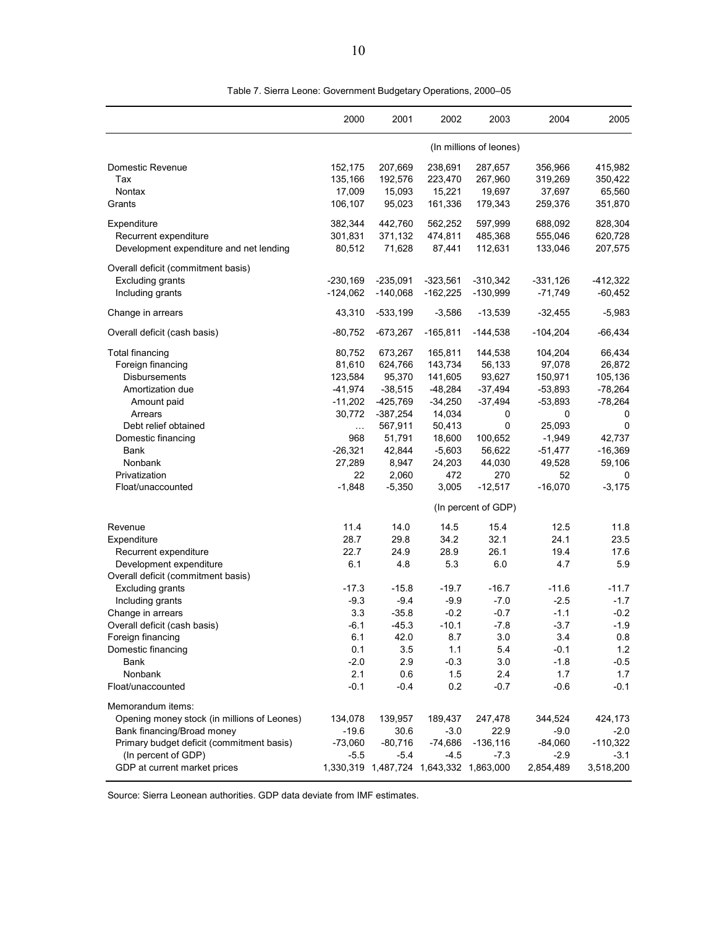|                                                                                                                                                                                                    | 2000                                                                                     | 2001                                                                                                 | 2002                                                                                              | 2003                                                                                 | 2004                                                                                           | 2005                                                                                             |
|----------------------------------------------------------------------------------------------------------------------------------------------------------------------------------------------------|------------------------------------------------------------------------------------------|------------------------------------------------------------------------------------------------------|---------------------------------------------------------------------------------------------------|--------------------------------------------------------------------------------------|------------------------------------------------------------------------------------------------|--------------------------------------------------------------------------------------------------|
|                                                                                                                                                                                                    |                                                                                          |                                                                                                      |                                                                                                   | (In millions of leones)                                                              |                                                                                                |                                                                                                  |
| Domestic Revenue<br>Tax<br>Nontax<br>Grants                                                                                                                                                        | 152,175<br>135,166<br>17,009<br>106,107                                                  | 207,669<br>192,576<br>15,093<br>95,023                                                               | 238,691<br>223,470<br>15,221<br>161,336                                                           | 287,657<br>267,960<br>19,697<br>179,343                                              | 356,966<br>319,269<br>37,697<br>259,376                                                        | 415,982<br>350,422<br>65,560<br>351,870                                                          |
| Expenditure<br>Recurrent expenditure<br>Development expenditure and net lending                                                                                                                    | 382,344<br>301,831<br>80,512                                                             | 442,760<br>371,132<br>71,628                                                                         | 562,252<br>474,811<br>87,441                                                                      | 597,999<br>485,368<br>112,631                                                        | 688,092<br>555,046<br>133,046                                                                  | 828,304<br>620,728<br>207,575                                                                    |
| Overall deficit (commitment basis)<br><b>Excluding grants</b><br>Including grants                                                                                                                  | $-230,169$<br>$-124,062$                                                                 | $-235,091$<br>$-140,068$                                                                             | $-323,561$<br>$-162,225$                                                                          | $-310,342$<br>$-130,999$                                                             | $-331,126$<br>$-71,749$                                                                        | $-412,322$<br>$-60,452$                                                                          |
| Change in arrears                                                                                                                                                                                  | 43,310                                                                                   | $-533,199$                                                                                           | $-3,586$                                                                                          | $-13,539$                                                                            | $-32,455$                                                                                      | $-5,983$                                                                                         |
| Overall deficit (cash basis)                                                                                                                                                                       | $-80,752$                                                                                | $-673,267$                                                                                           | $-165,811$                                                                                        | $-144,538$                                                                           | $-104,204$                                                                                     | $-66,434$                                                                                        |
| <b>Total financing</b><br>Foreign financing<br>Disbursements<br>Amortization due<br>Amount paid<br>Arrears<br>Debt relief obtained<br>Domestic financing<br>Bank                                   | 80,752<br>81,610<br>123,584<br>$-41,974$<br>$-11,202$<br>30,772<br>.<br>968<br>$-26,321$ | 673,267<br>624,766<br>95,370<br>$-38,515$<br>$-425,769$<br>$-387,254$<br>567,911<br>51,791<br>42,844 | 165,811<br>143,734<br>141,605<br>$-48,284$<br>$-34,250$<br>14,034<br>50,413<br>18,600<br>$-5,603$ | 144,538<br>56,133<br>93,627<br>$-37,494$<br>$-37,494$<br>0<br>0<br>100,652<br>56,622 | 104,204<br>97,078<br>150,971<br>$-53,893$<br>$-53,893$<br>0<br>25,093<br>$-1,949$<br>$-51,477$ | 66,434<br>26,872<br>105,136<br>$-78,264$<br>$-78,264$<br>0<br>$\mathbf 0$<br>42,737<br>$-16,369$ |
| Nonbank<br>Privatization                                                                                                                                                                           | 27,289<br>22                                                                             | 8,947<br>2,060                                                                                       | 24,203<br>472                                                                                     | 44,030<br>270                                                                        | 49,528<br>52                                                                                   | 59,106<br>0                                                                                      |
| Float/unaccounted                                                                                                                                                                                  | $-1,848$                                                                                 | $-5,350$                                                                                             | 3,005                                                                                             | $-12,517$                                                                            | $-16,070$                                                                                      | $-3,175$                                                                                         |
|                                                                                                                                                                                                    |                                                                                          |                                                                                                      |                                                                                                   | (In percent of GDP)                                                                  |                                                                                                |                                                                                                  |
| Revenue<br>Expenditure<br>Recurrent expenditure<br>Development expenditure<br>Overall deficit (commitment basis)                                                                                   | 11.4<br>28.7<br>22.7<br>6.1                                                              | 14.0<br>29.8<br>24.9<br>4.8                                                                          | 14.5<br>34.2<br>28.9<br>5.3                                                                       | 15.4<br>32.1<br>26.1<br>6.0                                                          | 12.5<br>24.1<br>19.4<br>4.7                                                                    | 11.8<br>23.5<br>17.6<br>5.9                                                                      |
| <b>Excluding grants</b><br>Including grants<br>Change in arrears                                                                                                                                   | $-17.3$<br>$-9.3$<br>3.3                                                                 | $-15.8$<br>$-9.4$<br>$-35.8$                                                                         | $-19.7$<br>$-9.9$<br>$-0.2$                                                                       | $-16.7$<br>$-7.0$<br>$-0.7$                                                          | $-11.6$<br>$-2.5$<br>$-1.1$                                                                    | $-11.7$<br>$-1.7$<br>$-0.2$                                                                      |
| Overall deficit (cash basis)<br>Foreign financing<br>Domestic financing<br>Bank<br>Nonbank                                                                                                         | $-6.1$<br>6.1<br>0.1<br>$-2.0$<br>2.1                                                    | $-45.3$<br>42.0<br>3.5<br>2.9<br>0.6                                                                 | $-10.1$<br>8.7<br>1.1<br>$-0.3$<br>1.5                                                            | $-7.8$<br>3.0<br>5.4<br>3.0<br>2.4                                                   | $-3.7$<br>3.4<br>$-0.1$<br>$-1.8$<br>1.7                                                       | $-1.9$<br>0.8<br>$1.2$<br>$-0.5$<br>1.7                                                          |
| Float/unaccounted                                                                                                                                                                                  | $-0.1$                                                                                   | $-0.4$                                                                                               | 0.2                                                                                               | $-0.7$                                                                               | $-0.6$                                                                                         | $-0.1$                                                                                           |
| Memorandum items:<br>Opening money stock (in millions of Leones)<br>Bank financing/Broad money<br>Primary budget deficit (commitment basis)<br>(In percent of GDP)<br>GDP at current market prices | 134,078<br>$-19.6$<br>$-73,060$<br>$-5.5$                                                | 139,957<br>30.6<br>$-80,716$<br>$-5.4$<br>1,330,319 1,487,724 1,643,332 1,863,000                    | 189,437<br>$-3.0$<br>$-74,686$<br>$-4.5$                                                          | 247,478<br>22.9<br>$-136,116$<br>$-7.3$                                              | 344,524<br>$-9.0$<br>$-84,060$<br>$-2.9$<br>2,854,489                                          | 424,173<br>$-2.0$<br>$-110,322$<br>$-3.1$<br>3,518,200                                           |

Table 7. Sierra Leone: Government Budgetary Operations, 2000–05

Source: Sierra Leonean authorities. GDP data deviate from IMF estimates.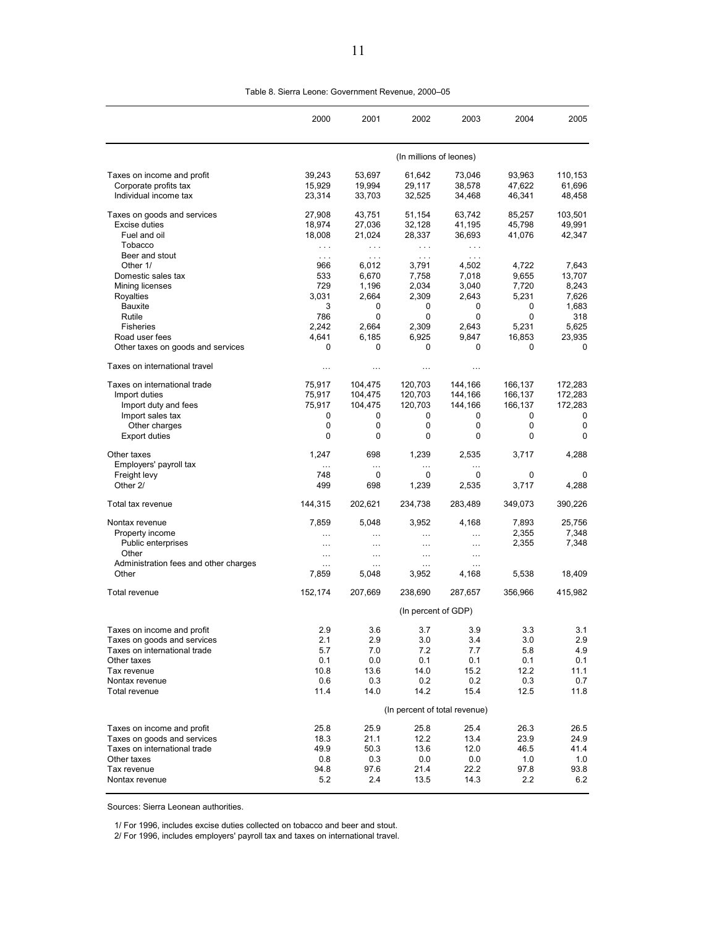|                                       | 2000                 | 2001                 | 2002                          | 2003       | 2004       | 2005           |  |  |  |
|---------------------------------------|----------------------|----------------------|-------------------------------|------------|------------|----------------|--|--|--|
|                                       |                      |                      | (In millions of leones)       |            |            |                |  |  |  |
| Taxes on income and profit            | 39,243               | 53,697               | 61,642                        | 73,046     | 93,963     | 110,153        |  |  |  |
| Corporate profits tax                 | 15,929               | 19,994               | 29,117                        | 38,578     | 47,622     | 61,696         |  |  |  |
| Individual income tax                 | 23,314               | 33,703               | 32,525                        | 34,468     | 46,341     | 48,458         |  |  |  |
| Taxes on goods and services           | 27,908               | 43,751               | 51,154                        | 63,742     | 85,257     | 103,501        |  |  |  |
| Excise duties                         | 18,974               | 27,036               | 32,128                        | 41,195     | 45,798     | 49,991         |  |  |  |
| Fuel and oil                          | 18,008               | 21,024               | 28,337                        | 36,693     | 41,076     | 42,347         |  |  |  |
| Tobacco                               | $\sim$ $\sim$ $\sim$ | $\sim$ $\sim$ $\sim$ | $\ldots$                      | $\sim 100$ |            |                |  |  |  |
| Beer and stout                        | $\sim 100$           | $\sim$ $\sim$ $\sim$ | $\sim 100$                    | $\sim 100$ |            |                |  |  |  |
| Other 1/                              | 966                  | 6,012                | 3,791                         | 4,502      | 4,722      | 7,643          |  |  |  |
| Domestic sales tax                    | 533                  | 6,670                | 7,758                         | 7,018      | 9,655      | 13,707         |  |  |  |
| Mining licenses                       | 729<br>3,031         | 1,196<br>2,664       | 2,034                         | 3,040      | 7,720      | 8,243          |  |  |  |
| <b>Royalties</b><br>Bauxite           | 3                    | 0                    | 2,309<br>0                    | 2,643<br>0 | 5,231<br>0 | 7,626<br>1,683 |  |  |  |
| Rutile                                | 786                  | 0                    | 0                             | 0          | 0          | 318            |  |  |  |
| <b>Fisheries</b>                      | 2,242                | 2,664                | 2,309                         | 2,643      | 5,231      | 5,625          |  |  |  |
| Road user fees                        | 4,641                | 6,185                | 6,925                         | 9,847      | 16,853     | 23,935         |  |  |  |
| Other taxes on goods and services     | 0                    | 0                    | 0                             | 0          | 0          | 0              |  |  |  |
| Taxes on international travel         | $\ldots$             | $\cdots$             | $\cdots$                      | $\cdots$   |            |                |  |  |  |
| Taxes on international trade          | 75,917               | 104,475              | 120,703                       | 144,166    | 166,137    | 172,283        |  |  |  |
| Import duties                         | 75,917               | 104,475              | 120,703                       | 144,166    | 166,137    | 172,283        |  |  |  |
| Import duty and fees                  | 75,917               | 104,475              | 120,703                       | 144,166    | 166,137    | 172,283        |  |  |  |
| Import sales tax                      | 0                    | 0                    | 0                             | 0          | 0          | 0              |  |  |  |
| Other charges                         | 0                    | 0                    | 0                             | 0          | 0          | 0              |  |  |  |
| <b>Export duties</b>                  | 0                    | 0                    | 0                             | $\Omega$   | 0          | 0              |  |  |  |
| Other taxes                           | 1,247                | 698                  | 1,239                         | 2,535      | 3,717      | 4,288          |  |  |  |
| Employers' payroll tax                | .                    | $\cdots$             | $\cdots$                      | .          |            |                |  |  |  |
| Freight levy                          | 748                  | 0                    | 0                             | 0          | 0          | 0              |  |  |  |
| Other 2/                              | 499                  | 698                  | 1,239                         | 2,535      | 3,717      | 4,288          |  |  |  |
| Total tax revenue                     | 144,315              | 202,621              | 234,738                       | 283,489    | 349,073    | 390,226        |  |  |  |
| Nontax revenue                        | 7,859                | 5,048                | 3,952                         | 4,168      | 7,893      | 25,756         |  |  |  |
| Property income                       | $\cdots$             | $\cdots$             | $\cdots$                      | .          | 2,355      | 7,348          |  |  |  |
| Public enterprises<br>Other           | $\cdots$             | $\cdots$             | $\cdots$                      | $\cdots$   | 2,355      | 7,348          |  |  |  |
| Administration fees and other charges | .                    | $\cdots$             | $\cdots$                      | .          |            |                |  |  |  |
| Other                                 | 7,859                | $\cdots$<br>5,048    | $\cdots$<br>3,952             | .<br>4,168 | 5,538      | 18,409         |  |  |  |
| Total revenue                         | 152,174              | 207,669              | 238,690                       | 287,657    | 356,966    | 415,982        |  |  |  |
|                                       | (In percent of GDP)  |                      |                               |            |            |                |  |  |  |
| Taxes on income and profit            | 2.9                  | 3.6                  | 3.7                           | 3.9        | 3.3        | 3.1            |  |  |  |
| Taxes on goods and services           | 2.1                  | 2.9                  | 3.0                           | 3.4        | 3.0        | 2.9            |  |  |  |
| Taxes on international trade          | 5.7                  | 7.0                  | 7.2                           | 7.7        | 5.8        | 4.9            |  |  |  |
| Other taxes                           | 0.1                  | 0.0                  | 0.1                           | 0.1        | 0.1        | 0.1            |  |  |  |
| Tax revenue                           | 10.8                 | 13.6                 | 14.0                          | 15.2       | 12.2       | 11.1           |  |  |  |
| Nontax revenue                        | 0.6                  | 0.3                  | 0.2                           | 0.2        | 0.3        | 0.7            |  |  |  |
| Total revenue                         | 11.4                 | 14.0                 | 14.2                          | 15.4       | 12.5       | 11.8           |  |  |  |
|                                       |                      |                      | (In percent of total revenue) |            |            |                |  |  |  |
| Taxes on income and profit            | 25.8                 | 25.9                 | 25.8                          | 25.4       | 26.3       | 26.5           |  |  |  |
| Taxes on goods and services           | 18.3                 | 21.1                 | 12.2                          | 13.4       | 23.9       | 24.9           |  |  |  |
| Taxes on international trade          | 49.9                 | 50.3                 | 13.6                          | 12.0       | 46.5       | 41.4           |  |  |  |
| Other taxes                           | 0.8                  | 0.3                  | 0.0                           | 0.0        | 1.0        | 1.0            |  |  |  |
| Tax revenue                           | 94.8                 | 97.6                 | 21.4                          | 22.2       | 97.8       | 93.8           |  |  |  |
| Nontax revenue                        | 5.2                  | 2.4                  | 13.5                          | 14.3       | 2.2        | 6.2            |  |  |  |

Table 8. Sierra Leone: Government Revenue, 2000–05

Sources: Sierra Leonean authorities.

1/ For 1996, includes excise duties collected on tobacco and beer and stout.

2/ For 1996, includes employers' payroll tax and taxes on international travel.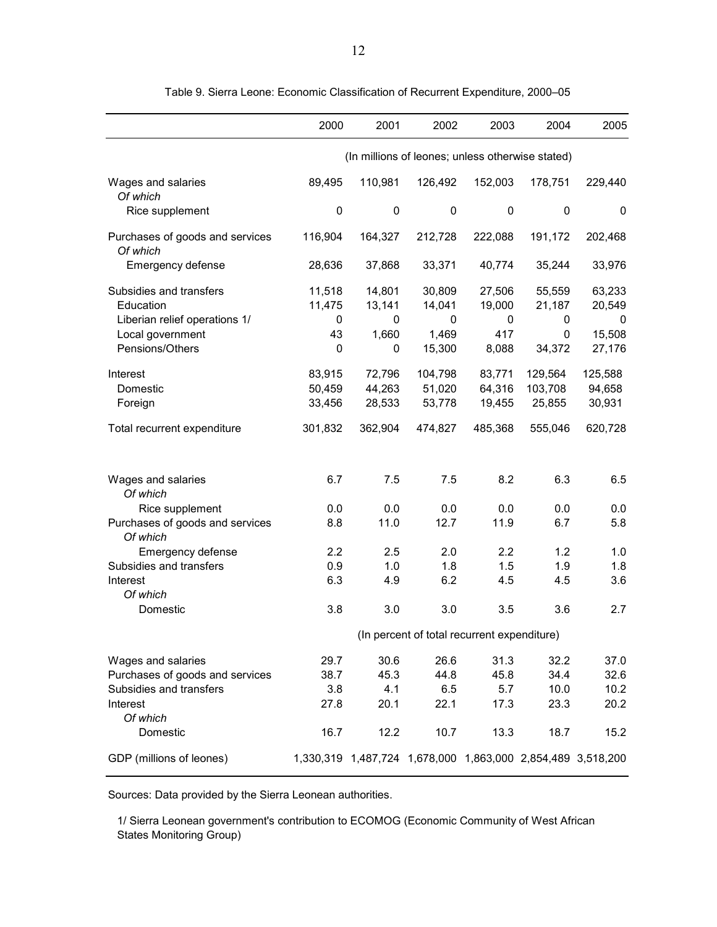|                                                                       | 2000                        | 2001                                                        | 2002                                        | 2003                         | 2004                                 | 2005                            |
|-----------------------------------------------------------------------|-----------------------------|-------------------------------------------------------------|---------------------------------------------|------------------------------|--------------------------------------|---------------------------------|
|                                                                       |                             | (In millions of leones; unless otherwise stated)            |                                             |                              |                                      |                                 |
| Wages and salaries<br>Of which                                        | 89,495                      | 110,981                                                     | 126,492                                     | 152,003                      | 178,751                              | 229,440                         |
| Rice supplement                                                       | $\pmb{0}$                   | $\pmb{0}$                                                   | 0                                           | 0                            | 0                                    | 0                               |
| Purchases of goods and services<br>Of which                           | 116,904                     | 164,327                                                     | 212,728                                     | 222,088                      | 191,172                              | 202,468                         |
| Emergency defense                                                     | 28,636                      | 37,868                                                      | 33,371                                      | 40,774                       | 35,244                               | 33,976                          |
| Subsidies and transfers<br>Education<br>Liberian relief operations 1/ | 11,518<br>11,475<br>0<br>43 | 14,801<br>13,141<br>0                                       | 30,809<br>14,041<br>0                       | 27,506<br>19,000<br>0<br>417 | 55,559<br>21,187<br>0<br>$\mathbf 0$ | 63,233<br>20,549<br>0<br>15,508 |
| Local government<br>Pensions/Others                                   | 0                           | 1,660<br>0                                                  | 1,469<br>15,300                             | 8,088                        | 34,372                               | 27,176                          |
| Interest<br>Domestic<br>Foreign                                       | 83,915<br>50,459<br>33,456  | 72,796<br>44,263<br>28,533                                  | 104,798<br>51,020<br>53,778                 | 83,771<br>64,316<br>19,455   | 129,564<br>103,708<br>25,855         | 125,588<br>94,658<br>30,931     |
| Total recurrent expenditure                                           | 301,832                     | 362,904                                                     | 474,827                                     | 485,368                      | 555,046                              | 620,728                         |
| Wages and salaries<br>Of which                                        | 6.7                         | 7.5                                                         | 7.5                                         | 8.2                          | 6.3                                  | 6.5                             |
| Rice supplement                                                       | 0.0                         | 0.0                                                         | 0.0                                         | 0.0                          | 0.0                                  | 0.0                             |
| Purchases of goods and services<br>Of which                           | 8.8                         | 11.0                                                        | 12.7                                        | 11.9                         | 6.7                                  | 5.8                             |
| Emergency defense                                                     | 2.2                         | 2.5                                                         | 2.0                                         | 2.2                          | 1.2                                  | 1.0                             |
| Subsidies and transfers                                               | 0.9                         | 1.0                                                         | 1.8                                         | 1.5                          | 1.9                                  | 1.8                             |
| Interest<br>Of which                                                  | 6.3                         | 4.9                                                         | 6.2                                         | 4.5                          | 4.5                                  | 3.6                             |
| Domestic                                                              | 3.8                         | 3.0                                                         | 3.0                                         | 3.5                          | 3.6                                  | 2.7                             |
|                                                                       |                             |                                                             | (In percent of total recurrent expenditure) |                              |                                      |                                 |
| Wages and salaries                                                    | 29.7                        | 30.6                                                        | 26.6                                        | 31.3                         | 32.2                                 | 37.0                            |
| Purchases of goods and services                                       | 38.7                        | 45.3                                                        | 44.8                                        | 45.8                         | 34.4                                 | 32.6                            |
| Subsidies and transfers<br>Interest                                   | 3.8<br>27.8                 | 4.1<br>20.1                                                 | 6.5<br>22.1                                 | 5.7<br>17.3                  | 10.0<br>23.3                         | 10.2<br>20.2                    |
| Of which<br>Domestic                                                  | 16.7                        | 12.2                                                        | 10.7                                        | 13.3                         | 18.7                                 | 15.2                            |
| GDP (millions of leones)                                              |                             | 1,330,319 1,487,724 1,678,000 1,863,000 2,854,489 3,518,200 |                                             |                              |                                      |                                 |

Table 9. Sierra Leone: Economic Classification of Recurrent Expenditure, 2000–05

Sources: Data provided by the Sierra Leonean authorities.

1/ Sierra Leonean government's contribution to ECOMOG (Economic Community of West African States Monitoring Group)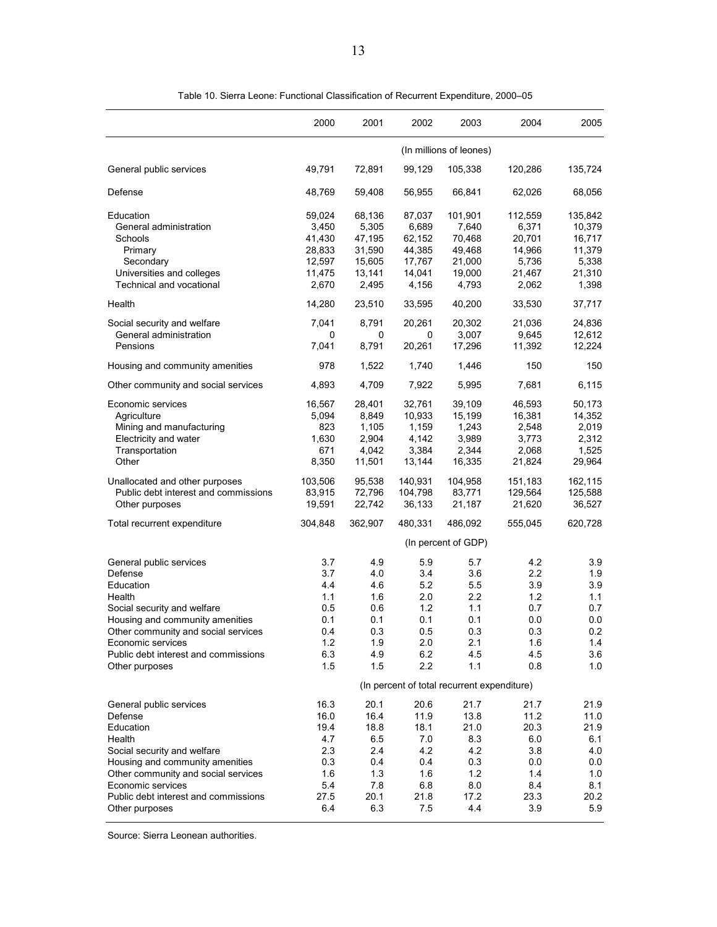|                                                                                                                                                                                                                                                   | 2000                                                                 | 2001                                                               | 2002                                                               | 2003                                                               | 2004                                                               | 2005                                                               |
|---------------------------------------------------------------------------------------------------------------------------------------------------------------------------------------------------------------------------------------------------|----------------------------------------------------------------------|--------------------------------------------------------------------|--------------------------------------------------------------------|--------------------------------------------------------------------|--------------------------------------------------------------------|--------------------------------------------------------------------|
|                                                                                                                                                                                                                                                   |                                                                      |                                                                    |                                                                    | (In millions of leones)                                            |                                                                    |                                                                    |
| General public services                                                                                                                                                                                                                           | 49,791                                                               | 72,891                                                             | 99,129                                                             | 105,338                                                            | 120,286                                                            | 135,724                                                            |
| Defense                                                                                                                                                                                                                                           | 48,769                                                               | 59,408                                                             | 56,955                                                             | 66,841                                                             | 62,026                                                             | 68,056                                                             |
| Education<br>General administration<br>Schools<br>Primary<br>Secondary<br>Universities and colleges<br>Technical and vocational                                                                                                                   | 59,024<br>3,450<br>41,430<br>28,833<br>12,597<br>11,475<br>2,670     | 68,136<br>5,305<br>47,195<br>31,590<br>15,605<br>13,141<br>2,495   | 87,037<br>6,689<br>62,152<br>44,385<br>17,767<br>14,041<br>4,156   | 101,901<br>7,640<br>70,468<br>49,468<br>21,000<br>19,000<br>4,793  | 112,559<br>6,371<br>20,701<br>14,966<br>5,736<br>21,467<br>2,062   | 135,842<br>10,379<br>16,717<br>11,379<br>5,338<br>21,310<br>1,398  |
| Health                                                                                                                                                                                                                                            | 14,280                                                               | 23,510                                                             | 33,595                                                             | 40,200                                                             | 33,530                                                             | 37,717                                                             |
| Social security and welfare<br>General administration<br>Pensions                                                                                                                                                                                 | 7,041<br>0<br>7,041                                                  | 8,791<br>0<br>8,791                                                | 20,261<br>0<br>20,261                                              | 20,302<br>3,007<br>17,296                                          | 21,036<br>9,645<br>11,392                                          | 24,836<br>12,612<br>12,224                                         |
| Housing and community amenities                                                                                                                                                                                                                   | 978                                                                  | 1,522                                                              | 1,740                                                              | 1,446                                                              | 150                                                                | 150                                                                |
| Other community and social services                                                                                                                                                                                                               | 4,893                                                                | 4,709                                                              | 7,922                                                              | 5,995                                                              | 7,681                                                              | 6,115                                                              |
| Economic services<br>Agriculture<br>Mining and manufacturing<br>Electricity and water<br>Transportation<br>Other                                                                                                                                  | 16,567<br>5,094<br>823<br>1,630<br>671<br>8,350                      | 28,401<br>8,849<br>1,105<br>2,904<br>4,042<br>11,501               | 32,761<br>10,933<br>1,159<br>4,142<br>3,384<br>13,144              | 39,109<br>15,199<br>1,243<br>3,989<br>2,344<br>16,335              | 46,593<br>16,381<br>2,548<br>3,773<br>2,068<br>21,824              | 50,173<br>14,352<br>2,019<br>2,312<br>1,525<br>29,964              |
| Unallocated and other purposes<br>Public debt interest and commissions<br>Other purposes                                                                                                                                                          | 103,506<br>83,915<br>19,591                                          | 95,538<br>72,796<br>22,742                                         | 140,931<br>104,798<br>36,133                                       | 104,958<br>83,771<br>21,187                                        | 151,183<br>129,564<br>21,620                                       | 162,115<br>125,588<br>36,527                                       |
| Total recurrent expenditure                                                                                                                                                                                                                       | 304,848                                                              | 362,907                                                            | 480,331                                                            | 486,092                                                            | 555,045                                                            | 620,728                                                            |
|                                                                                                                                                                                                                                                   |                                                                      |                                                                    |                                                                    | (In percent of GDP)                                                |                                                                    |                                                                    |
| General public services<br>Defense<br>Education<br>Health<br>Social security and welfare<br>Housing and community amenities<br>Other community and social services<br>Economic services<br>Public debt interest and commissions<br>Other purposes | 3.7<br>3.7<br>4.4<br>1.1<br>0.5<br>0.1<br>0.4<br>$1.2$<br>6.3<br>1.5 | 4.9<br>4.0<br>4.6<br>1.6<br>0.6<br>0.1<br>0.3<br>1.9<br>4.9<br>1.5 | 5.9<br>3.4<br>5.2<br>2.0<br>1.2<br>0.1<br>0.5<br>2.0<br>6.2<br>2.2 | 5.7<br>3.6<br>5.5<br>2.2<br>1.1<br>0.1<br>0.3<br>2.1<br>4.5<br>1.1 | 4.2<br>2.2<br>3.9<br>1.2<br>0.7<br>0.0<br>0.3<br>1.6<br>4.5<br>0.8 | 3.9<br>1.9<br>3.9<br>1.1<br>0.7<br>0.0<br>0.2<br>1.4<br>3.6<br>1.0 |
|                                                                                                                                                                                                                                                   |                                                                      |                                                                    |                                                                    | (In percent of total recurrent expenditure)                        |                                                                    |                                                                    |
| General public services<br>Defense<br>Education<br>Health<br>Social security and welfare<br>Housing and community amenities<br>Other community and social services                                                                                | 16.3<br>16.0<br>19.4<br>4.7<br>2.3<br>0.3<br>1.6                     | 20.1<br>16.4<br>18.8<br>6.5<br>2.4<br>0.4<br>1.3                   | 20.6<br>11.9<br>18.1<br>7.0<br>4.2<br>0.4<br>1.6                   | 21.7<br>13.8<br>21.0<br>8.3<br>4.2<br>0.3<br>1.2                   | 21.7<br>11.2<br>20.3<br>6.0<br>3.8<br>0.0<br>1.4                   | 21.9<br>11.0<br>21.9<br>6.1<br>4.0<br>0.0<br>1.0                   |
| Economic services<br>Public debt interest and commissions<br>Other purposes                                                                                                                                                                       | 5.4<br>27.5<br>6.4                                                   | 7.8<br>20.1<br>6.3                                                 | 6.8<br>21.8<br>7.5                                                 | 8.0<br>17.2<br>4.4                                                 | 8.4<br>23.3<br>3.9                                                 | 8.1<br>20.2<br>5.9                                                 |

Table 10. Sierra Leone: Functional Classification of Recurrent Expenditure, 2000–05

Source: Sierra Leonean authorities.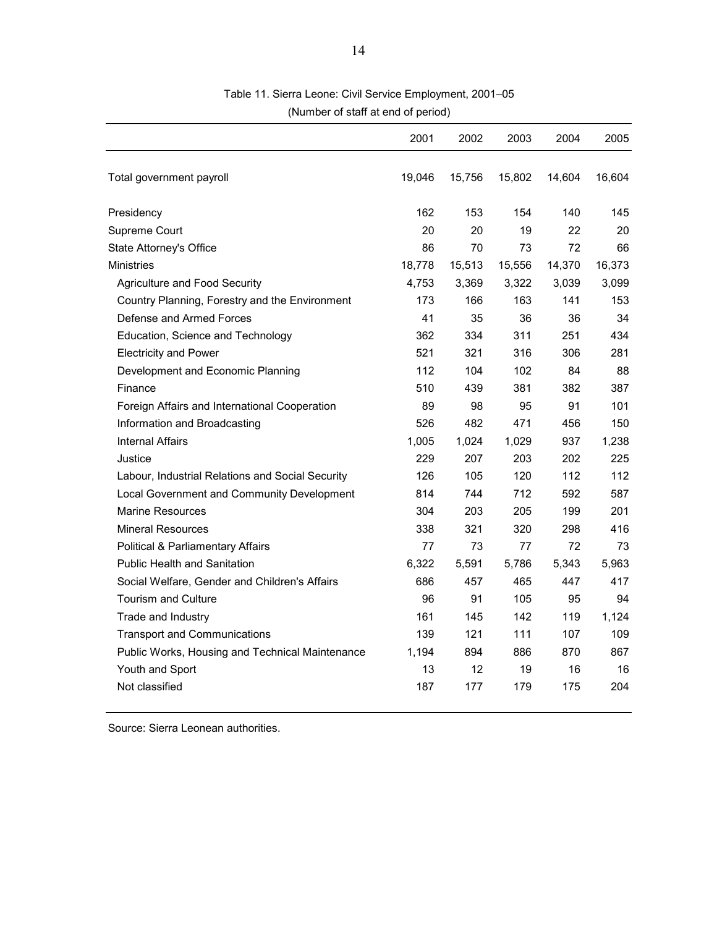|                                                  | 2001   | 2002   | 2003   | 2004   | 2005   |
|--------------------------------------------------|--------|--------|--------|--------|--------|
| Total government payroll                         | 19,046 | 15,756 | 15,802 | 14,604 | 16,604 |
| Presidency                                       | 162    | 153    | 154    | 140    | 145    |
| Supreme Court                                    | 20     | 20     | 19     | 22     | 20     |
| State Attorney's Office                          | 86     | 70     | 73     | 72     | 66     |
| <b>Ministries</b>                                | 18,778 | 15,513 | 15,556 | 14,370 | 16,373 |
| Agriculture and Food Security                    | 4,753  | 3,369  | 3,322  | 3,039  | 3,099  |
| Country Planning, Forestry and the Environment   | 173    | 166    | 163    | 141    | 153    |
| Defense and Armed Forces                         | 41     | 35     | 36     | 36     | 34     |
| Education, Science and Technology                | 362    | 334    | 311    | 251    | 434    |
| <b>Electricity and Power</b>                     | 521    | 321    | 316    | 306    | 281    |
| Development and Economic Planning                | 112    | 104    | 102    | 84     | 88     |
| Finance                                          | 510    | 439    | 381    | 382    | 387    |
| Foreign Affairs and International Cooperation    | 89     | 98     | 95     | 91     | 101    |
| Information and Broadcasting                     | 526    | 482    | 471    | 456    | 150    |
| <b>Internal Affairs</b>                          | 1,005  | 1,024  | 1,029  | 937    | 1,238  |
| Justice                                          | 229    | 207    | 203    | 202    | 225    |
| Labour, Industrial Relations and Social Security | 126    | 105    | 120    | 112    | 112    |
| Local Government and Community Development       | 814    | 744    | 712    | 592    | 587    |
| <b>Marine Resources</b>                          | 304    | 203    | 205    | 199    | 201    |
| <b>Mineral Resources</b>                         | 338    | 321    | 320    | 298    | 416    |
| <b>Political &amp; Parliamentary Affairs</b>     | 77     | 73     | 77     | 72     | 73     |
| <b>Public Health and Sanitation</b>              | 6,322  | 5,591  | 5,786  | 5,343  | 5,963  |
| Social Welfare, Gender and Children's Affairs    | 686    | 457    | 465    | 447    | 417    |
| <b>Tourism and Culture</b>                       | 96     | 91     | 105    | 95     | 94     |
| Trade and Industry                               | 161    | 145    | 142    | 119    | 1,124  |
| <b>Transport and Communications</b>              | 139    | 121    | 111    | 107    | 109    |
| Public Works, Housing and Technical Maintenance  | 1,194  | 894    | 886    | 870    | 867    |
| Youth and Sport                                  | 13     | 12     | 19     | 16     | 16     |
| Not classified                                   | 187    | 177    | 179    | 175    | 204    |
|                                                  |        |        |        |        |        |

## Table 11. Sierra Leone: Civil Service Employment, 2001–05 (Number of staff at end of period)

Source: Sierra Leonean authorities.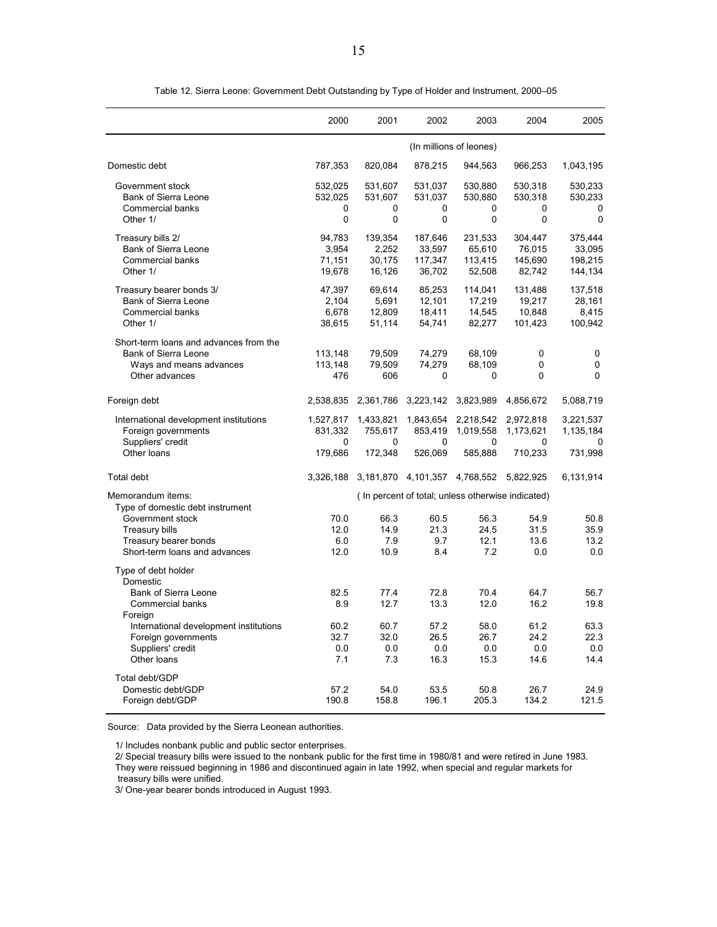|                                                                                                                                         | 2000                                   | 2001                                 | 2002                                   | 2003                                              | 2004                                              | 2005                                    |
|-----------------------------------------------------------------------------------------------------------------------------------------|----------------------------------------|--------------------------------------|----------------------------------------|---------------------------------------------------|---------------------------------------------------|-----------------------------------------|
|                                                                                                                                         |                                        |                                      |                                        | (In millions of leones)                           |                                                   |                                         |
| Domestic debt                                                                                                                           | 787,353                                | 820,084                              | 878,215                                | 944,563                                           | 966,253                                           | 1,043,195                               |
| Government stock<br><b>Bank of Sierra Leone</b><br><b>Commercial banks</b><br>Other 1/                                                  | 532,025<br>532,025<br>0<br>$\mathbf 0$ | 531,607<br>531,607<br>0<br>0         | 531,037<br>531,037<br>0<br>0           | 530,880<br>530,880<br>0<br>0                      | 530,318<br>530,318<br>0<br>0                      | 530,233<br>530,233<br>$\mathbf{0}$<br>0 |
| Treasury bills 2/<br><b>Bank of Sierra Leone</b><br><b>Commercial banks</b><br>Other 1/                                                 | 94,783<br>3,954<br>71,151<br>19,678    | 139,354<br>2,252<br>30,175<br>16,126 | 187,646<br>33,597<br>117,347<br>36,702 | 231,533<br>65,610<br>113,415<br>52,508            | 304,447<br>76,015<br>145,690<br>82,742            | 375,444<br>33,095<br>198,215<br>144,134 |
| Treasury bearer bonds 3/<br><b>Bank of Sierra Leone</b><br><b>Commercial banks</b><br>Other 1/                                          | 47,397<br>2,104<br>6,678<br>38,615     | 69,614<br>5,691<br>12,809<br>51,114  | 85,253<br>12,101<br>18,411<br>54,741   | 114,041<br>17,219<br>14,545<br>82,277             | 131,488<br>19,217<br>10,848<br>101,423            | 137,518<br>28,161<br>8,415<br>100,942   |
| Short-term loans and advances from the<br><b>Bank of Sierra Leone</b><br>Ways and means advances<br>Other advances                      | 113,148<br>113,148<br>476              | 79,509<br>79,509<br>606              | 74,279<br>74,279<br>0                  | 68,109<br>68,109<br>0                             | 0<br>0<br>0                                       | 0<br>$\mathbf 0$<br>$\mathbf{0}$        |
| Foreign debt                                                                                                                            | 2,538,835                              | 2,361,786                            | 3,223,142                              | 3,823,989                                         | 4,856,672                                         | 5,088,719                               |
| International development institutions<br>Foreign governments<br>Suppliers' credit<br>Other loans                                       | 1,527,817<br>831,332<br>0<br>179,686   | 1,433,821<br>755,617<br>0<br>172,348 | 1,843,654<br>853,419<br>0<br>526,069   | 2,218,542<br>1,019,558<br>0<br>585,888            | 2,972,818<br>1,173,621<br>0<br>710,233            | 3,221,537<br>1,135,184<br>0<br>731,998  |
| Total debt                                                                                                                              |                                        |                                      |                                        | 3,326,188 3,181,870 4,101,357 4,768,552 5,822,925 |                                                   | 6,131,914                               |
| Memorandum items:                                                                                                                       |                                        |                                      |                                        |                                                   | (In percent of total; unless otherwise indicated) |                                         |
| Type of domestic debt instrument<br>Government stock<br><b>Treasury bills</b><br>Treasury bearer bonds<br>Short-term loans and advances | 70.0<br>12.0<br>6.0<br>12.0            | 66.3<br>14.9<br>7.9<br>10.9          | 60.5<br>21.3<br>9.7<br>8.4             | 56.3<br>24.5<br>12.1<br>7.2                       | 54.9<br>31.5<br>13.6<br>0.0                       | 50.8<br>35.9<br>13.2<br>0.0             |
| Type of debt holder<br>Domestic                                                                                                         |                                        |                                      |                                        |                                                   |                                                   |                                         |
| <b>Bank of Sierra Leone</b><br>Commercial banks<br>Foreign                                                                              | 82.5<br>8.9                            | 77.4<br>12.7                         | 72.8<br>13.3                           | 70.4<br>12.0                                      | 64.7<br>16.2                                      | 56.7<br>19.8                            |
| International development institutions<br>Foreign governments<br>Suppliers' credit<br>Other loans                                       | 60.2<br>32.7<br>0.0<br>7.1             | 60.7<br>32.0<br>0.0<br>7.3           | 57.2<br>26.5<br>0.0<br>16.3            | 58.0<br>26.7<br>0.0<br>15.3                       | 61.2<br>24.2<br>0.0<br>14.6                       | 63.3<br>22.3<br>0.0<br>14.4             |
| Total debt/GDP<br>Domestic debt/GDP<br>Foreign debt/GDP                                                                                 | 57.2<br>190.8                          | 54.0<br>158.8                        | 53.5<br>196.1                          | 50.8<br>205.3                                     | 26.7<br>134.2                                     | 24.9<br>121.5                           |

Table 12. Sierra Leone: Government Debt Outstanding by Type of Holder and Instrument, 2000–05

Source: Data provided by the Sierra Leonean authorities.

1/ Includes nonbank public and public sector enterprises.

2/ Special treasury bills were issued to the nonbank public for the first time in 1980/81 and were retired in June 1983.

They were reissued beginning in 1986 and discontinued again in late 1992, when special and regular markets for

treasury bills were unified.

3/ One-year bearer bonds introduced in August 1993.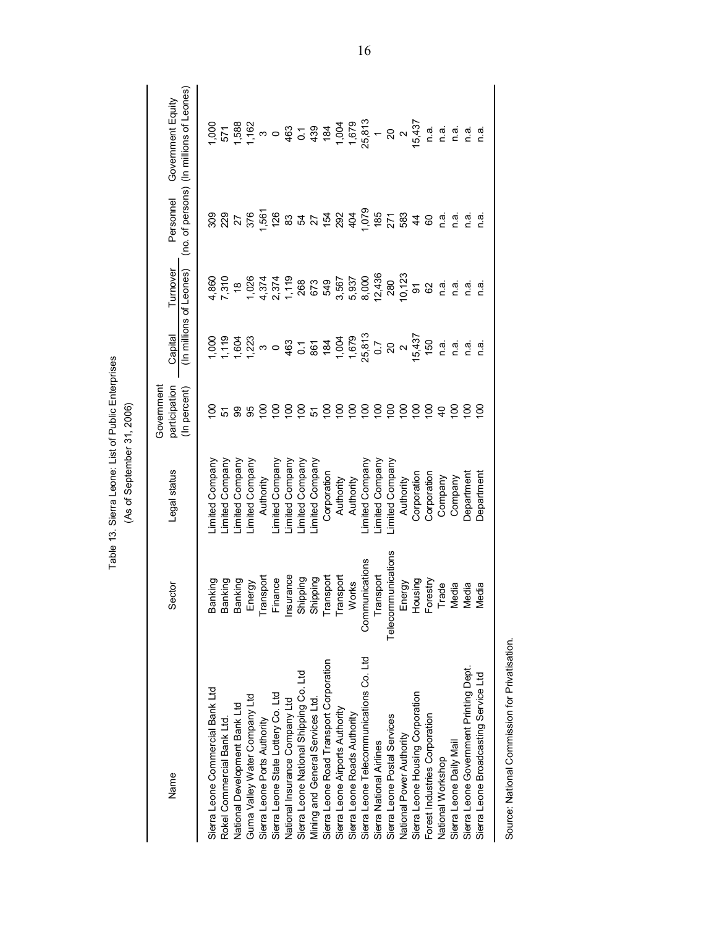| Name                                           | Sector                                         | Legal status    | Government<br>participation<br>(In percent) | (In millions of Leones)<br>Capital                                                                          | Turnover                          | Personnel       | (no. of persons) (In millions of Leones)<br>Government Equity                                   |
|------------------------------------------------|------------------------------------------------|-----------------|---------------------------------------------|-------------------------------------------------------------------------------------------------------------|-----------------------------------|-----------------|-------------------------------------------------------------------------------------------------|
|                                                |                                                |                 |                                             |                                                                                                             |                                   |                 |                                                                                                 |
| Sierra Leone Commercial Bank Ltd               | Banking                                        | imited Company  | s                                           |                                                                                                             | 4,860                             |                 |                                                                                                 |
| Rokel Commercial Bank Ltd                      | Banking                                        | imited Company  |                                             |                                                                                                             | 7,310                             |                 |                                                                                                 |
| National Development Bank Ltd                  | Banking                                        | imited Company  | <u> ភ ន ន</u>                               |                                                                                                             |                                   |                 |                                                                                                 |
| Guma Valley Water Company Ltd                  | Energy                                         | imited Company  |                                             |                                                                                                             |                                   | 3825<br>2525    |                                                                                                 |
| Sierra Leone Ports Authority                   | Transport                                      | Authority       | $\frac{8}{2}$                               | $1.7828$ $1.6283$ $1.6283$ $1.6283$ $1.6283$ $1.6283$ $1.6283$ $1.6283$ $1.6283$ $1.6283$ $1.6283$ $1.6283$ |                                   |                 | $1.500$ $1.500$ $1.500$ $1.500$ $1.500$ $1.500$ $1.500$ $1.500$ $1.500$ $1.500$ $1.500$ $1.500$ |
| Sierra Leone State Lottery Co. Ltd             | Finance                                        | -imited Company | $\overline{5}$                              |                                                                                                             |                                   | 1,561<br>126    |                                                                                                 |
| National Insurance Company Ltd                 |                                                | imited Company  | ខ្ញុំខ្ចុ                                   |                                                                                                             |                                   |                 |                                                                                                 |
| Sierra Leone National Shipping Co. Ltd         |                                                | imited Company  |                                             |                                                                                                             |                                   |                 |                                                                                                 |
| Mining and General Services Ltd.               | Insurance<br>Shipping<br>Shipping<br>Transport | imited Company  |                                             |                                                                                                             |                                   |                 |                                                                                                 |
| Sierra Leone Road Transport Corporation        |                                                | Corporation     | $\frac{5}{2}$                               |                                                                                                             |                                   |                 |                                                                                                 |
| Sierra Leone Airports Authority                | Transport                                      | Authority       | $\overline{5}$                              |                                                                                                             |                                   |                 |                                                                                                 |
| Sierra Leone Roads Authority                   | Works                                          | Authority       | $\frac{8}{10}$                              |                                                                                                             |                                   |                 |                                                                                                 |
| Sierra Leone Telecommunications Co. Ltd        | Communications                                 | imited Company  | 001                                         |                                                                                                             | 3,567<br>5,937<br>8,000<br>12,436 | 835758345655834 |                                                                                                 |
| Sierra National Airlines                       | Transport                                      | imited Company  | $\frac{8}{2}$                               |                                                                                                             |                                   |                 |                                                                                                 |
| Sierra Leone Postal Services                   | munications<br>Telecom                         | imited Company  | $\overline{5}$                              |                                                                                                             | 280                               |                 |                                                                                                 |
| National Power Authority                       | Energy                                         | Authority       | $\overline{00}$                             | 0.7<br>20<br>15,437<br>150                                                                                  | 10,123                            |                 |                                                                                                 |
| Sierra Leone Housing Corporation               |                                                | Corporation     | $\frac{8}{10}$                              |                                                                                                             | 5                                 |                 | 5,437                                                                                           |
| Forest Industries Corporation                  | Housing<br>Forestry                            | Corporation     | $^{100}$                                    |                                                                                                             | 62                                | 8               | ດ.<br>C                                                                                         |
| National Workshop                              | Trade                                          | Company         | $\overline{a}$                              | n.a.                                                                                                        | n.a.                              | n.a.            | r.ai                                                                                            |
| Sierra Leone Daily Mail                        | ledia                                          | Company         | $\overline{5}$                              | n.a.                                                                                                        | n.ai                              | n.ai            | n.a                                                                                             |
| Sierra Leone Government Printing Dept.         | ledia                                          | Department      | $\frac{8}{2}$                               | n.ai                                                                                                        | r.ai                              | n.a             | n.a                                                                                             |
| Sierra Leone Broadcasting Service Ltd          | ledia                                          | Department      | $\overline{5}$                              | ن<br>د                                                                                                      | ์<br>ดี                           | n.ai            | n.a                                                                                             |
| Source: National Commission for Privatisation. |                                                |                 |                                             |                                                                                                             |                                   |                 |                                                                                                 |

Table 13. Sierra Leone: List of Public Enterprises<br>(As of September 31, 2006)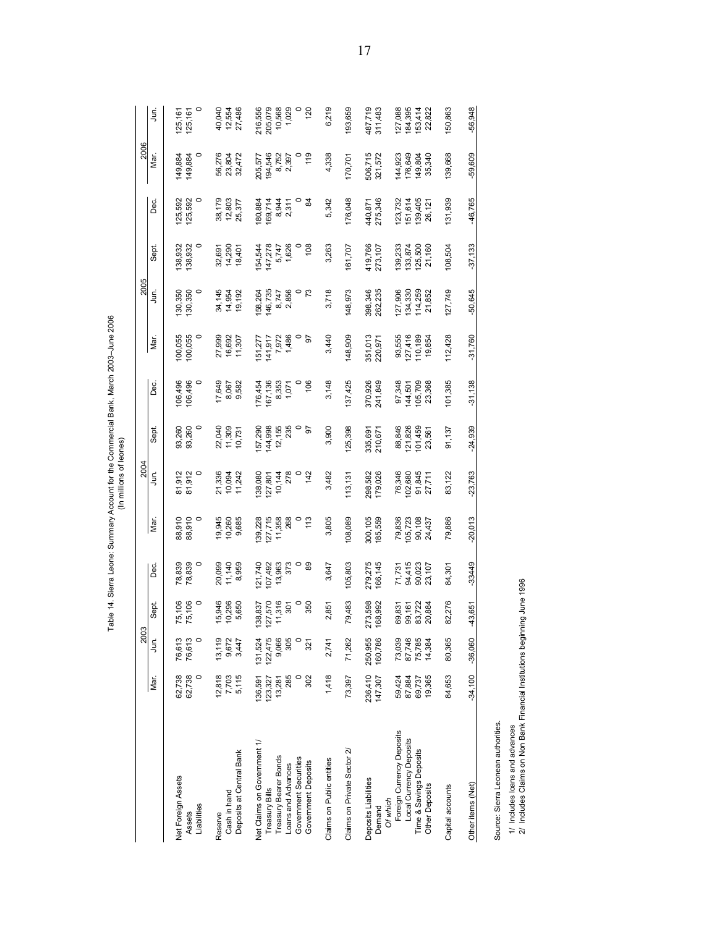Table 14. Sierra Leone: Summary Account for the Commercial Bank, March 2003-June 2006<br>(In millions of leones)

| 76,613<br>76,613<br>Jun.<br>Mar.<br>62,738<br>$\circ$<br>62,738<br>Net Foreign Assets<br>Liabilities<br>Assets                                                                                                                                                                     | 2003                                                       |                                                            |                                                             | 2004                                                        |                                                                  |                                                              |                                                              | 2005                                                          |                                                               |                                                               | 2006                                                          |                                                               |
|------------------------------------------------------------------------------------------------------------------------------------------------------------------------------------------------------------------------------------------------------------------------------------|------------------------------------------------------------|------------------------------------------------------------|-------------------------------------------------------------|-------------------------------------------------------------|------------------------------------------------------------------|--------------------------------------------------------------|--------------------------------------------------------------|---------------------------------------------------------------|---------------------------------------------------------------|---------------------------------------------------------------|---------------------------------------------------------------|---------------------------------------------------------------|
|                                                                                                                                                                                                                                                                                    | Sept.                                                      | ാം<br>മ                                                    | Mar.                                                        | $\overline{5}$                                              | Sept.                                                            | Dec.                                                         | Mar.                                                         | ∫<br>∃                                                        | Sept.                                                         | Öe.                                                           | Mar.                                                          | j<br>B                                                        |
|                                                                                                                                                                                                                                                                                    | 75,106<br>75,106<br>$\circ$<br>$\circ$                     | $\circ$<br>78,839<br>78,839                                | 88,910<br>88,910                                            | 81,912<br>81,912<br>81,91                                   | $\circ$<br>93,260<br>93,260                                      | 106,496<br>$\circ$<br>106,496                                | 100,055<br>$\circ$<br>100,055                                | $\circ$<br>130,350<br>130,350                                 | 138,932<br>$\circ$<br>138,932                                 | $\circ$<br>125,592<br>125,592                                 | 149,884<br>0<br>149,884                                       | $\circ$<br>125,161<br>125,161                                 |
| 9,672<br>3,447<br>13,119<br>12,818<br>5,115<br>7,703<br>Deposits at Central Bank<br>Cash in hand<br>Reserve                                                                                                                                                                        | 15,946<br>10,296<br>5,650                                  | 8,959<br>20,099<br>11,140                                  | 19,945<br>9,685<br>10,260                                   | 21,336<br>10,094<br>11,242                                  | 22,040<br>11,309<br>10,731                                       | 17,649<br>8,067<br>9,582                                     | 27,999<br>16,692<br>11,307                                   | 34,145<br>14,954<br>19,192                                    | 14,290<br>32,691<br>18,401                                    | 38, 179<br>12, 803<br>25, 377                                 | 56,276<br>23,804<br>32,472                                    | 40,040<br>12,554<br>27,486                                    |
| 305<br>122,475<br>9,066<br>$\circ$<br>131,524<br>321<br>285<br>302<br>136,591<br>123,327<br>13,281<br>Net Claims on Government 1/<br>Treasury Bearer Bonds<br>Government Securities<br>Government Deposits<br>Loans and Advances<br>Treasury Bills                                 | 11,316<br>350<br>127,570<br>$\circ$<br>138,837<br>301      | $\circ$<br>89<br>13,963<br>373<br>121,740<br>107,492       | 127,715<br>268<br>139,228<br>11,358<br>$\circ$<br>113       | 278<br>142<br>138,080<br>10,144<br>127,801                  | $\circ$<br>144,998<br>12,155<br>235<br>$\overline{9}$<br>157,290 | 106<br>167,136<br>8,353<br>176,454<br>1,071                  | 141,917<br>7,972<br>1,486<br>9<br>151,277                    | $\mathfrak{c}$<br>2,856<br>146,735<br>158,264<br>8,747        | 108<br>147,278<br>5,747<br>1,626<br>154,544                   | $\frac{4}{3}$<br>180,884<br>169,714<br>8,944<br>2,311         | 119<br>194,546<br>8,752<br>2,397<br>205,577                   | 216,556<br>205,079<br>10,568<br>1,029<br>$\circ$<br>120       |
| 71,262<br>2,741<br>1,418<br>73,397<br>Claims on Private Sector 2/<br>Claims on Public entities                                                                                                                                                                                     | 79,483<br>2,851                                            | 105,803<br>3,647                                           | 3,805<br>108,089                                            | 3,482<br>113,131                                            | 3,900<br>125,398                                                 | 137,425<br>3,148                                             | 3,440<br>148,909                                             | 3,718<br>148,973                                              | 3,263<br>161,707                                              | 5,342<br>176,048                                              | 4,338<br>170,701                                              | 6,219<br>193,659                                              |
| 87,746<br>75,785<br>250,955<br>160,786<br>73,039<br>14,384<br>236,410<br>147,307<br>59,424<br>87,884<br>19,365<br>69,737<br>Foreign Currency Deposits<br>Local Currency Deposits<br>Time & Savings Deposits<br>Deposits Liabilities<br><b>Other Deposits</b><br>Of which<br>Demand | 273,598<br>168,992<br>83,722<br>69,831<br>99,161<br>20,884 | 279,275<br>166,145<br>94,415<br>90,023<br>23,107<br>71,731 | 300,105<br>185,559<br>79,836<br>105,723<br>90,108<br>24,437 | 91,845<br>298,582<br>179,026<br>76,346<br>102,680<br>27,711 | 121,826<br> 01,459<br>88,846<br>23,561<br>335,691<br>210,671     | 370,926<br>241,849<br>97,348<br>105,709<br>23,368<br>144,501 | 351,013<br>127,416<br>110,189<br>220,971<br>93,555<br>19,854 | 398,346<br>262,235<br>127,906<br>134,330<br>114,259<br>21,852 | 419,766<br>273,107<br>139,233<br>133,874<br>125,500<br>21,160 | 440,871<br>275,346<br>139,405<br>151,614<br>123,732<br>26,121 | 506,715<br>321,572<br>176,649<br>149,804<br>35,340<br>144,923 | 487,719<br>311,483<br>127,088<br>184,395<br>153,414<br>22,822 |
| 80,365<br>84,653<br>Capital accounts                                                                                                                                                                                                                                               | 82,276                                                     | 84,301                                                     | 79,886                                                      | 83,122                                                      | 91,137                                                           | 101,385                                                      | 112,428                                                      | 127,749                                                       | 108,504                                                       | 131,939                                                       | 139,668                                                       | 150,863<br>$-56,948$                                          |
| $-36,060$<br>$-34.100$<br>Source: Sierra Leonean authorities.<br>1/ Includes loans and advances<br>Other items (Net)                                                                                                                                                               | $-43,651$                                                  | -33449                                                     | $-20,013$                                                   | $-23,763$                                                   | $-24,939$                                                        | $-31,138$                                                    | $-31,760$                                                    | $-50,645$                                                     | $-37,133$                                                     | -46,765                                                       | -59,609                                                       |                                                               |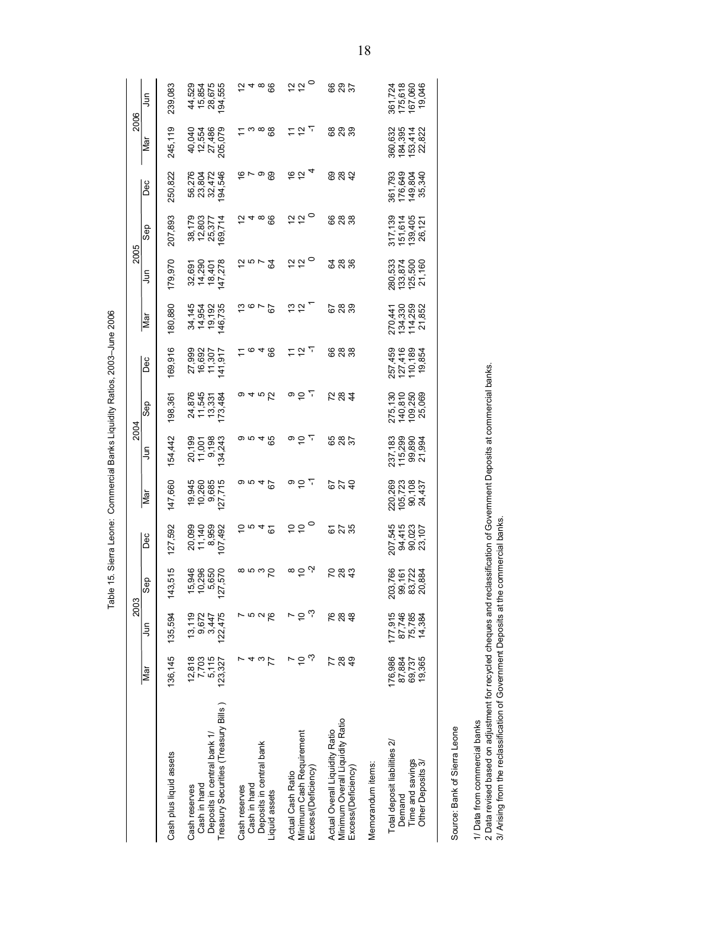Table 15. Sierra Leone: Commercial Banks Liquidity Ratios, 2003-June 2006

|                                                                                                                                                                |                                       | 2003                                  |                                                 |                                       |                                        | 2004                                                         |                                             |                                         |                                         | 2005                                      |                                             |                                         | 2006                                    |                                                        |
|----------------------------------------------------------------------------------------------------------------------------------------------------------------|---------------------------------------|---------------------------------------|-------------------------------------------------|---------------------------------------|----------------------------------------|--------------------------------------------------------------|---------------------------------------------|-----------------------------------------|-----------------------------------------|-------------------------------------------|---------------------------------------------|-----------------------------------------|-----------------------------------------|--------------------------------------------------------|
|                                                                                                                                                                | Nar                                   | ş                                     | dəs<br>S                                        | Dec                                   | $\overline{\mathbb{R}}$                | ş                                                            | Sep                                         | Dec                                     | Nar                                     | ş                                         | Sep                                         | Dec                                     | lai                                     | Ę                                                      |
| Cash plus liquid assets                                                                                                                                        | 136, 145                              | 135,594                               | 143,515                                         | 127,592                               | 147,660                                | 154,442                                                      | 198,361                                     | 169,916                                 | 180,880                                 | 179,970                                   | 207,893                                     | 250,822                                 | 245,119                                 | 239,083                                                |
| Treasury Securities (Treasury Bills)<br>Deposits in central bank 1/<br>Cash in hand<br>Cash reserves                                                           | 12,818<br>7,703<br>5,115<br>123,327   | 13,119<br>9,672<br>3,447<br>122,475   | 15,946<br>10,296<br>5,650<br>127,570            | 20,099<br>11,140<br>8,959<br>107,492  | 10,260<br>9,685<br>127,715<br>19,945   | 20,199<br>9,198<br>134,243<br>11,001                         | 24,876<br>11,545<br>13,331<br>173,484       | 27,999<br>16,692<br>11,307<br>141,917   | 34,145<br>14,954<br>19,192<br>146,735   | 32,691<br>14,290<br>18,401<br>147,278     | 38,179<br>12,803<br>25,377<br>169,714       | 194,546<br>56,276<br>23,804<br>32,472   | 40,040<br>12,554<br>27,486<br>205,079   | 44,529<br>15,854<br>194,555<br>194,555                 |
| Deposits in central bank<br>Cash in hand<br>Cash reserves<br>Liquid assets                                                                                     | $\frac{3}{7}$<br>4                    | 15<br>15<br>15<br>15                  | $\frac{8}{2}$                                   | 5042                                  | 9645                                   | o ro 4 ro                                                    | o 4 to 22                                   | 5048                                    | 5976                                    | $25 - 2$                                  | $\overline{a}$ 4 $\infty$ $\overline{a}$    | စ္ ~ ၀ စ္တ                              | <u>ద</u> బ ఐ ఐ                          | $\tilde{\sigma}$ 4 $\infty$ $\infty$                   |
| Minimum Cash Requirement<br>Excess/(Deficiency)<br>Actual Cash Ratio                                                                                           | ကု<br>$\Rightarrow$<br>r              | $\sim$ 5 $\omega$                     | $\stackrel{\sim}{\sim}$ $\stackrel{\sim}{\sim}$ | 550                                   | 이유도                                    | 이유도                                                          | $\overline{a}$ $\overline{b}$               | 797                                     | $\frac{1}{2}$ $\frac{1}{2}$             | $\frac{1}{2}$ $\frac{1}{2}$ $\frac{1}{2}$ | $\frac{1}{2}$ $\frac{1}{2}$                 | $rac{6}{6}$ $rac{7}{4}$                 | 797                                     | $\frac{1}{2}$ $\frac{1}{2}$                            |
| Minimum Overall Liquidity Ratio<br>Actual Overall Liquidity Ratio<br>Excess/(Deficiency)                                                                       | 289<br>77                             | <b>P</b> 8<br>$\frac{8}{4}$           | <b>283</b>                                      | <b>6</b> 25<br>ស                      | <b>678</b>                             | <b>887</b>                                                   | 284                                         | <b>888</b>                              | <b>688</b>                              | 388                                       | 888                                         | 887                                     | ន ន ន                                   | <b>885</b>                                             |
| Memorandum items:                                                                                                                                              |                                       |                                       |                                                 |                                       |                                        |                                                              |                                             |                                         |                                         |                                           |                                             |                                         |                                         |                                                        |
| Total deposit liabilities 2/<br>Time and savings<br>Other Deposits 3/<br>Demand                                                                                | 176,986<br>19,365<br>87,884<br>69,737 | 177,915<br>87,746<br>75,785<br>14,384 | 203,766<br>99,161<br>83,722<br>20,884           | 207,545<br>94,415<br>90,023<br>23,107 | 220,269<br>105,723<br>90,108<br>24,437 | 237,183<br>115,299<br>99,890<br>,994<br>$\frac{21}{3}$       | 275, 130<br>140, 810<br>109, 250<br>25, 069 | 257,459<br>127,416<br>110,189<br>19,854 | 270,441<br>134,330<br>114,259<br>21,852 | 280,533<br>133,874<br>125,500<br>21,160   | 317, 139<br>151, 614<br>139, 405<br>26, 121 | 361,793<br>176,649<br>149,804<br>35,340 | 360,632<br>184,395<br>153,414<br>22,822 | 361,724<br>175,618<br>167,060<br>046<br>$\overline{9}$ |
| Source: Bank of Sierra Leone                                                                                                                                   |                                       |                                       |                                                 |                                       |                                        |                                                              |                                             |                                         |                                         |                                           |                                             |                                         |                                         |                                                        |
| 2 Data revised based on adjustment for recycled cheques and<br>3/ Arising from the reclassification of Government Deposits at<br>1/ Data from commercial banks |                                       |                                       |                                                 | the commercial banks.                 |                                        | reclassification of Government Deposits at commercial banks. |                                             |                                         |                                         |                                           |                                             |                                         |                                         |                                                        |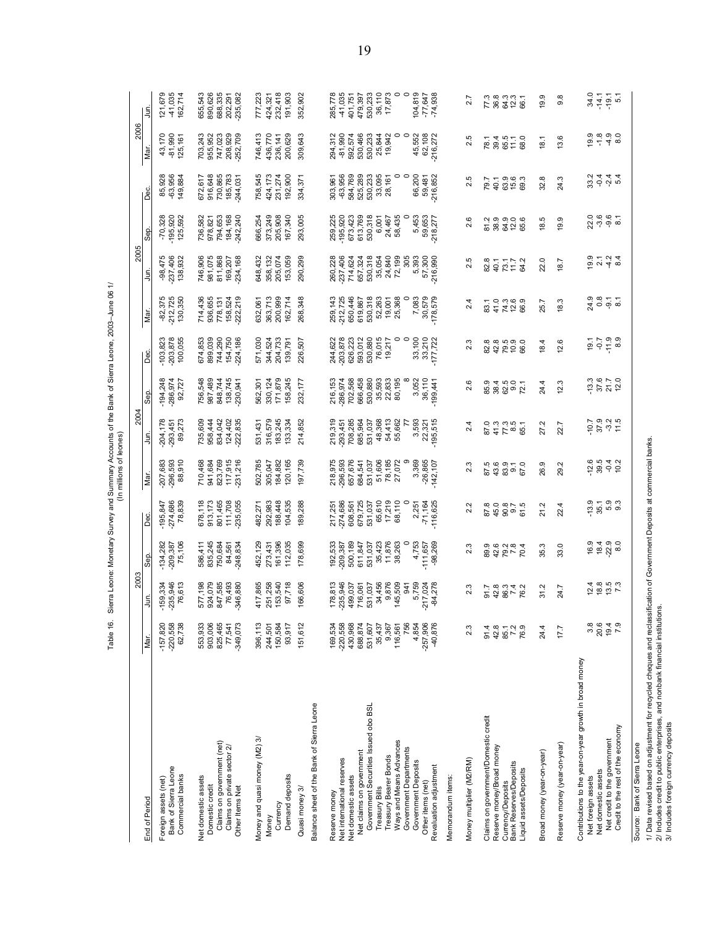Table 16. Sierra Leone: Monetary Survey and Summary Accounts of the Bank of Sierra Leone, 2003-June 06 1/

|                                                                                                                                                                                                                                                                                                                                   |                                                                                                                              | 2003                                                                                                                               |                                                                                                                                  |                                                                                                                                     |                                                                                                                        | 2004                                                                                                                        |                                                                                                                    |                                                                                                                                              |                                                                                                                   | 2005                                                                                                                   |                                                                                                                |                                                                                                                          | 2006                                                                                                                                |                                                                                                                                 |
|-----------------------------------------------------------------------------------------------------------------------------------------------------------------------------------------------------------------------------------------------------------------------------------------------------------------------------------|------------------------------------------------------------------------------------------------------------------------------|------------------------------------------------------------------------------------------------------------------------------------|----------------------------------------------------------------------------------------------------------------------------------|-------------------------------------------------------------------------------------------------------------------------------------|------------------------------------------------------------------------------------------------------------------------|-----------------------------------------------------------------------------------------------------------------------------|--------------------------------------------------------------------------------------------------------------------|----------------------------------------------------------------------------------------------------------------------------------------------|-------------------------------------------------------------------------------------------------------------------|------------------------------------------------------------------------------------------------------------------------|----------------------------------------------------------------------------------------------------------------|--------------------------------------------------------------------------------------------------------------------------|-------------------------------------------------------------------------------------------------------------------------------------|---------------------------------------------------------------------------------------------------------------------------------|
| End of Period                                                                                                                                                                                                                                                                                                                     | Mar.                                                                                                                         | 흸                                                                                                                                  | <b>Sep</b>                                                                                                                       | Dec                                                                                                                                 | Nar                                                                                                                    | Ę                                                                                                                           | Sep.                                                                                                               | Dec                                                                                                                                          | Nar.                                                                                                              | Ę                                                                                                                      | Sep.                                                                                                           | മ്                                                                                                                       | ğ                                                                                                                                   | ј<br>З                                                                                                                          |
| Bank of Sierra Leone<br>Commercial banks<br>Foreign assets (net)                                                                                                                                                                                                                                                                  | $-220,558$<br>$-157,820$<br>62,738                                                                                           | $-235,946$<br>76,613<br>$-159,334$                                                                                                 | $-134,282$<br>75,106<br>$-209,387$                                                                                               | $-274,686$<br>78,839<br>$-195,847$                                                                                                  | $-296,593$<br>$-207,683$<br>88,910                                                                                     | $-204,178$<br>89,273<br>$-293,451$                                                                                          | $-194,248$<br>$-286,974$<br>92,727                                                                                 | $-203,878$<br>100,055<br>$-103,823$                                                                                                          | $-82,375$<br>$-212,725$<br>130,350                                                                                | $-98,475$<br>$-237,406$<br>138,932                                                                                     | $-70,328$<br>195,920<br>125,592                                                                                | 85,928<br>$-63,956$<br>149,884                                                                                           | 43,170<br>$-81,990$<br>125,161                                                                                                      | -41,035<br>162,714<br>121,679                                                                                                   |
| Claims on government (net)<br>Net domestic assets<br>Domestic credit                                                                                                                                                                                                                                                              | 825,465<br>553,933<br>903,006                                                                                                | 577,198<br>924,079<br>847,585                                                                                                      | 586,411<br>835,245<br>750,684                                                                                                    | 801,465<br>678,118<br>913,173                                                                                                       | 823,769<br>710,468<br>941,684                                                                                          | 735,609<br>958,444<br>834,042                                                                                               | 756,548<br>987,489<br>848,744                                                                                      | 744,290<br>674,853<br>899,039                                                                                                                | 714,436<br>936,655<br>778,131                                                                                     | 746,906<br>981,075<br>811,868                                                                                          | 794,653<br>736,582<br>978,821                                                                                  | 730,865<br>672,617<br>916,648                                                                                            | 747,023<br>703,243<br>955,952                                                                                                       | 688,335<br>655,543<br>890,626                                                                                                   |
| Claims on private sector 2/<br>Other Items Net                                                                                                                                                                                                                                                                                    | $-349,073$<br>77,541                                                                                                         | 76,493<br>346,880                                                                                                                  | 248,834<br>84,561                                                                                                                | 111,708<br>235,055                                                                                                                  | 117,915<br>$-231,216$                                                                                                  | 124,402<br>222,835                                                                                                          | 138,745<br>230,941                                                                                                 | 154,750<br>224,186                                                                                                                           | 158,524<br>222,219                                                                                                | 169,207<br>234,168                                                                                                     | 184,168<br>242,240                                                                                             | 185,783<br>244,031                                                                                                       | 208,929<br>$-252,709$                                                                                                               | $-235,082$<br>202,291                                                                                                           |
| Money and quasi money (M2) 3/<br>Demand deposits<br>Currency<br>Money                                                                                                                                                                                                                                                             | 396,113<br>150,584<br>93,917<br>244,501                                                                                      | 417,865<br>251,258<br>153,540<br>97,718                                                                                            | 161,396<br>112,035<br>452,129<br>273,431                                                                                         | 188,448<br>292,983<br>104,535<br>482,271                                                                                            | 502,785<br>184,882<br>120,165<br>305,047                                                                               | 316,579<br>183,245<br>133,334<br>531,431                                                                                    | 171,879<br>158,245<br>330,124<br>562,301                                                                           | 204,733<br>344,524<br>571,030<br>139,791                                                                                                     | 200,999<br>363,713<br>162,714<br>632,061                                                                          | 648,432<br>358,132<br>205,074<br>153,059                                                                               | 373,249<br>205,908<br>167,340<br>366,254                                                                       | 758,545<br>424,173<br>192,900<br>231,274                                                                                 | 746,413<br>436,770<br>200,629<br>236, 141                                                                                           | 232,418<br>191,903<br>777,223<br>424,321                                                                                        |
| Balance sheet of the Bank of Sierra Leone<br>Quasi money 3/                                                                                                                                                                                                                                                                       | 151,612                                                                                                                      | 166,606                                                                                                                            | 178,699                                                                                                                          | 189,288                                                                                                                             | 197,739                                                                                                                | 214,852                                                                                                                     | 232,177                                                                                                            | 226,507                                                                                                                                      | 268,348                                                                                                           | 290,299                                                                                                                | 293,005                                                                                                        | 334,371                                                                                                                  | 309,643                                                                                                                             | 352,902                                                                                                                         |
| Net claims on government<br>Government Securities Issued obo BSL<br>Ways and Means Advances<br>Government Departments<br>Treasury Bearer Bonds<br>Net international reserves<br>Government Deposits<br>Revaluation adjustment<br>Net domestic assets<br>Memorandum items:<br>Other items (net)<br>Treasury Bills<br>Reserve money | 756<br>$-220,558$<br>430,968<br>688,874<br>531,607<br>4,854<br>$-257,906$<br>40,876<br>169,534<br>9,367<br>116,561<br>35,437 | 178,813<br>-235,946<br>34,456<br>9,876<br>145,509<br>5,759<br>499,037<br>716,061<br>531,037<br>$-217,024$<br>-84,278<br><b>941</b> | 38,263<br>611,847<br>531,037<br>35,423<br>11,876<br>$\circ$<br>4,753<br>$-111,657$<br>$-98,269$<br>192,533<br>500,189<br>209,387 | 679,725<br>65,610<br>17,219<br>68,110<br>$-274,686$<br>531,037<br>$\circ$<br>$-71,164$<br>$-116,625$<br>2,251<br>217,251<br>608,561 | 218,975<br>-296,593<br>657,676<br>51,606<br>78,185<br>27,072<br>684,541<br>3,369<br>$-26,865$<br>531,037<br>$-142,107$ | 708,285<br>219,319<br>48,368<br>54,413<br>55,662<br>3,593<br>$-195,515$<br>685,964<br>531,037<br>77<br>22,321<br>$-293,451$ | 36,110<br>666,458<br>530,880<br>35,593<br>22,833<br>80,195<br>3,052<br>286,974<br>702,568<br>216,153<br>$-199,441$ | 530,880<br>$\circ$<br>33,100<br>33,210<br>-177,722<br>626,223<br>593,012<br>76,015<br>$\circ$<br>203,878<br>217<br>244,622<br>$\overline{9}$ | $-212,725$<br>650,446<br>530,318<br>52,263<br>25,368<br>7,083<br>30,579<br>975,08<br>259,143<br>619,867<br>19,001 | 530,318<br>24,840<br>72,199<br>5,393<br>260,228<br>237,406<br>714,624<br>657,324<br>35,054<br>305<br>57,300<br>216,990 | 259,225<br>195,920<br>673,423<br>613,769<br>530,318<br>58,435<br>59,653<br>24,467<br>5,453<br>6,001<br>218,277 | $-63,956$<br>584,769<br>525,289<br>530,233<br>33,095<br>0<br>$\circ$<br>66,200<br>216,852<br>28,161<br>59,481<br>303,961 | $-81,990$<br>,942<br>294,312<br>592,574<br>530,466<br>530,233<br>25,844<br>$\circ$<br>$\circ$<br>45,552<br>62,108<br>216,272<br>19, | $-41,035$<br>530,233<br>$\circ$<br>104,819<br>285,778<br>36,110<br>17,873<br>$\circ$<br>-77,647<br>74,938<br>401,751<br>479,397 |
| Money multiplier (M2/RM)                                                                                                                                                                                                                                                                                                          | 2.3                                                                                                                          | 2.3                                                                                                                                | 2.3                                                                                                                              | 2.2                                                                                                                                 | 2.3                                                                                                                    | 2.4                                                                                                                         | 2.6                                                                                                                | 2.3                                                                                                                                          | 2.4                                                                                                               | ю<br>$\mathbf{a}$                                                                                                      | ဖ<br>$\mathbf{a}$                                                                                              | rú.<br>$\mathbf{a}$                                                                                                      | rö<br>۸İ                                                                                                                            | 2.7                                                                                                                             |
| Claims on government/Domestic credit<br>Reserve money/Broad money<br>Currency/Deposits<br>Bank Reserves/Deposits<br>Liquid assets/Deposits                                                                                                                                                                                        | 42.8<br>91.4<br>85.1<br>70.9<br>76.9                                                                                         | 42.8<br>867<br>874<br>87<br>91.7                                                                                                   | 89.9<br>42.6<br>$79.4$<br>$79.4$                                                                                                 | 87.8<br>45.0<br>80.5<br>80.5                                                                                                        |                                                                                                                        | $87.785$<br>$77.851$<br>$85.1$                                                                                              | 85.9<br>8<br>8 2 9 0<br>8 2 9 2                                                                                    | 82 8 9 9 9 9<br>8 9 9 9 9 9<br>8 9 7 9 9                                                                                                     | 41.0<br>74.8<br>12.9<br>66.9<br>83.1                                                                              | 82.1<br>847.17<br>84.2                                                                                                 | $QQ$ $QQ$ $QQ$<br>51.<br>38<br>32.5                                                                            | 79.7<br>9<br>85<br>95<br>9<br>40.1                                                                                       | $380 - 8$<br>$40 - 8$<br>78.                                                                                                        | 7.8326<br>7.8326                                                                                                                |
| Reserve money (year-on-year)<br>Broad money (year-on-year)                                                                                                                                                                                                                                                                        | 24.4<br>17.7                                                                                                                 | 31.2<br>24.7                                                                                                                       | 33.0<br>35.3                                                                                                                     | 21.2<br>4<br>22.                                                                                                                    | 26.9<br>29.2                                                                                                           | 27.2<br>22.7                                                                                                                | 12.3<br>24.4                                                                                                       | 4<br>12.6<br>$\frac{8}{1}$                                                                                                                   | 18.3<br>25.7                                                                                                      | 22.0<br>18.7                                                                                                           | G.<br>5<br>≝<br>ഉ                                                                                              | 24.3<br>32.8                                                                                                             | 13.6<br>18.1                                                                                                                        | œ<br>19.9<br>ၜ                                                                                                                  |
| Contributions to the year-on-year growth in broad money<br>Credit to the rest of the economy<br>Net credit to the government<br>Net domestic assets<br>Net foreign assets                                                                                                                                                         | 3.8<br>20.4<br>19.4<br>7.9                                                                                                   | 12 12 12 13<br>12 13 13 14<br>14 18 19 19<br>بغ<br>ب                                                                               | 16.9<br>$7800$<br>$7900$                                                                                                         | $-13.9$<br>5.3<br>9.3<br>35.1                                                                                                       | $-12.6$<br>39.5<br>$-0.2$                                                                                              | $-10.7$                                                                                                                     | $37.6$<br>$21.7$<br>$12.0$<br>.33                                                                                  | $7,9$<br>$9,9$<br>$9,9$<br>$9,9$<br>19.1                                                                                                     | 9.8<br>20.9 kg<br>20.9 kg                                                                                         | 5<br>5 2 4 8<br>5 7 4 8                                                                                                | ဝ ဖ ဖ –<br>လ္လ ကု စုံ စ                                                                                        | 8 0 4 4 4<br>8 0 9 9 10                                                                                                  | 0<br>0 1 0 0 0<br>0 1 0 0 0                                                                                                         | 34.0<br>$-14.1$<br>$-19.1$                                                                                                      |
| Source: Bank of Sierra Leone                                                                                                                                                                                                                                                                                                      |                                                                                                                              |                                                                                                                                    |                                                                                                                                  |                                                                                                                                     |                                                                                                                        |                                                                                                                             |                                                                                                                    |                                                                                                                                              |                                                                                                                   |                                                                                                                        |                                                                                                                |                                                                                                                          |                                                                                                                                     |                                                                                                                                 |

1/ Data revised based on adjustment for recycled cheques and reclassification of Government Deposits at commercial banks.<br>2/ Includes credit to public enterprises, and nonbank financial institutions.<br>3/ Includes foreign cu 1/ Data revised based on adjustment for recycled cheques and reclassification of Government Deposits at commercial banks.

2/ Includes credit to public enterprises, and nonbank financial institutions. 3/ Includes foreign currency deposits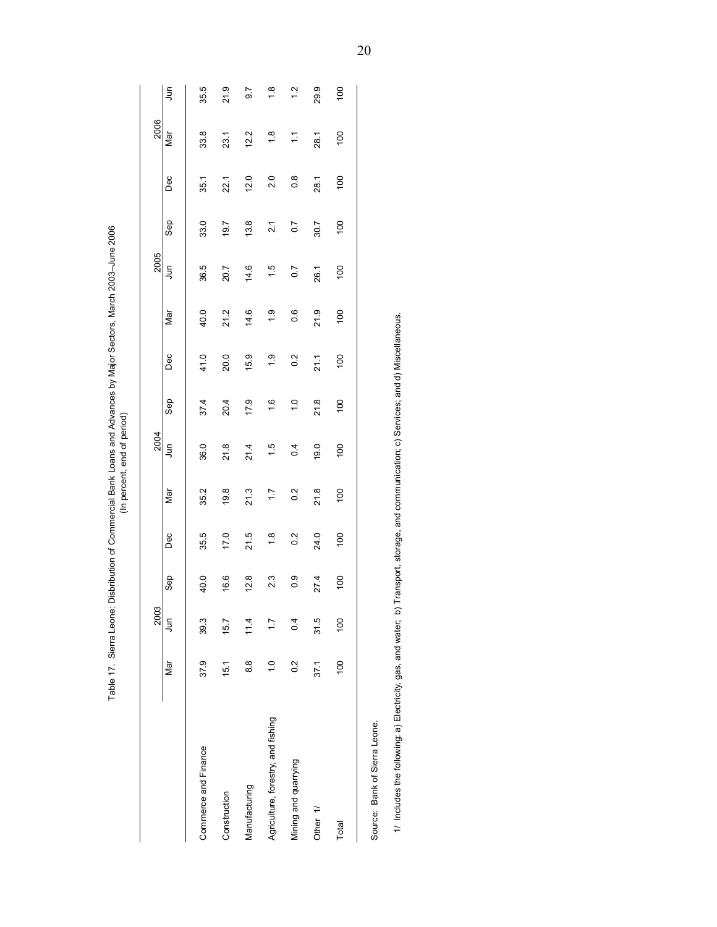|                                                               |               | 2003         |               |               |              | 2004                                                                      |               |               |                  | 2005             |      |               | 2006          |               |
|---------------------------------------------------------------|---------------|--------------|---------------|---------------|--------------|---------------------------------------------------------------------------|---------------|---------------|------------------|------------------|------|---------------|---------------|---------------|
|                                                               | Nar           | ş            | Sep           | Dec           | Nar          | S<br>Jun                                                                  | Sep           | Dec           | Nar              | Ę                | Sep  | Dec           | Nar           | l             |
| Commerce and Finance                                          | 37.9          | 39.3         | 40.0          | 35.5          | 35.2         | 36.0                                                                      | 37.4          | 41.0          | 40.0             | 36.5             | 33.0 | 35.1          | 33.8          | 35.5          |
| Construction                                                  | 15.1          | 15.7         | 16.6          | 17.0          | 19.8         | 21.8                                                                      | 20.4          | 20.0          | 21.2             | 20.7             | 19.7 | 22.1          | 23.1          | 21.9          |
| Manufacturing                                                 | $\frac{8}{8}$ | 11.4         | 12.8          | 21.5          | 21.3         | 21.4                                                                      | 17.9          | 15.9          | 14.6             | 14.6             | 13.8 | 12.0          | 12.2          | 5.7           |
| Agriculture, forestry, and fishing                            | $\frac{0}{1}$ | $\ddot{ }$ : | 23            | $\frac{8}{1}$ | $\ddot{ }$ : | 1.5                                                                       | 1.6           | $\frac{0}{1}$ | $\frac{0}{1}$    | 1.5              | 21   | 2.0           | $\frac{8}{1}$ | $\frac{8}{1}$ |
| Mining and quarrying                                          | 0.2           | 0.4          | $\frac{0}{2}$ | 0.2           | 0.2          | 0.4                                                                       | $\frac{0}{1}$ | 0.2           | $0.\overline{6}$ | $\overline{0.7}$ | 0.7  | $\frac{8}{2}$ | $\frac{1}{1}$ | 1.2           |
| Other 1/                                                      | 37.1          | 31.5         | 27.4          | 24.0          | 21.8         | 19.0                                                                      | 21.8          | 21.1          | 21.9             | 26.1             | 30.7 | 28.1          | 28.1          | 29.9          |
| Total                                                         | 100           | 100          | 100           | 100           | 100          | 100                                                                       | 100           | 100           | 100              | 100              | 100  | 100           | 100           | 100           |
| Source: Bank of Sierra Leone.                                 |               |              |               |               |              |                                                                           |               |               |                  |                  |      |               |               |               |
| 1/ Includes the following: a) Electricity, gas, and water; b) |               |              |               |               |              | Transport, storage, and communication; c) Services; and d) Miscellaneous. |               |               |                  |                  |      |               |               |               |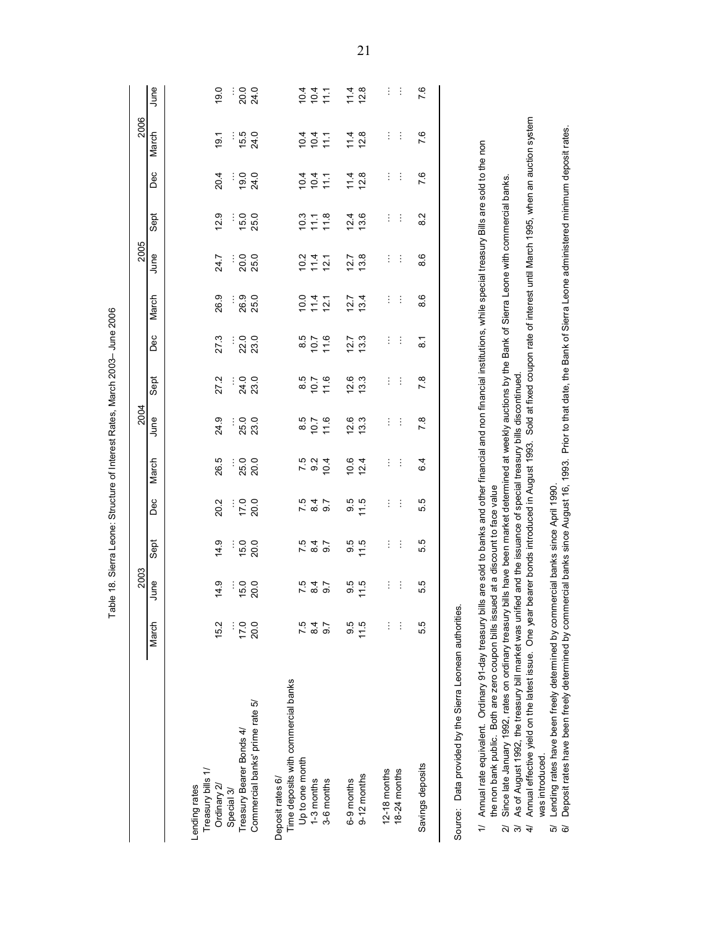|                                                                                                                                                                                                                                                        |       | 2003           |                                 |               |                                         | 2004 |                   |                    |                                                                                                         | 2005 |                |      | 2006                                                                           |                         |
|--------------------------------------------------------------------------------------------------------------------------------------------------------------------------------------------------------------------------------------------------------|-------|----------------|---------------------------------|---------------|-----------------------------------------|------|-------------------|--------------------|---------------------------------------------------------------------------------------------------------|------|----------------|------|--------------------------------------------------------------------------------|-------------------------|
|                                                                                                                                                                                                                                                        | March | June           | Sept                            | Dec           | March                                   | June | Sept              | Dec                | March                                                                                                   | June | Sept           | Dec  | March                                                                          | June                    |
|                                                                                                                                                                                                                                                        |       |                |                                 |               |                                         |      |                   |                    |                                                                                                         |      |                |      |                                                                                |                         |
| Treasury bills 1/<br>Lending rates                                                                                                                                                                                                                     |       |                |                                 |               |                                         |      |                   |                    |                                                                                                         |      |                |      |                                                                                |                         |
| Ordinary 2/                                                                                                                                                                                                                                            | 15.2  | 14.9           | 14.9                            | 20.2          | 26.5                                    | 24.9 | 27.2              | 27.3               | 26.9                                                                                                    | 24.7 | 12.9           | 20.4 | $\overline{9}$ .                                                               | 19.0                    |
| Treasury Bearer Bonds 4/<br>Special 3/                                                                                                                                                                                                                 | 17.0  | 15.0           | 15.0                            | 17.0          | 25.0                                    | 25.0 | 24.0              | 22.0               | 26.9                                                                                                    | 20.0 | 15.0           | 19.0 | 15.5                                                                           | 20.0                    |
| Commercial banks' prime rate 5/                                                                                                                                                                                                                        | 20.0  | 20.0           | 20.0                            | 20.0          | 20.0                                    | 23.0 | 23.0              | 23.0               | 25.0                                                                                                    | 25.0 | 25.0           | 24.0 | 24.0                                                                           | 24.0                    |
| Time deposits with commercial banks<br>Deposit rates 6/                                                                                                                                                                                                |       |                |                                 |               |                                         |      |                   |                    |                                                                                                         |      |                |      |                                                                                |                         |
| Up to one month                                                                                                                                                                                                                                        | 7.5   |                |                                 |               |                                         |      |                   |                    |                                                                                                         | 10.2 | 10.3           | 10.4 | 10.4                                                                           |                         |
| 1-3 months                                                                                                                                                                                                                                             | 84    | $789$<br>$794$ | 789<br>789                      | 7897<br>7897  | $7.5$<br>9.2                            | 10.7 | $\frac{8.5}{0.7}$ | $8.5$<br>10.7      | $\frac{10.4}{11.4}$                                                                                     | 11.4 | 718            | 104  | 10.4                                                                           | $0.4$<br>$0.4$<br>$4.1$ |
| 3-6 months                                                                                                                                                                                                                                             | 0.7   |                |                                 |               | 10.4                                    | 11.6 | 11.6              | 11.6               | 12.1                                                                                                    | 12.1 |                | 111  | 111                                                                            |                         |
| 6-9 months                                                                                                                                                                                                                                             | 9.5   | $9.5$<br>11.5  | 9.5                             | $9.5$<br>11.5 | 10.6                                    | 12.6 | 12.6              | 12.7               | 12.7                                                                                                    | 12.7 | 12.4           | 11.4 | 11.4                                                                           | $11.8$<br>$12.8$        |
| $9-12$ months                                                                                                                                                                                                                                          | 11.5  |                | 11.5                            |               | 12.4                                    | 13.3 | 13.3              | 13.3               | 13.4                                                                                                    | 13.8 | 13.6           | 12.8 | 12.8                                                                           |                         |
| $12-18$ months                                                                                                                                                                                                                                         | ŧ     | ŧ              | ŧ                               | ŧ             | ŧ                                       | ŧ    | ŧ                 | ŧ                  | ŧ                                                                                                       | ŧ    | ŧ              | ŧ    | ÷                                                                              | ŧ                       |
| 18-24 months                                                                                                                                                                                                                                           | ÷     | ÷              | ŧ                               | ÷             | ÷                                       | ÷    | ÷                 | ÷                  | ÷                                                                                                       | ÷    | ÷              | ÷    | ÷                                                                              | ÷                       |
| Savings deposits                                                                                                                                                                                                                                       | 5.5   | 5.5            | 5.5                             | 5.5           | 6.4                                     | 7.8  | 7.8               | $\overline{\circ}$ | 8.6                                                                                                     | 8.6  | 8 <sup>2</sup> | 7.6  | 7.6                                                                            | 7.6                     |
| Source: Data provided by the Sierra Leonean authorities.                                                                                                                                                                                               |       |                |                                 |               |                                         |      |                   |                    |                                                                                                         |      |                |      |                                                                                |                         |
|                                                                                                                                                                                                                                                        |       |                |                                 |               |                                         |      |                   |                    |                                                                                                         |      |                |      |                                                                                |                         |
| Annual rate equivalent. Ordinary 91-day treasury bills are sold to banks and other financial and non financial institutions, while special treasury Bills are sold to the non<br>the non bank public. Both are zero coupon bills issu<br>$\Rightarrow$ |       |                | led at a discount to face value |               |                                         |      |                   |                    |                                                                                                         |      |                |      |                                                                                |                         |
| As of August 1992, the treasury bill market was unified and the issuance of special treasury bills discontinued<br>Since late January 1992, rates on ordinary treasury<br>$\overline{4}$<br>Z.<br>$\widetilde{\mathcal{C}}$                            |       |                |                                 |               |                                         |      |                   |                    | bills have been market determined at weekly auctions by the Bank of Sierra Leone with commercial banks. |      |                |      |                                                                                |                         |
| Annual effective yield on the latest issue. One year<br>was introduced.                                                                                                                                                                                |       |                |                                 |               | bearer bonds introduced in August 1993. |      |                   |                    |                                                                                                         |      |                |      | Sold at fixed coupon rate of interest until March 1995, when an auction system |                         |
| Lending rates have been freely determined by commercial banks since April 1990.<br>ଡି<br>เจิ                                                                                                                                                           |       |                |                                 |               |                                         |      |                   |                    |                                                                                                         |      |                |      |                                                                                |                         |
| Deposit rates have been freely determined by commercial banks since August 16, 1993.                                                                                                                                                                   |       |                |                                 |               |                                         |      |                   |                    | Prior to that date, the Bank of Sierra Leone administered minimum deposit rates.                        |      |                |      |                                                                                |                         |

Table 18. Sierra Leone: Structure of Interest Rates, March 2003-June 2006

- 
- -
- 
- 
-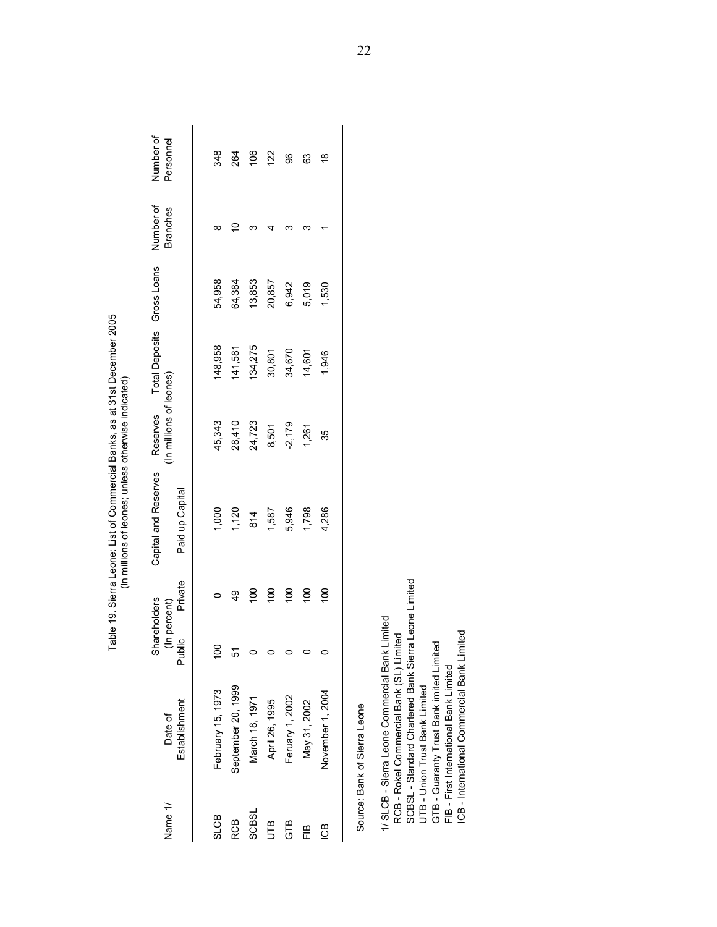|             |                    |                             |                 | Table 19. Sierra Leone: List of Commercial Banks, as at 31st December 2005<br>(In millions of leones; unless otherwise indicated) |                                     |                            |        |                              |                        |
|-------------|--------------------|-----------------------------|-----------------|-----------------------------------------------------------------------------------------------------------------------------------|-------------------------------------|----------------------------|--------|------------------------------|------------------------|
| Name 1/     | Date of            | Shareholders<br>In percent) |                 | Capital and Reserves                                                                                                              | (In millions of leones)<br>Reserves | Total Deposits Gross Loans |        | Number of<br><b>Branches</b> | Number of<br>Personnel |
|             | Establishment      | Public                      | Private         | Paid up Capital                                                                                                                   |                                     |                            |        |                              |                        |
| <b>SLCB</b> | February 15, 1973  | $\overline{00}$             |                 | 1,000                                                                                                                             | 45,343                              | 148,958                    | 54,958 | ∞                            | 348                    |
| RCB         | September 20, 1999 | 51                          | $\frac{1}{4}$   | 1,120                                                                                                                             | 28,410                              | 141,581                    | 64,384 |                              | 264                    |
| SCBSL       | March 18, 1971     |                             | $\frac{8}{1}$   | 814                                                                                                                               | 24,723                              | 134,275                    | 13,853 | ∞                            | 106                    |
| UTB         | April 26, 1995     |                             | $\frac{0}{1}$   | 1,587                                                                                                                             | 8,501                               | 30,801                     | 20,857 |                              | 122                    |
| GTB         | Feruary 1, 2002    |                             | $\overline{00}$ | 5,946                                                                                                                             | $-2,179$                            | 34,670                     | 6,942  | ∽                            | 96                     |
| ΕB          | May 31, 2002       |                             | $\overline{00}$ | 1,798                                                                                                                             | 1,261                               | 14,601                     | 5,019  |                              | 63                     |
| <b>CB</b>   | November 1, 2004   |                             | $\overline{0}$  | 4,286                                                                                                                             | 35                                  | 1,946                      | 1,530  |                              | ₽                      |
|             |                    |                             |                 |                                                                                                                                   |                                     |                            |        |                              |                        |

Source: Bank of Sierra Leone<br>1/ SLCB - Sierra Leone Commercial Bank Limited<br>RCB - Rokel Commercial Bank (SL) Limited<br>SCBSL - Standard Chartered Bank Sierra Leone Limited<br>UTB - Union Trust Bank Limited<br>GTB - Guaranty Trust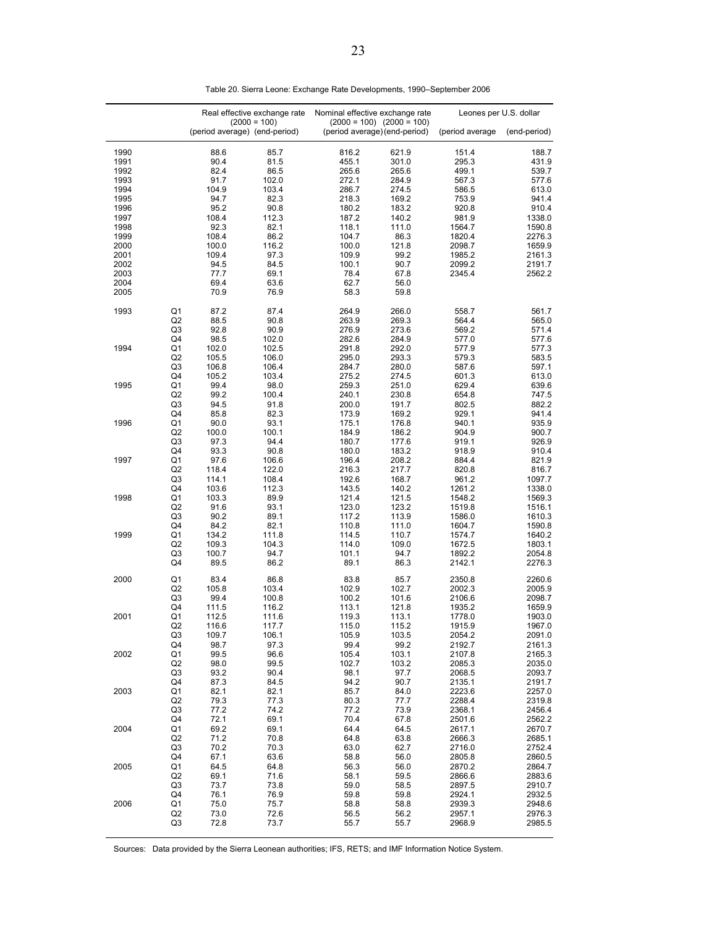|                                      |                            |                                       | Real effective exchange rate         | Nominal effective exchange rate          |                                                                | Leones per U.S. dollar                         |                                                |
|--------------------------------------|----------------------------|---------------------------------------|--------------------------------------|------------------------------------------|----------------------------------------------------------------|------------------------------------------------|------------------------------------------------|
|                                      |                            | (period average) (end-period)         | $(2000 = 100)$                       |                                          | $(2000 = 100)$ $(2000 = 100)$<br>(period average) (end-period) | (period average                                | (end-period)                                   |
| 1990                                 |                            | 88.6                                  | 85.7                                 | 816.2                                    | 621.9                                                          | 151.4                                          | 188.7                                          |
| 1991                                 |                            | 90.4                                  | 81.5                                 | 455.1                                    | 301.0                                                          | 295.3                                          | 431.9                                          |
| 1992                                 |                            | 82.4                                  | 86.5                                 | 265.6                                    | 265.6                                                          | 499.1                                          | 539.7                                          |
| 1993                                 |                            | 91.7                                  | 102.0                                | 272.1                                    | 284.9                                                          | 567.3                                          | 577.6                                          |
| 1994                                 |                            | 104.9                                 | 103.4                                | 286.7                                    | 274.5                                                          | 586.5                                          | 613.0                                          |
| 1995                                 |                            | 94.7                                  | 82.3                                 | 218.3                                    | 169.2                                                          | 753.9                                          | 941.4                                          |
| 1996                                 |                            | 95.2                                  | 90.8                                 | 180.2                                    | 183.2                                                          | 920.8                                          | 910.4                                          |
| 1997                                 |                            | 108.4                                 | 112.3                                | 187.2                                    | 140.2                                                          | 981.9                                          | 1338.0                                         |
| 1998                                 |                            | 92.3                                  | 82.1                                 | 118.1                                    | 111.0                                                          | 1564.7                                         | 1590.8                                         |
| 1999                                 |                            | 108.4                                 | 86.2                                 | 104.7                                    | 86.3                                                           | 1820.4                                         | 2276.3                                         |
| 2000                                 |                            | 100.0                                 | 116.2                                | 100.0                                    | 121.8                                                          | 2098.7                                         | 1659.9                                         |
| 2001<br>2002<br>2003<br>2004<br>2005 |                            | 109.4<br>94.5<br>77.7<br>69.4<br>70.9 | 97.3<br>84.5<br>69.1<br>63.6<br>76.9 | 109.9<br>100.1<br>78.4<br>62.7<br>58.3   | 99.2<br>90.7<br>67.8<br>56.0<br>59.8                           | 1985.2<br>2099.2<br>2345.4                     | 2161.3<br>2191.7<br>2562.2                     |
| 1993                                 | Q1                         | 87.2                                  | 87.4                                 | 264.9                                    | 266.0                                                          | 558.7                                          | 561.7                                          |
|                                      | Q <sub>2</sub>             | 88.5                                  | 90.8                                 | 263.9                                    | 269.3                                                          | 564.4                                          | 565.0                                          |
|                                      | Q3                         | 92.8                                  | 90.9                                 | 276.9                                    | 273.6                                                          | 569.2                                          | 571.4                                          |
| 1994                                 | Q4                         | 98.5                                  | 102.0                                | 282.6                                    | 284.9                                                          | 577.0                                          | 577.6                                          |
|                                      | Q1                         | 102.0                                 | 102.5                                | 291.8                                    | 292.0                                                          | 577.9                                          | 577.3                                          |
|                                      | Q2                         | 105.5                                 | 106.0                                | 295.0                                    | 293.3                                                          | 579.3                                          | 583.5                                          |
|                                      | Q3                         | 106.8                                 | 106.4                                | 284.7                                    | 280.0                                                          | 587.6                                          | 597.1                                          |
| 1995                                 | Q4                         | 105.2                                 | 103.4                                | 275.2                                    | 274.5                                                          | 601.3                                          | 613.0                                          |
|                                      | Q1                         | 99.4                                  | 98.0                                 | 259.3                                    | 251.0                                                          | 629.4                                          | 639.6                                          |
|                                      | Q2                         | 99.2                                  | 100.4                                | 240.1                                    | 230.8                                                          | 654.8                                          | 747.5                                          |
|                                      | Q3                         | 94.5                                  | 91.8                                 | 200.0                                    | 191.7                                                          | 802.5                                          | 882.2                                          |
|                                      | Q4                         | 85.8                                  | 82.3                                 | 173.9                                    | 169.2                                                          | 929.1                                          | 941.4                                          |
| 1996                                 | Q1                         | 90.0                                  | 93.1                                 | 175.1                                    | 176.8                                                          | 940.1                                          | 935.9                                          |
|                                      | Q2                         | 100.0                                 | 100.1                                | 184.9                                    | 186.2                                                          | 904.9                                          | 900.7                                          |
|                                      | Q3                         | 97.3                                  | 94.4                                 | 180.7                                    | 177.6                                                          | 919.1                                          | 926.9                                          |
|                                      | Q4                         | 93.3                                  | 90.8                                 | 180.0                                    | 183.2                                                          | 918.9                                          | 910.4                                          |
| 1997                                 | Q1                         | 97.6                                  | 106.6                                | 196.4                                    | 208.2                                                          | 884.4                                          | 821.9                                          |
|                                      | Q <sub>2</sub>             | 118.4                                 | 122.0                                | 216.3                                    | 217.7                                                          | 820.8                                          | 816.7                                          |
|                                      | Q3                         | 114.1                                 | 108.4                                | 192.6                                    | 168.7                                                          | 961.2                                          | 1097.7                                         |
|                                      | Q4                         | 103.6                                 | 112.3                                | 143.5                                    | 140.2                                                          | 1261.2                                         | 1338.0                                         |
| 1998                                 | Q1                         | 103.3                                 | 89.9                                 | 121.4                                    | 121.5                                                          | 1548.2                                         | 1569.3                                         |
|                                      | Q <sub>2</sub>             | 91.6                                  | 93.1                                 | 123.0                                    | 123.2                                                          | 1519.8                                         | 1516.1                                         |
|                                      | Q3                         | 90.2                                  | 89.1                                 | 117.2                                    | 113.9                                                          | 1586.0                                         | 1610.3                                         |
|                                      | Q4                         | 84.2                                  | 82.1                                 | 110.8                                    | 111.0                                                          | 1604.7                                         | 1590.8                                         |
| 1999                                 | Q1                         | 134.2                                 | 111.8                                | 114.5                                    | 110.7                                                          | 1574.7                                         | 1640.2                                         |
|                                      | Q2                         | 109.3                                 | 104.3                                | 114.0                                    | 109.0                                                          | 1672.5                                         | 1803.1                                         |
|                                      | Q3                         | 100.7                                 | 94.7                                 | 101.1                                    | 94.7                                                           | 1892.2                                         | 2054.8                                         |
|                                      | Q4                         | 89.5                                  | 86.2                                 | 89.1                                     | 86.3                                                           | 2142.1                                         | 2276.3                                         |
| 2000                                 | Q1<br>Q2<br>Q3             | 83.4<br>105.8<br>99.4<br>111.5        | 86.8<br>103.4<br>100.8<br>116.2      | 83.8<br>102.9<br>100.2                   | 85.7<br>102.7<br>101.6<br>121.8                                | 2350.8<br>2002.3<br>2106.6                     | 2260.6<br>2005.9<br>2098.7                     |
| 2001                                 | Q4<br>Q1<br>Q2<br>Q3<br>Q4 | 112.5<br>116.6<br>109.7<br>98.7       | 111.6<br>117.7<br>106.1<br>97.3      | 113.1<br>119.3<br>115.0<br>105.9<br>99.4 | 113.1<br>115.2<br>103.5<br>99.2                                | 1935.2<br>1778.0<br>1915.9<br>2054.2<br>2192.7 | 1659.9<br>1903.0<br>1967.0<br>2091.0<br>2161.3 |
| 2002                                 | Q1<br>Q2<br>Q3<br>Q4       | 99.5<br>98.0<br>93.2                  | 96.6<br>99.5<br>90.4                 | 105.4<br>102.7<br>98.1                   | 103.1<br>103.2<br>97.7<br>90.7                                 | 2107.8<br>2085.3<br>2068.5                     | 2165.3<br>2035.0<br>2093.7<br>2191.7           |
| 2003                                 | Q1<br>Q2<br>Q3             | 87.3<br>82.1<br>79.3<br>77.2          | 84.5<br>82.1<br>77.3<br>74.2         | 94.2<br>85.7<br>80.3<br>77.2             | 84.0<br>77.7<br>73.9                                           | 2135.1<br>2223.6<br>2288.4<br>2368.1           | 2257.0<br>2319.8<br>2456.4                     |
| 2004                                 | Q4                         | 72.1                                  | 69.1                                 | 70.4                                     | 67.8                                                           | 2501.6                                         | 2562.2                                         |
|                                      | Q1                         | 69.2                                  | 69.1                                 | 64.4                                     | 64.5                                                           | 2617.1                                         | 2670.7                                         |
|                                      | Q2                         | 71.2                                  | 70.8                                 | 64.8                                     | 63.8                                                           | 2666.3                                         | 2685.1                                         |
|                                      | Q3                         | 70.2                                  | 70.3                                 | 63.0                                     | 62.7                                                           | 2716.0                                         | 2752.4                                         |
| 2005                                 | Q4                         | 67.1                                  | 63.6                                 | 58.8                                     | 56.0                                                           | 2805.8                                         | 2860.5                                         |
|                                      | Q1                         | 64.5                                  | 64.8                                 | 56.3                                     | 56.0                                                           | 2870.2                                         | 2864.7                                         |
|                                      | Q2                         | 69.1                                  | 71.6                                 | 58.1                                     | 59.5                                                           | 2866.6                                         | 2883.6                                         |
|                                      | Q3                         | 73.7                                  | 73.8                                 | 59.0                                     | 58.5                                                           | 2897.5                                         | 2910.7                                         |
| 2006                                 | Q4                         | 76.1                                  | 76.9                                 | 59.8                                     | 59.8                                                           | 2924.1                                         | 2932.5                                         |
|                                      | Q1                         | 75.0                                  | 75.7                                 | 58.8                                     | 58.8                                                           | 2939.3                                         | 2948.6                                         |
|                                      | Q2                         | 73.0                                  | 72.6                                 | 56.5                                     | 56.2                                                           | 2957.1                                         | 2976.3                                         |
|                                      | Q3                         | 72.8                                  | 73.7                                 | 55.7                                     | 55.7                                                           | 2968.9                                         | 2985.5                                         |

Table 20. Sierra Leone: Exchange Rate Developments, 1990–September 2006

Sources: Data provided by the Sierra Leonean authorities; IFS, RETS; and IMF Information Notice System.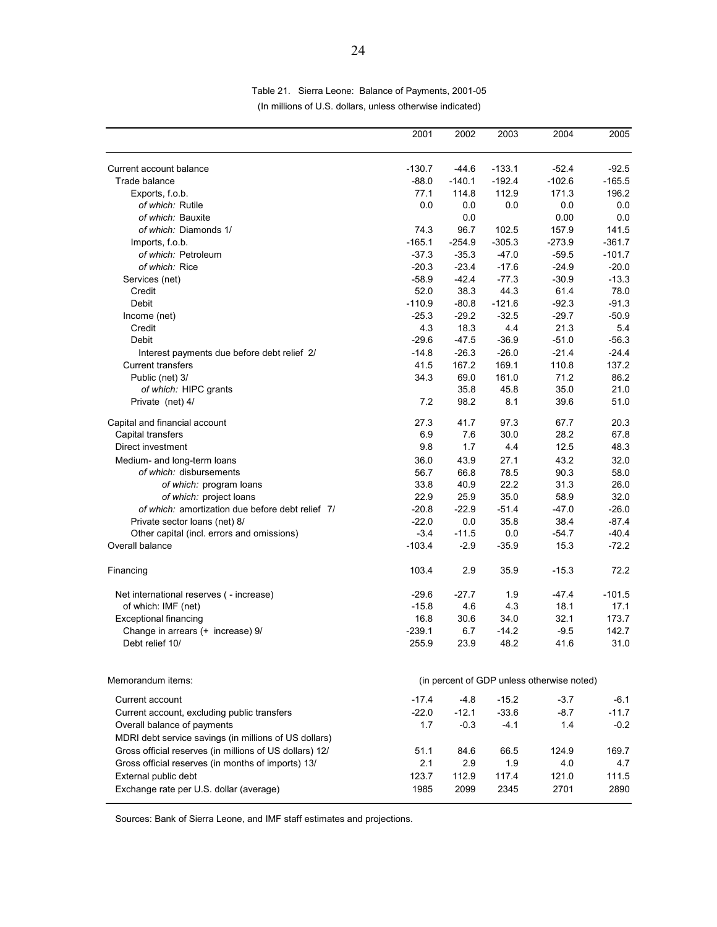|                                                                            | 2001     | 2002     | 2003     | 2004                                       | 2005     |
|----------------------------------------------------------------------------|----------|----------|----------|--------------------------------------------|----------|
| Current account balance                                                    | $-130.7$ | $-44.6$  | $-133.1$ | $-52.4$                                    | $-92.5$  |
| Trade balance                                                              | $-88.0$  | $-140.1$ | $-192.4$ | $-102.6$                                   | $-165.5$ |
| Exports, f.o.b.                                                            | 77.1     | 114.8    | 112.9    | 171.3                                      | 196.2    |
| of which: Rutile                                                           | 0.0      | 0.0      | 0.0      | 0.0                                        | 0.0      |
| of which: Bauxite                                                          |          | 0.0      |          | 0.00                                       | 0.0      |
| of which: Diamonds 1/                                                      | 74.3     | 96.7     | 102.5    | 157.9                                      | 141.5    |
| Imports, f.o.b.                                                            | $-165.1$ | $-254.9$ | $-305.3$ | $-273.9$                                   | $-361.7$ |
| of which: Petroleum                                                        | $-37.3$  | $-35.3$  | $-47.0$  | $-59.5$                                    | $-101.7$ |
| of which: Rice                                                             | $-20.3$  | $-23.4$  | $-17.6$  | $-24.9$                                    | $-20.0$  |
| Services (net)                                                             | $-58.9$  | $-42.4$  | $-77.3$  | $-30.9$                                    | $-13.3$  |
| Credit                                                                     | 52.0     | 38.3     | 44.3     | 61.4                                       | 78.0     |
| Debit                                                                      | $-110.9$ | $-80.8$  | $-121.6$ | $-92.3$                                    | $-91.3$  |
| Income (net)                                                               | $-25.3$  | $-29.2$  | $-32.5$  | $-29.7$                                    | $-50.9$  |
| Credit                                                                     | 4.3      | 18.3     | 4.4      | 21.3                                       | 5.4      |
| Debit                                                                      | $-29.6$  | $-47.5$  | $-36.9$  | $-51.0$                                    | $-56.3$  |
| Interest payments due before debt relief 2/                                | $-14.8$  | $-26.3$  | $-26.0$  | $-21.4$                                    | $-24.4$  |
| <b>Current transfers</b>                                                   | 41.5     | 167.2    | 169.1    | 110.8                                      | 137.2    |
| Public (net) 3/                                                            | 34.3     | 69.0     | 161.0    | 71.2                                       | 86.2     |
| of which: HIPC grants                                                      |          | 35.8     | 45.8     | 35.0                                       | 21.0     |
| Private (net) 4/                                                           | 7.2      | 98.2     | 8.1      | 39.6                                       | 51.0     |
| Capital and financial account                                              | 27.3     | 41.7     | 97.3     | 67.7                                       | 20.3     |
| Capital transfers                                                          | 6.9      | 7.6      | 30.0     | 28.2                                       | 67.8     |
| Direct investment                                                          | 9.8      | 1.7      | 4.4      | 12.5                                       | 48.3     |
| Medium- and long-term loans                                                | 36.0     | 43.9     | 27.1     | 43.2                                       | 32.0     |
| of which: disbursements                                                    | 56.7     | 66.8     | 78.5     | 90.3                                       | 58.0     |
| of which: program loans                                                    | 33.8     | 40.9     | 22.2     | 31.3                                       | 26.0     |
| of which: project loans                                                    | 22.9     | 25.9     | 35.0     | 58.9                                       | 32.0     |
| of which: amortization due before debt relief 7/                           | $-20.8$  | $-22.9$  | $-51.4$  | $-47.0$                                    | $-26.0$  |
| Private sector loans (net) 8/                                              | $-22.0$  | 0.0      | 35.8     | 38.4                                       | $-87.4$  |
| Other capital (incl. errors and omissions)                                 | $-3.4$   | $-11.5$  | 0.0      | $-54.7$                                    | $-40.4$  |
| Overall balance                                                            | $-103.4$ | $-2.9$   | $-35.9$  | 15.3                                       | $-72.2$  |
| Financing                                                                  | 103.4    | 2.9      | 35.9     | $-15.3$                                    | 72.2     |
| Net international reserves ( - increase)                                   | $-29.6$  | $-27.7$  | 1.9      | $-47.4$                                    | $-101.5$ |
| of which: IMF (net)                                                        | $-15.8$  | 4.6      | 4.3      | 18.1                                       | 17.1     |
| <b>Exceptional financing</b>                                               | 16.8     | 30.6     | 34.0     | 32.1                                       | 173.7    |
| Change in arrears (+ increase) 9/                                          | $-239.1$ | 6.7      | $-14.2$  | $-9.5$                                     | 142.7    |
| Debt relief 10/                                                            | 255.9    | 23.9     | 48.2     | 41.6                                       | 31.0     |
| Memorandum items:                                                          |          |          |          | (in percent of GDP unless otherwise noted) |          |
| Current account                                                            | $-17.4$  | $-4.8$   | $-15.2$  | $-3.7$                                     | $-6.1$   |
|                                                                            | $-22.0$  | $-12.1$  | $-33.6$  | $-8.7$                                     | $-11.7$  |
| Current account, excluding public transfers<br>Overall balance of payments | 1.7      | $-0.3$   | $-4.1$   | 1.4                                        | $-0.2$   |
| MDRI debt service savings (in millions of US dollars)                      |          |          |          |                                            |          |
| Gross official reserves (in millions of US dollars) 12/                    | 51.1     | 84.6     | 66.5     | 124.9                                      | 169.7    |
| Gross official reserves (in months of imports) 13/                         | 2.1      | 2.9      | 1.9      | 4.0                                        | 4.7      |
| External public debt                                                       | 123.7    | 112.9    | 117.4    | 121.0                                      | 111.5    |
| Exchange rate per U.S. dollar (average)                                    | 1985     | 2099     | 2345     | 2701                                       | 2890     |
|                                                                            |          |          |          |                                            |          |

Table 21. Sierra Leone: Balance of Payments, 2001-05 (In millions of U.S. dollars, unless otherwise indicated)

Sources: Bank of Sierra Leone, and IMF staff estimates and projections.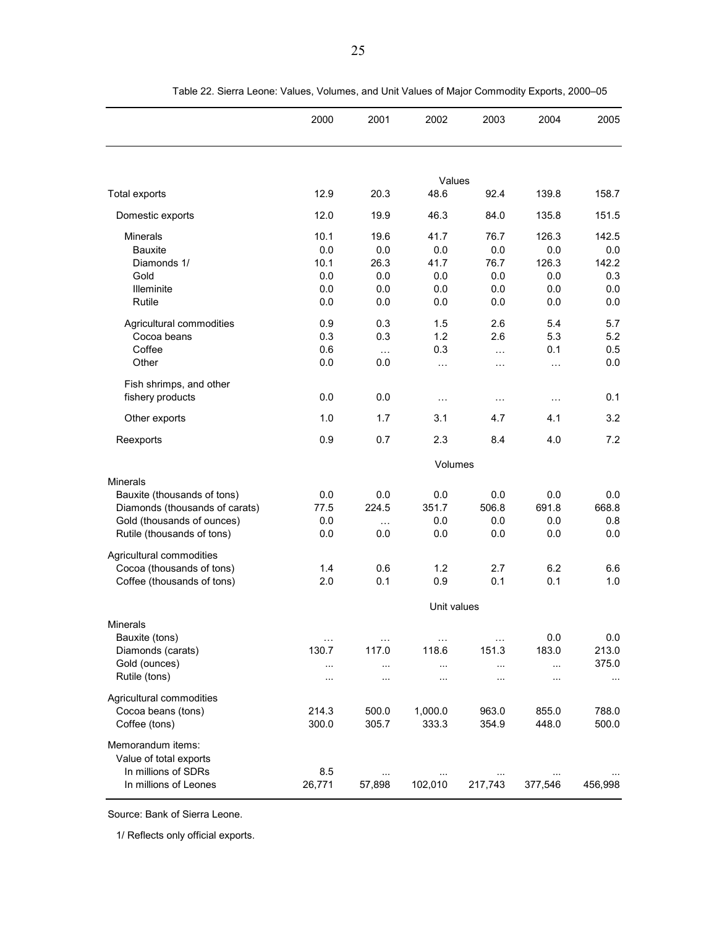|                                                                                                                                              | 2000                                     | 2001                                     | 2002                                     | 2003                                         | 2004                                       | 2005                                       |
|----------------------------------------------------------------------------------------------------------------------------------------------|------------------------------------------|------------------------------------------|------------------------------------------|----------------------------------------------|--------------------------------------------|--------------------------------------------|
|                                                                                                                                              |                                          |                                          |                                          |                                              |                                            |                                            |
| <b>Total exports</b>                                                                                                                         | 12.9                                     | 20.3                                     | Values<br>48.6                           | 92.4                                         | 139.8                                      | 158.7                                      |
| Domestic exports                                                                                                                             | 12.0                                     | 19.9                                     | 46.3                                     | 84.0                                         | 135.8                                      | 151.5                                      |
| <b>Minerals</b><br><b>Bauxite</b><br>Diamonds 1/<br>Gold<br><b>Illeminite</b><br>Rutile                                                      | 10.1<br>0.0<br>10.1<br>0.0<br>0.0<br>0.0 | 19.6<br>0.0<br>26.3<br>0.0<br>0.0<br>0.0 | 41.7<br>0.0<br>41.7<br>0.0<br>0.0<br>0.0 | 76.7<br>0.0<br>76.7<br>$0.0\,$<br>0.0<br>0.0 | 126.3<br>0.0<br>126.3<br>0.0<br>0.0<br>0.0 | 142.5<br>0.0<br>142.2<br>0.3<br>0.0<br>0.0 |
| Agricultural commodities<br>Cocoa beans<br>Coffee<br>Other                                                                                   | 0.9<br>0.3<br>0.6<br>0.0                 | 0.3<br>0.3<br>$\cdots$<br>0.0            | 1.5<br>1.2<br>0.3<br>$\ldots$            | 2.6<br>2.6<br>$\ddotsc$<br>.                 | 5.4<br>5.3<br>0.1<br>$\cdots$              | 5.7<br>5.2<br>0.5<br>0.0                   |
| Fish shrimps, and other<br>fishery products                                                                                                  | 0.0                                      | 0.0                                      | $\ddotsc$                                | $\cdots$                                     | $\cdots$                                   | 0.1                                        |
| Other exports                                                                                                                                | 1.0                                      | 1.7                                      | 3.1                                      | 4.7                                          | 4.1                                        | 3.2                                        |
| Reexports                                                                                                                                    | 0.9                                      | 0.7                                      | 2.3                                      | 8.4                                          | 4.0                                        | 7.2                                        |
|                                                                                                                                              |                                          |                                          | Volumes                                  |                                              |                                            |                                            |
| <b>Minerals</b><br>Bauxite (thousands of tons)<br>Diamonds (thousands of carats)<br>Gold (thousands of ounces)<br>Rutile (thousands of tons) | 0.0<br>77.5<br>0.0<br>0.0                | 0.0<br>224.5<br>$\cdots$<br>0.0          | 0.0<br>351.7<br>0.0<br>0.0               | 0.0<br>506.8<br>0.0<br>0.0                   | 0.0<br>691.8<br>0.0<br>0.0                 | 0.0<br>668.8<br>0.8<br>0.0                 |
| Agricultural commodities<br>Cocoa (thousands of tons)<br>Coffee (thousands of tons)                                                          | 1.4<br>2.0                               | 0.6<br>0.1                               | 1.2<br>0.9                               | 2.7<br>0.1                                   | 6.2<br>0.1                                 | 6.6<br>1.0                                 |
| <b>Minerals</b>                                                                                                                              |                                          |                                          | Unit values                              |                                              |                                            |                                            |
| Bauxite (tons)<br>Diamonds (carats)<br>Gold (ounces)<br>Rutile (tons)                                                                        | $\ldots$<br>130.7<br>$\sim$<br>.         | $\sim$<br>117.0<br>$\sim$<br>$\cdots$    | $\sim$<br>118.6<br>$\cdots$<br>$\ddotsc$ | $\sim$<br>151.3<br><br>.                     | 0.0<br>183.0<br>$\ldots$<br>$\sim$         | 0.0<br>213.0<br>375.0<br>$\cdots$          |
| Agricultural commodities<br>Cocoa beans (tons)<br>Coffee (tons)                                                                              | 214.3<br>300.0                           | 500.0<br>305.7                           | 1,000.0<br>333.3                         | 963.0<br>354.9                               | 855.0<br>448.0                             | 788.0<br>500.0                             |
| Memorandum items:<br>Value of total exports<br>In millions of SDRs<br>In millions of Leones                                                  | 8.5<br>26,771                            | $\ldots$<br>57,898                       | $\ldots$<br>102,010                      | <br>217,743                                  | $\cdots$<br>377,546                        | 456,998                                    |

Table 22. Sierra Leone: Values, Volumes, and Unit Values of Major Commodity Exports, 2000–05

Source: Bank of Sierra Leone.

1/ Reflects only official exports.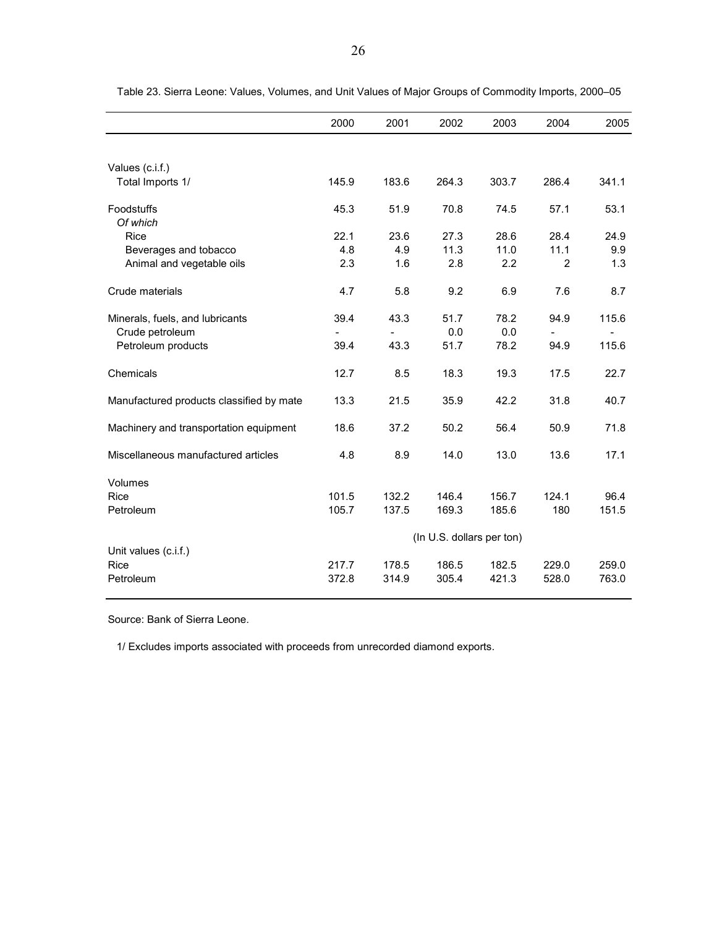|                                          | 2000  | 2001  | 2002                      | 2003  | 2004  | 2005  |
|------------------------------------------|-------|-------|---------------------------|-------|-------|-------|
|                                          |       |       |                           |       |       |       |
| Values (c.i.f.)                          |       |       |                           |       |       |       |
| Total Imports 1/                         | 145.9 | 183.6 | 264.3                     | 303.7 | 286.4 | 341.1 |
| Foodstuffs                               | 45.3  | 51.9  | 70.8                      | 74.5  | 57.1  | 53.1  |
| Of which                                 |       |       |                           |       |       |       |
| Rice                                     | 22.1  | 23.6  | 27.3                      | 28.6  | 28.4  | 24.9  |
| Beverages and tobacco                    | 4.8   | 4.9   | 11.3                      | 11.0  | 11.1  | 9.9   |
| Animal and vegetable oils                | 2.3   | 1.6   | 2.8                       | 2.2   | 2     | 1.3   |
| Crude materials                          | 4.7   | 5.8   | 9.2                       | 6.9   | 7.6   | 8.7   |
| Minerals, fuels, and lubricants          | 39.4  | 43.3  | 51.7                      | 78.2  | 94.9  | 115.6 |
| Crude petroleum                          |       |       | 0.0                       | 0.0   |       |       |
| Petroleum products                       | 39.4  | 43.3  | 51.7                      | 78.2  | 94.9  | 115.6 |
| Chemicals                                | 12.7  | 8.5   | 18.3                      | 19.3  | 17.5  | 22.7  |
| Manufactured products classified by mate | 13.3  | 21.5  | 35.9                      | 42.2  | 31.8  | 40.7  |
| Machinery and transportation equipment   | 18.6  | 37.2  | 50.2                      | 56.4  | 50.9  | 71.8  |
| Miscellaneous manufactured articles      | 4.8   | 8.9   | 14.0                      | 13.0  | 13.6  | 17.1  |
| Volumes                                  |       |       |                           |       |       |       |
| Rice                                     | 101.5 | 132.2 | 146.4                     | 156.7 | 124.1 | 96.4  |
| Petroleum                                | 105.7 | 137.5 | 169.3                     | 185.6 | 180   | 151.5 |
|                                          |       |       | (In U.S. dollars per ton) |       |       |       |
| Unit values (c.i.f.)                     |       |       |                           |       |       |       |
| Rice                                     | 217.7 | 178.5 | 186.5                     | 182.5 | 229.0 | 259.0 |
| Petroleum                                | 372.8 | 314.9 | 305.4                     | 421.3 | 528.0 | 763.0 |

Table 23. Sierra Leone: Values, Volumes, and Unit Values of Major Groups of Commodity Imports, 2000–05

Source: Bank of Sierra Leone.

1/ Excludes imports associated with proceeds from unrecorded diamond exports.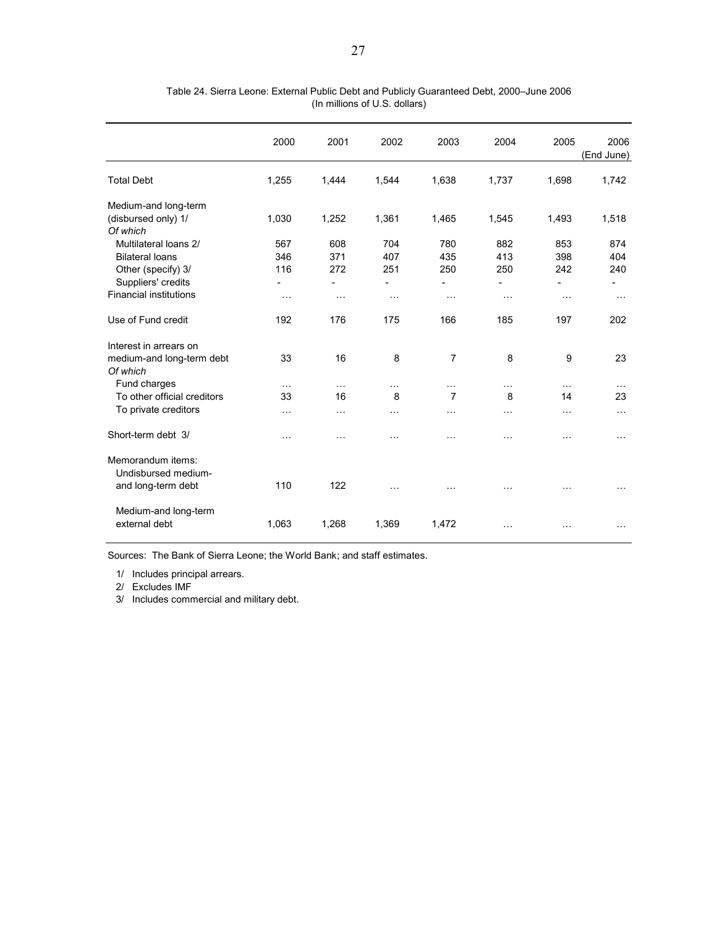|                                           | 2000                     | 2001                     | 2002                     | 2003                     | 2004                     | 2005                     | 2006<br>(End June)       |
|-------------------------------------------|--------------------------|--------------------------|--------------------------|--------------------------|--------------------------|--------------------------|--------------------------|
| <b>Total Debt</b>                         | 1,255                    | 1,444                    | 1,544                    | 1,638                    | 1,737                    | 1,698                    | 1,742                    |
| Medium-and long-term                      |                          |                          |                          |                          |                          |                          |                          |
| (disbursed only) 1/<br>Of which           | 1,030                    | 1,252                    | 1,361                    | 1,465                    | 1,545                    | 1,493                    | 1,518                    |
| Multilateral loans 2/                     | 567                      | 608                      | 704                      | 780                      | 882                      | 853                      | 874                      |
| <b>Bilateral loans</b>                    | 346                      | 371                      | 407                      | 435                      | 413                      | 398                      | 404                      |
| Other (specify) 3/                        | 116                      | 272                      | 251                      | 250                      | 250                      | 242                      | 240                      |
| Suppliers' credits                        | $\overline{\phantom{a}}$ | $\overline{\phantom{0}}$ | $\overline{\phantom{0}}$ | $\overline{\phantom{0}}$ | $\overline{\phantom{0}}$ | $\overline{\phantom{0}}$ | $\overline{\phantom{a}}$ |
| <b>Financial institutions</b>             | $\cdots$                 | $\cdots$                 | $\sim$ $\sim$ $\sim$     | $\cdots$                 | $\cdots$                 | $\cdots$                 | $\sim$ $\sim$            |
| Use of Fund credit                        | 192                      | 176                      | 175                      | 166                      | 185                      | 197                      | 202                      |
| Interest in arrears on                    |                          |                          |                          |                          |                          |                          |                          |
| medium-and long-term debt<br>Of which     | 33                       | 16                       | 8                        | $\overline{7}$           | 8                        | 9                        | 23                       |
| Fund charges                              | $\cdots$                 | $\cdots$                 | $\cdots$                 | $\cdots$                 | .                        | $\cdots$                 |                          |
| To other official creditors               | 33                       | 16                       | 8                        | $\overline{7}$           | 8                        | 14                       | 23                       |
| To private creditors                      | $\cdots$                 | $\ddotsc$                | $\cdots$                 | $\cdots$                 | $\cdots$                 | $\cdots$                 | $\cdots$                 |
| Short-term debt 3/                        | $\cdots$                 | $\cdots$                 | .                        | $\cdots$                 | .                        | $\cdots$                 | $\cdots$                 |
| Memorandum items:                         |                          |                          |                          |                          |                          |                          |                          |
| Undisbursed medium-<br>and long-term debt | 110                      | 122                      | $\cdots$                 | $\cdots$                 | .                        | .                        |                          |
| Medium-and long-term                      |                          |                          |                          |                          |                          |                          |                          |
| external debt                             | 1,063                    | 1,268                    | 1,369                    | 1,472                    | .                        | $\cdots$                 |                          |

Table 24. Sierra Leone: External Public Debt and Publicly Guaranteed Debt, 2000–June 2006 (In millions of U.S. dollars)

Sources: The Bank of Sierra Leone; the World Bank; and staff estimates.

1/ Includes principal arrears.

2/ Excludes IMF

3/ Includes commercial and military debt.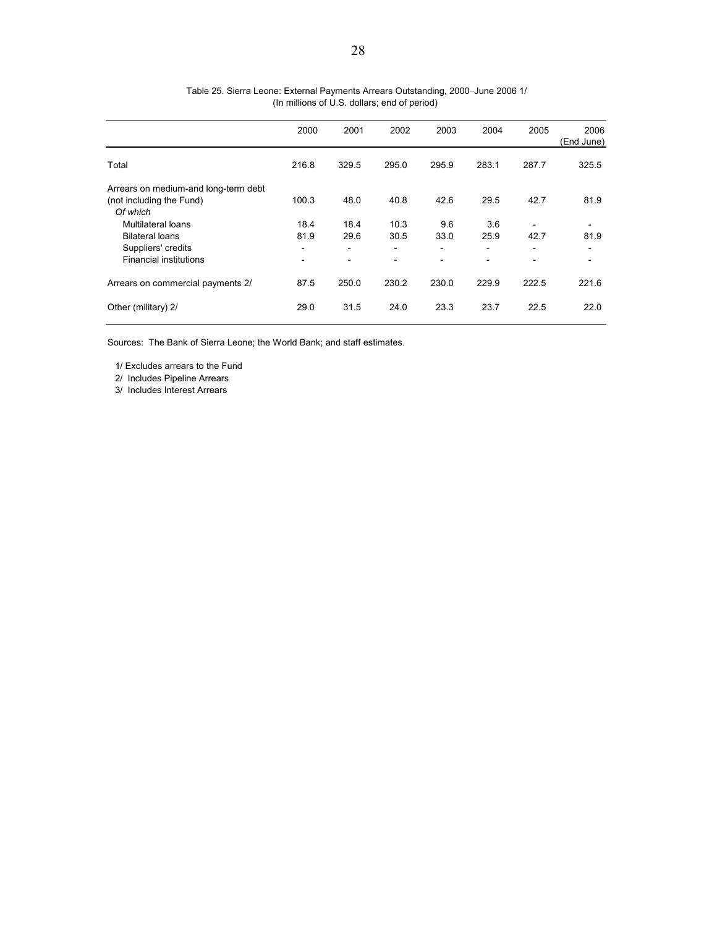|                                      | 2000                     | 2001                     | 2002  | 2003                     | 2004  | 2005  | 2006<br>(End June) |
|--------------------------------------|--------------------------|--------------------------|-------|--------------------------|-------|-------|--------------------|
| Total                                | 216.8                    | 329.5                    | 295.0 | 295.9                    | 283.1 | 287.7 | 325.5              |
| Arrears on medium-and long-term debt |                          |                          |       |                          |       |       |                    |
| (not including the Fund)             | 100.3                    | 48.0                     | 40.8  | 42.6                     | 29.5  | 42.7  | 81.9               |
| Of which                             |                          |                          |       |                          |       |       |                    |
| Multilateral loans                   | 18.4                     | 18.4                     | 10.3  | 9.6                      | 3.6   |       |                    |
| <b>Bilateral loans</b>               | 81.9                     | 29.6                     | 30.5  | 33.0                     | 25.9  | 42.7  | 81.9               |
| Suppliers' credits                   | $\overline{\phantom{a}}$ | $\overline{\phantom{a}}$ | -     | $\overline{\phantom{a}}$ | ٠     | -     | ۰                  |
| <b>Financial institutions</b>        | $\overline{\phantom{0}}$ | $\overline{\phantom{0}}$ | -     |                          |       |       | -                  |
| Arrears on commercial payments 2/    | 87.5                     | 250.0                    | 230.2 | 230.0                    | 229.9 | 222.5 | 221.6              |
| Other (military) 2/                  | 29.0                     | 31.5                     | 24.0  | 23.3                     | 23.7  | 22.5  | 22.0               |

## Table 25. Sierra Leone: External Payments Arrears Outstanding, 2000–June 2006 1/ (In millions of U.S. dollars; end of period)

Sources: The Bank of Sierra Leone; the World Bank; and staff estimates.

1/ Excludes arrears to the Fund

2/ Includes Pipeline Arrears

3/ Includes Interest Arrears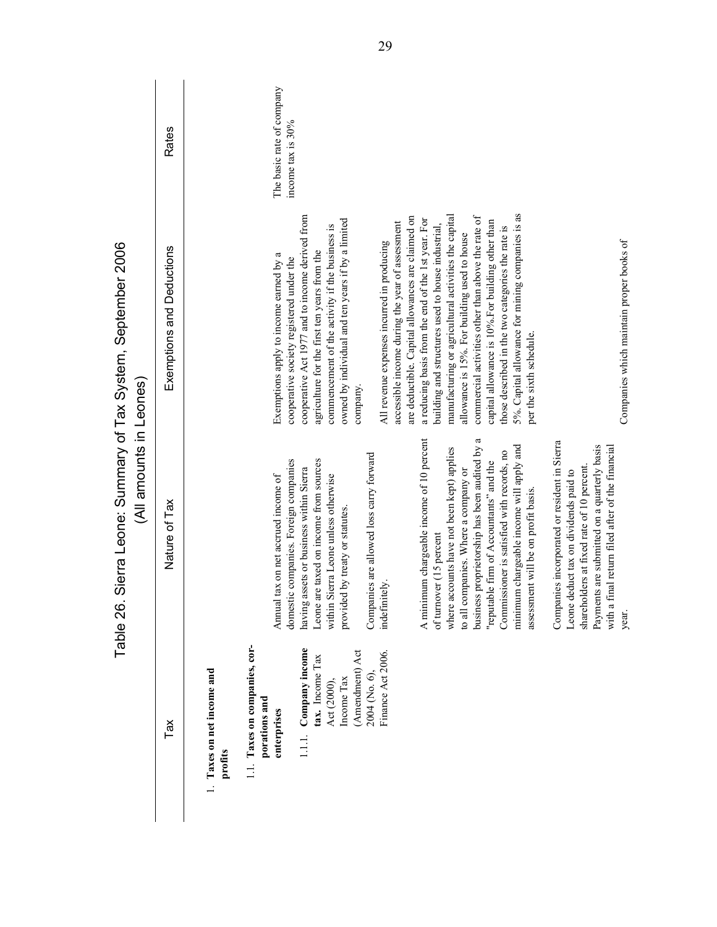Table 26 Sierra Leone: Summary of Tax System Sentember 2006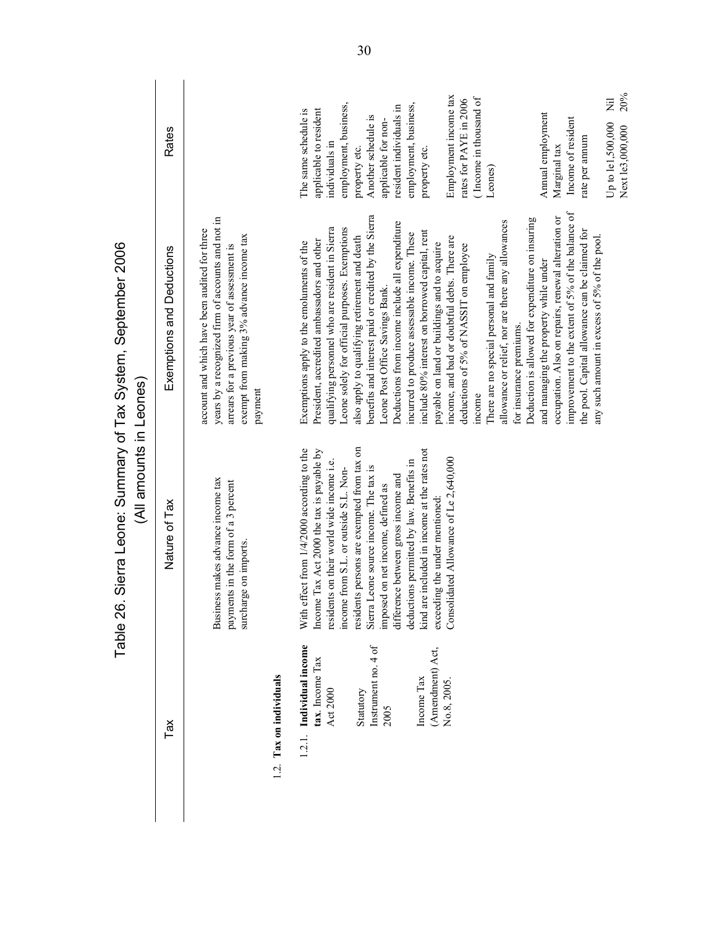|                                                         | (All amounts in Leones)<br>Table 26.                                                                                                                                          | Siera Leone: Surnary of Tax System, September 2006                                                                                                                                                                                                 |                                                                                           |
|---------------------------------------------------------|-------------------------------------------------------------------------------------------------------------------------------------------------------------------------------|----------------------------------------------------------------------------------------------------------------------------------------------------------------------------------------------------------------------------------------------------|-------------------------------------------------------------------------------------------|
| Tax                                                     | Nature of Tax                                                                                                                                                                 | Exemptions and Deductions                                                                                                                                                                                                                          | <b>Rates</b>                                                                              |
|                                                         | Business makes advance income tax<br>payments in the form of a 3 percent<br>surcharge on imports                                                                              | years by a recognized firm of accounts and not in<br>account and which have been audited for three<br>exempt from making 3% advance income tax<br>arrears for a previous year of assessment<br>payment                                             |                                                                                           |
| 1.2. Tax on individuals                                 |                                                                                                                                                                               |                                                                                                                                                                                                                                                    |                                                                                           |
| 1.2.1. Individual income<br>tax. Income Tax<br>Act 2000 | With effect from 1/4/2000 according to the<br>Income Tax Act 2000 the tax is payable by<br>residents on their world wide income i.e.<br>income from S.L. or outside S.L. Non- | Leone solely for official purposes. Exemptions<br>qualifying personnel who are resident in Sierra<br>President, accredited ambassadors and other<br>Exemptions apply to the emoluments of the                                                      | employment, business,<br>applicable to resident<br>The same schedule is<br>individuals in |
| Instrument no. 4 of<br>Statutory<br>2005                | residents persons are exempted from tax on<br>Sierra Leone source income. The tax is<br>difference between gross income and<br>imposed on net income, defined as              | benefits and interest paid or credited by the Sierra<br>Deductions from income include all expenditure<br>also apply to qualifying retirement and death<br>Leone Post Office Savings Bank.                                                         | resident individuals in<br>Another schedule is<br>applicable for non-<br>property etc.    |
| (Amendment) Act,<br>Income Tax                          | kind are included in income at the rates not<br>deductions permitted by law. Benefits in<br>exceeding the under mentioned:                                                    | include 80% interest on borrowed capital, rent<br>incurred to produce assessable income. These<br>payable on land or buildings and to acquire                                                                                                      | employment, business,<br>property etc.                                                    |
| No.8, 2005.                                             | Consolidated Allowance of Le 2,640,000                                                                                                                                        | income, and bad or doubtful debts. There are<br>deductions of 5% of NASSIT on employee<br>income                                                                                                                                                   | Employment income tax<br>(Income in thousand of<br>rates for PAYE in 2006                 |
|                                                         |                                                                                                                                                                               | Deduction is allowed for expenditure on insuring<br>allowance or relief, nor are there any allowances<br>There are no special personal and family<br>for insurance premiums.                                                                       | Leones)                                                                                   |
|                                                         |                                                                                                                                                                               | improvement to the extent of 5% of the balance of<br>occupation. Also on repairs, renewal alteration or<br>the pool. Capital allowance can be claimed for<br>any such amount in excess of 5% of the pool.<br>and managing the property while under | Annual employment<br>Income of resident<br>rate per annum<br>Marginal tax                 |
|                                                         |                                                                                                                                                                               |                                                                                                                                                                                                                                                    | 20%<br>Ξ<br>Up to le1,500,000<br>Next le3,000,000                                         |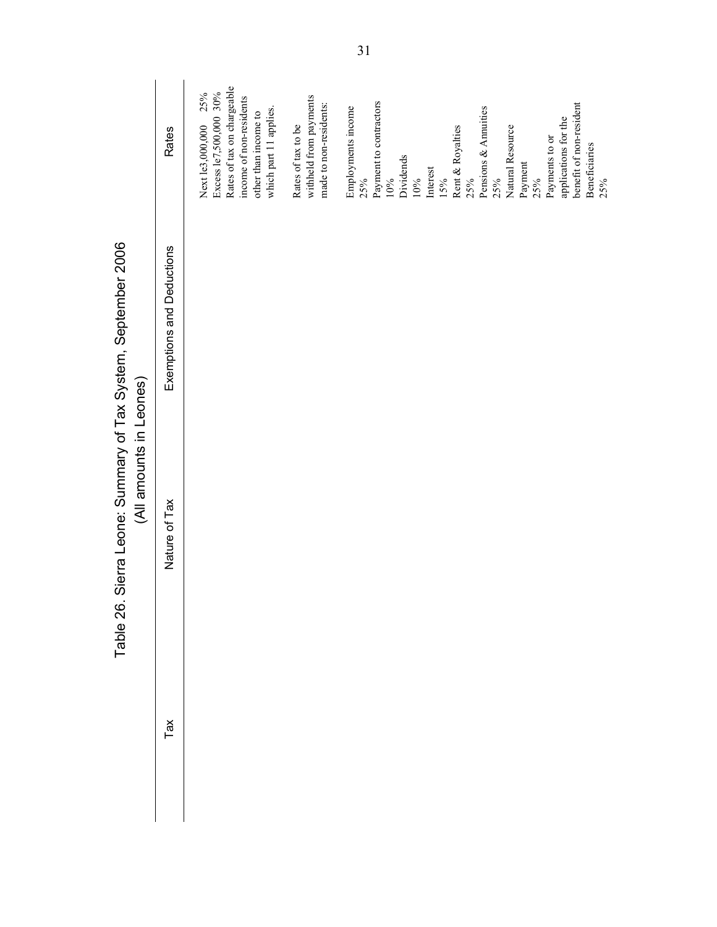|                                                                                          | Rates                     | Rates of tax on chargeable<br>Excess le7,500,000 30%<br>25%<br>income of non-residents<br>which part 11 applies.<br>other than income to<br>Next le3,000,000 | withheld from payments<br>made to non-residents:<br>Rates of tax to be | Payment to contractors<br>benefit of non-resident<br>Employments income<br>Pensions & Annuities<br>applications for the<br>Rent & Royalties<br>Natural Resource<br>Payments to or<br><b>Beneficiaries</b><br>Dividends<br>Payment<br>Interest<br>25%<br>10%<br>10%<br>15%<br>25%<br>25%<br>25%<br>25% |
|------------------------------------------------------------------------------------------|---------------------------|--------------------------------------------------------------------------------------------------------------------------------------------------------------|------------------------------------------------------------------------|-------------------------------------------------------------------------------------------------------------------------------------------------------------------------------------------------------------------------------------------------------------------------------------------------------|
|                                                                                          | Exemptions and Deductions |                                                                                                                                                              |                                                                        |                                                                                                                                                                                                                                                                                                       |
| Table 26. Sierra Leone: Summary of Tax System, September 2006<br>(All amounts in Leones) | Nature of Tax             |                                                                                                                                                              |                                                                        |                                                                                                                                                                                                                                                                                                       |
|                                                                                          | Tax                       |                                                                                                                                                              |                                                                        |                                                                                                                                                                                                                                                                                                       |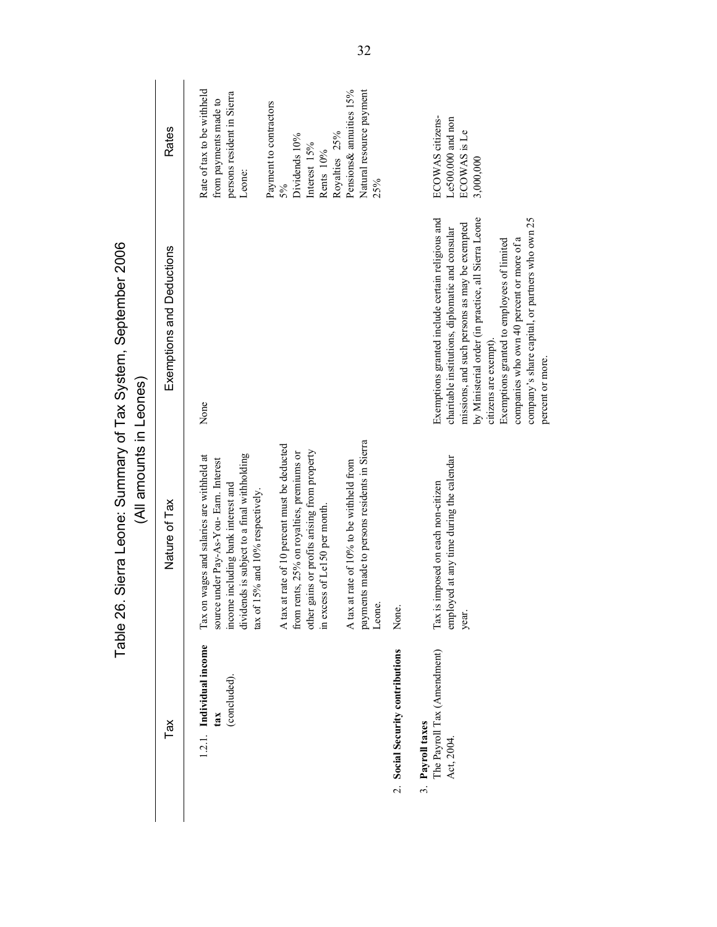|                                                                         | (All amounts in Leones)<br>Table 26.                                                                                                                                                                                 | Sierra Leone: Summary of Tax System, September 2006                                                                                                                                                                                                                                                                                                                                                    |                                                                                             |
|-------------------------------------------------------------------------|----------------------------------------------------------------------------------------------------------------------------------------------------------------------------------------------------------------------|--------------------------------------------------------------------------------------------------------------------------------------------------------------------------------------------------------------------------------------------------------------------------------------------------------------------------------------------------------------------------------------------------------|---------------------------------------------------------------------------------------------|
| Tax                                                                     | Nature of Tax                                                                                                                                                                                                        | Exemptions and Deductions                                                                                                                                                                                                                                                                                                                                                                              | Rates                                                                                       |
| 1.2.1. Individual income<br>(concluded).<br>tax                         | dividends is subject to a final withholding<br>wages and salaries are withheld at<br>mder Pay-As-You- Earn. Interest<br>income including bank interest and<br>tax of 15% and 10% respectively.<br>source t<br>Tax on | None                                                                                                                                                                                                                                                                                                                                                                                                   | Rate of tax to be withheld<br>persons resident in Sierra<br>from payments made to<br>Leone: |
|                                                                         | A tax at rate of 10 percent must be deducted<br>other gains or profits arising from property<br>from rents, 25% on royalties, premiums or<br>in excess of Le150 per month.                                           |                                                                                                                                                                                                                                                                                                                                                                                                        | Payment to contractors<br>Dividends 10%<br>Interest 15%<br>Rents 10%<br>5%                  |
|                                                                         | payments made to persons residents in Sierra<br>A tax at rate of 10% to be withheld from<br>Leone.                                                                                                                   |                                                                                                                                                                                                                                                                                                                                                                                                        | Pensions& annuities 15%<br>Natural resource payment<br>Royalties 25%<br>25%                 |
| 2. Social Security contributions                                        | None.                                                                                                                                                                                                                |                                                                                                                                                                                                                                                                                                                                                                                                        |                                                                                             |
| The Payroll Tax (Amendment)<br>Payroll taxes<br>Act, 2004<br>$\ddot{3}$ | employed at any time during the calendar<br>Tax is imposed on each non-citizen<br>year.                                                                                                                              | Exemptions granted include certain religious and<br>company's share capital, or partners who own 25<br>by Ministerial order (in practice, all Sierra Leone<br>missions, and such persons as may be exempted<br>charitable institutions, diplomatic and consular<br>companies who own 40 percent or more of a<br>Exemptions granted to employees of limited<br>citizens are exempt)<br>percent or more. | ECOWAS citizens-<br>Le500.000 and non<br>ECOWAS is Le<br>3,000,000                          |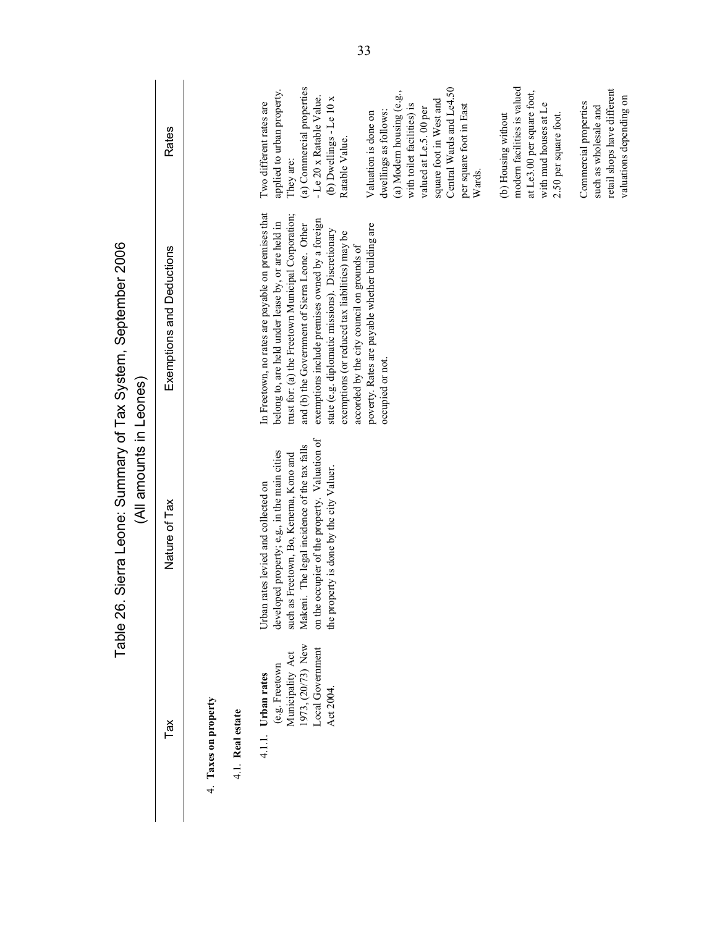| Sierra Leone: Sumary of Tax System, September 2006<br>(All amounts in Leones) | <b>Rates</b><br>Exemptions and Deductions<br>Nature of Tax |                                          | (a) Commercial properties<br>applied to urban property<br>- Le 20 x Ratable Value.<br>(b) Dwellings - Le 10 x<br>Two different rates are<br>Ratable Value.<br>They are:<br>In Freetown, no rates are payable on premises that<br>trust for: (a) the Freetown Municipal Corporation;<br>exemptions include premises owned by a foreign<br>belong to, are held under lease by, or are held in<br>and (b) the Government of Sierra Leone. Other<br>state (e.g. diplomatic missions). Discretionary<br>exemptions (or reduced tax liabilities) may be<br>accorded by the city council on grounds of<br>on the occupier of the property. Valuation of<br>Makeni. The legal incidence of the tax falls<br>developed property; e.g., in the main cities | Central Wards and Le4.50<br>(a) Modern housing (e.g.,<br>square foot in West and<br>with toilet facilities) is<br>per square foot in East<br>valued at Le.5.00 per<br>dwellings as follows:<br>Valuation is done on<br>Wards.<br>poverty. Rates are payable whether building are<br>occupied or not | modern facilities is valued<br>at Le3.00 per square foot,<br>with mud houses at Le<br>(b) Housing without<br>2.50 per square foot. | retail shops have different<br>valuations depending on<br>Commercial properties<br>such as wholesale and |
|-------------------------------------------------------------------------------|------------------------------------------------------------|------------------------------------------|--------------------------------------------------------------------------------------------------------------------------------------------------------------------------------------------------------------------------------------------------------------------------------------------------------------------------------------------------------------------------------------------------------------------------------------------------------------------------------------------------------------------------------------------------------------------------------------------------------------------------------------------------------------------------------------------------------------------------------------------------|-----------------------------------------------------------------------------------------------------------------------------------------------------------------------------------------------------------------------------------------------------------------------------------------------------|------------------------------------------------------------------------------------------------------------------------------------|----------------------------------------------------------------------------------------------------------|
| Table 26                                                                      |                                                            |                                          | such as Freetown, Bo, Kenema, Kono and<br>the property is done by the city Valuer<br>Urban rates levied and collected on                                                                                                                                                                                                                                                                                                                                                                                                                                                                                                                                                                                                                         |                                                                                                                                                                                                                                                                                                     |                                                                                                                                    |                                                                                                          |
|                                                                               | Tax                                                        | 4. Taxes on property<br>4.1. Real estate | 1973, (20/73) New<br>Local Government<br>Municipality Act<br>(e.g. Freetown<br>Urban rates<br>Act 2004.<br>4.1.1.                                                                                                                                                                                                                                                                                                                                                                                                                                                                                                                                                                                                                                |                                                                                                                                                                                                                                                                                                     |                                                                                                                                    |                                                                                                          |

Table 26. Sierra Leone: Summary of Tax System. September 2006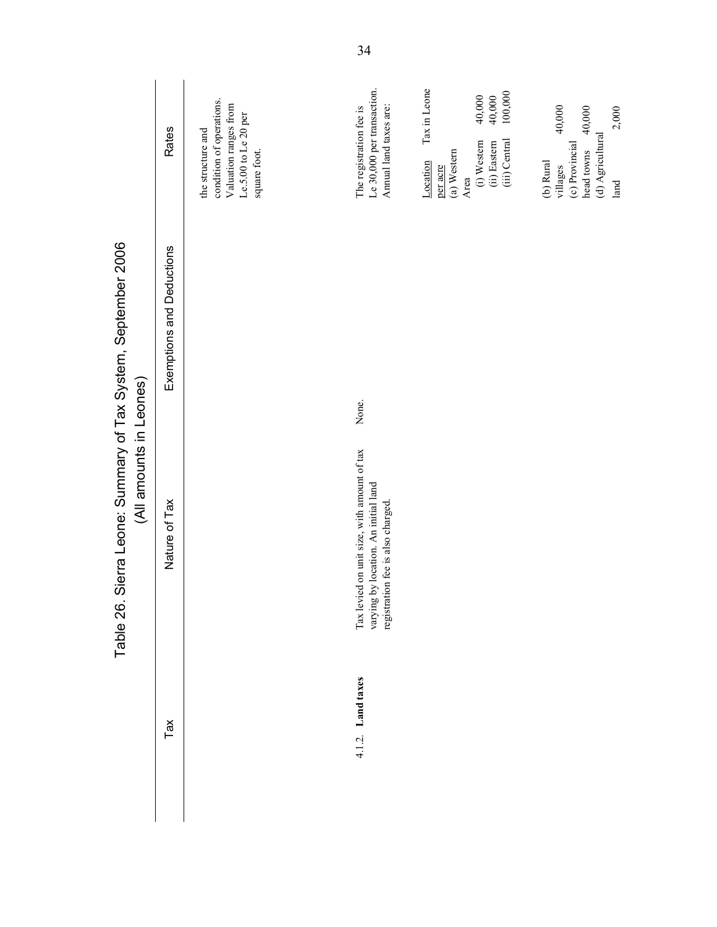|                                                      | <b>Rates</b>              | condition of operations.<br>Valuation ranges from<br>Le.5.00 to Le 20 per<br>the structure and<br>square foot. | Le 30,000 per transaction.<br>Annual land taxes are:<br>The registration fee is                                         | Tax in Leone<br>100,000<br>40,000<br>40,000<br>(i) Western<br>(iii) Central<br>(ii) Eastern<br>(a) Western<br>Location<br>per acre<br>Area | 40,000<br>40,000<br>2,000<br>(d) Agricultural<br>(c) Provincial<br>head towns<br>(b) Rural<br>villages<br>land |
|------------------------------------------------------|---------------------------|----------------------------------------------------------------------------------------------------------------|-------------------------------------------------------------------------------------------------------------------------|--------------------------------------------------------------------------------------------------------------------------------------------|----------------------------------------------------------------------------------------------------------------|
| Sierra Leone: Summary of Tax System, September 2006. | Exemptions and Deductions |                                                                                                                | None.                                                                                                                   |                                                                                                                                            |                                                                                                                |
| (All amounts in Leones)<br>Table 26                  | Nature of Tax             |                                                                                                                | Tax levied on unit size, with amount of tax<br>varying by location. An initial land<br>registration fee is also charged |                                                                                                                                            |                                                                                                                |
|                                                      | Tax                       |                                                                                                                | 4.1.2. Land taxes                                                                                                       |                                                                                                                                            |                                                                                                                |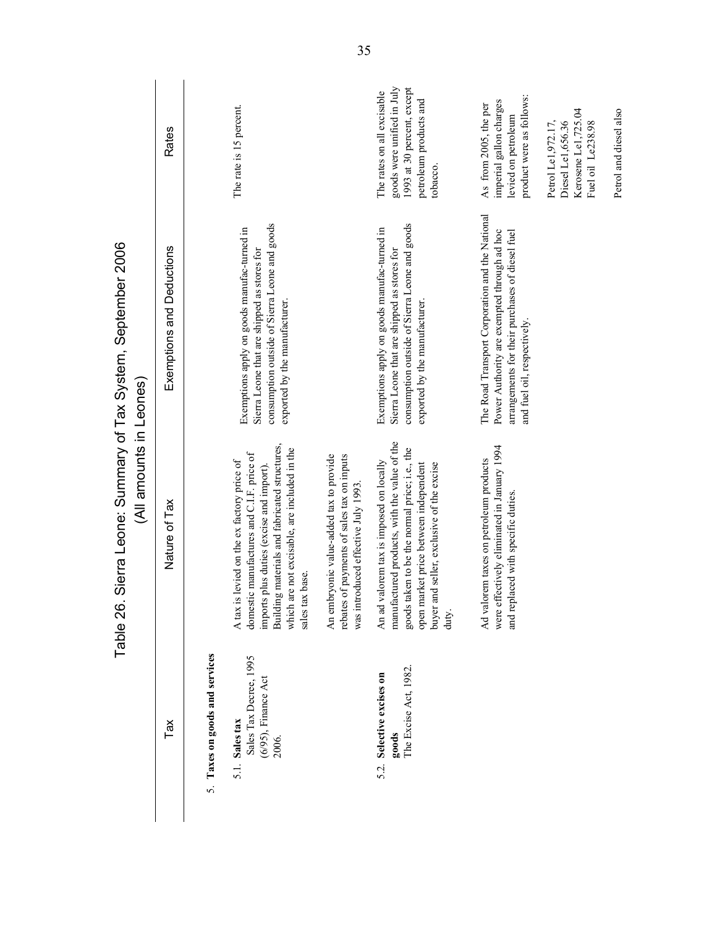|                                                                             | (All amounts in Leones)<br>Table 26                                                                                                                                                                                                                    | Sierra Leone: Sumary of Tax System, September 2006                                                                                                                              |                                                                                                                              |
|-----------------------------------------------------------------------------|--------------------------------------------------------------------------------------------------------------------------------------------------------------------------------------------------------------------------------------------------------|---------------------------------------------------------------------------------------------------------------------------------------------------------------------------------|------------------------------------------------------------------------------------------------------------------------------|
| Tax                                                                         | Nature of Tax                                                                                                                                                                                                                                          | Exemptions and Deductions                                                                                                                                                       | <b>Rates</b>                                                                                                                 |
| 5. Taxes on goods and services                                              |                                                                                                                                                                                                                                                        |                                                                                                                                                                                 |                                                                                                                              |
| Sales Tax Decree, 1995<br>$(6/95)$ , Finance Act<br>5.1. Sales tax<br>2006. | Building materials and fabricated structures,<br>which are not excisable, are included in the<br>domestic manufactures and C.I.F. price of<br>A tax is levied on the ex factory price of<br>imports plus duties (excise and import)<br>sales tax base. | consumption outside of Sierra Leone and goods<br>Exemptions apply on goods manufac-turned in<br>Sierra Leone that are shipped as stores for<br>exported by the manufacturer.    | The rate is 15 percent.                                                                                                      |
|                                                                             | An embryonic value-added tax to provide<br>rebates of payments of sales tax on inputs<br>was introduced effective July 1993.                                                                                                                           |                                                                                                                                                                                 |                                                                                                                              |
| The Excise Act, 1982.<br>Selective excises on<br>goods<br>52.               | manufactured products, with the value of the<br>goods taken to be the normal price; i.e., the<br>An ad valorem tax is imposed on locally<br>buyer and seller, exclusive of the excise<br>open market price between independent<br>duty.                | consumption outside of Sierra Leone and goods<br>Exemptions apply on goods manufac-turned in<br>Sierra Leone that are shipped as stores for<br>exported by the manufacturer.    | goods were unified in July<br>1993 at 30 percent, except<br>The rates on all excisable<br>petroleum products and<br>tobacco. |
|                                                                             | were effectively eliminated in January 1994<br>Ad valorem taxes on petroleum products<br>and replaced with specific duties                                                                                                                             | The Road Transport Corporation and the National<br>Power Authority are exempted through ad hoc<br>arrangements for their purchases of diesel fuel<br>and fuel oil, respectively | product were as follows:<br>imperial gallon charges<br>As from 2005, the per<br>levied on petroleum                          |
|                                                                             |                                                                                                                                                                                                                                                        |                                                                                                                                                                                 | Kerosene Le1,725.04<br>Petrol Le1,972.17,<br>Diesel Le1,656.36<br>Fuel oil Le238.98                                          |
|                                                                             |                                                                                                                                                                                                                                                        |                                                                                                                                                                                 | Petrol and diesel also                                                                                                       |

**POOG**  $\ddot{o}$ Ó Ō Sis 26 alder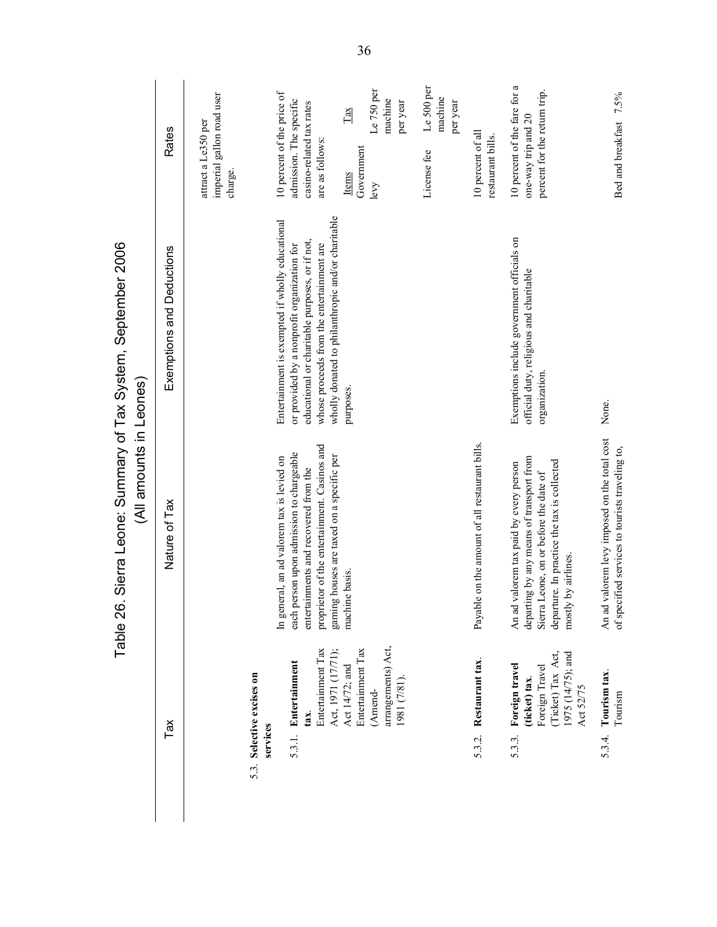|                                                     | <b>Rates</b>              | imperial gallon road user<br>attract a Le350 per<br>charge. | 10 percent of the price of<br>admission. The specific<br>casino-related tax rates<br>are as follows:                                                                                                                                               | $\sqrt{\text{L} \cdot \text{d} \times \text{d}}$<br>Government<br>Items | Le 750 per<br>machine<br>per year<br>levy    | Le 500 per<br>machine<br>per year<br>License fee | 10 percent of all<br>restaurant bills.         | 10 percent of the fare for a<br>percent for the return trip.<br>one-way trip and 20                                                                                                                   | Bed and breakfast 7.5%                                                                          |
|-----------------------------------------------------|---------------------------|-------------------------------------------------------------|----------------------------------------------------------------------------------------------------------------------------------------------------------------------------------------------------------------------------------------------------|-------------------------------------------------------------------------|----------------------------------------------|--------------------------------------------------|------------------------------------------------|-------------------------------------------------------------------------------------------------------------------------------------------------------------------------------------------------------|-------------------------------------------------------------------------------------------------|
| Sierra Leone: Summary of Tax System, September 2006 | Exemptions and Deductions |                                                             | wholly donated to philanthropic and/or charitable<br>Entertainment is exempted if wholly educational<br>educational or charitable purposes, or if not,<br>whose proceeds from the entertainment are<br>or provided by a nonprofit organization for | purposes.                                                               |                                              |                                                  |                                                | Exemptions include government officials on<br>official duty, religious and charitable<br>organization                                                                                                 | None.                                                                                           |
| (All amounts in Leones)<br>Table 26.                | Nature of Tax             |                                                             | proprietor of the entertainment. Casinos and<br>each person upon admission to chargeable<br>gaming houses are taxed on a specific per<br>In general, an ad valorem tax is levied on<br>entertainments and recovered from the                       | machine basis.                                                          |                                              |                                                  | Payable on the amount of all restaurant bills. | departing by any means of transport from<br>departure. In practice the tax is collected<br>An ad valorem tax paid by every person<br>Sierra Leone, on or before the date of<br>by airlines.<br>mostly | An ad valorem levy imposed on the total cost<br>of specified services to tourists traveling to, |
|                                                     | Tax                       | 5.3. Selective excises on<br>services                       | Entertainment Tax<br>Act, 1971 (17/71);<br>5.3.1. Entertainment<br>tax.                                                                                                                                                                            | Entertainment Tax<br>Act 14/72; and                                     | arrangements) Act,<br>(18/1) 1861<br>(Amend- |                                                  | Restaurant tax.<br>5.3.2.                      | 1975 (14/75); and<br>(Ticket) Tax Act,<br>Foreign travel<br>Foreign Travel<br>(ticket) tax.<br>Act 52/75<br>5.3.3.                                                                                    | 5.3.4. Tourism tax.<br>Tourism                                                                  |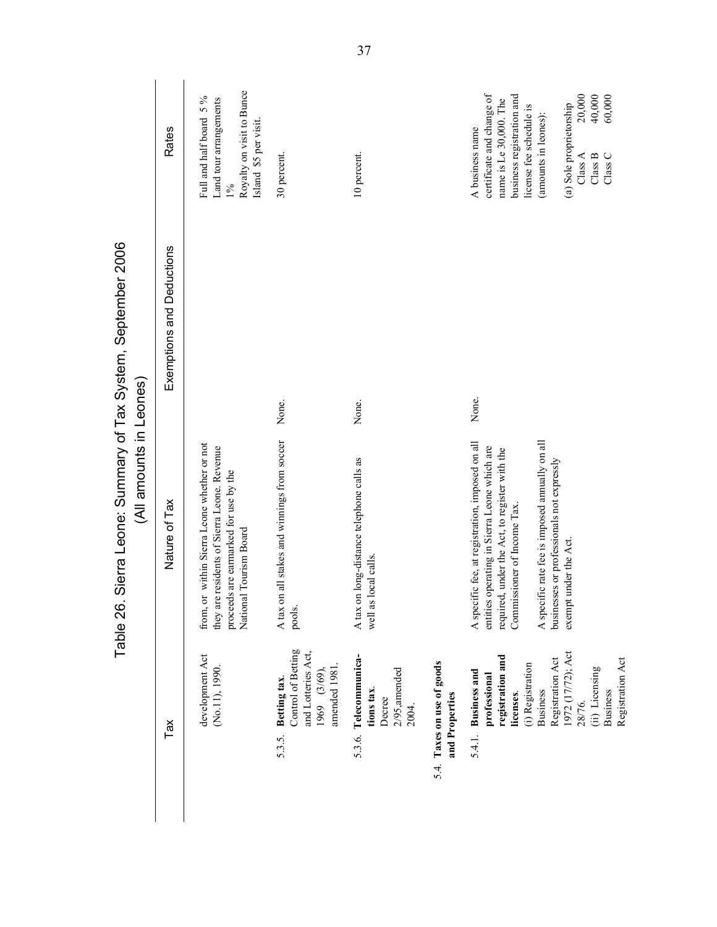|                                                                                             | <b>Rates</b>              | Royalty on visit to Bunce<br>Full and half board 5 %<br>Land tour arrangements<br>Island \$5 per visit<br>1%                                                  | 30 percent.                                                                                       | 10 percent.                                                                |                                              | certificate and change of<br>business registration and<br>20,000<br>40,000<br>60,000<br>name is Le 30,000. The<br>(a) Sole proprietorship<br>license fee schedule is<br>(amounts in leones):<br>A business name<br>$\textsc{Class}\, \textsf{C}$<br>Class B<br>Class $A$                               |
|---------------------------------------------------------------------------------------------|---------------------------|---------------------------------------------------------------------------------------------------------------------------------------------------------------|---------------------------------------------------------------------------------------------------|----------------------------------------------------------------------------|----------------------------------------------|--------------------------------------------------------------------------------------------------------------------------------------------------------------------------------------------------------------------------------------------------------------------------------------------------------|
|                                                                                             | Exemptions and Deductions |                                                                                                                                                               |                                                                                                   |                                                                            |                                              | None.                                                                                                                                                                                                                                                                                                  |
| Sierra Leone: Surmary of Tax System, September 2006.<br>(All amounts in Leones)<br>Table 26 | Nature of Tax             | from, or within Sierra Leone whether or not<br>they are residents of Sierra Leone. Revenue<br>proceeds are earmarked for use by the<br>National Tourism Board | None.<br>on all stakes and winnings from soccer<br>A tax<br>pools.                                | None.<br>A tax on long-distance telephone calls as<br>well as local calls. |                                              | A specific rate fee is imposed annually on all<br>A specific fee, at registration, imposed on all<br>entities operating in Sierra Leone which are<br>required, under the Act, to register with the<br>businesses or professionals not expressly<br>Commissioner of Income Tax.<br>exempt under the Act |
|                                                                                             | Tax                       | development Act<br>(No.11), 1990.                                                                                                                             | Control of Betting<br>and Lotteries Act,<br>amended 1981<br>1969 (3/69)<br>Betting tax.<br>5.3.5. | 5.3.6. Telecommunica-<br>$2/95$ , amended<br>tions tax.<br>Decree<br>2004. | 5.4. Taxes on use of goods<br>and Properties | 1972 (17/72); Act<br>registration and<br>Registration Act<br>Registration Act<br>(i) Registration<br>(ii) Licensing<br>5.4.1. Business and<br>professional<br><b>Business</b><br><b>Business</b><br>licenses.<br>28/76.                                                                                |
|                                                                                             |                           |                                                                                                                                                               |                                                                                                   |                                                                            |                                              |                                                                                                                                                                                                                                                                                                        |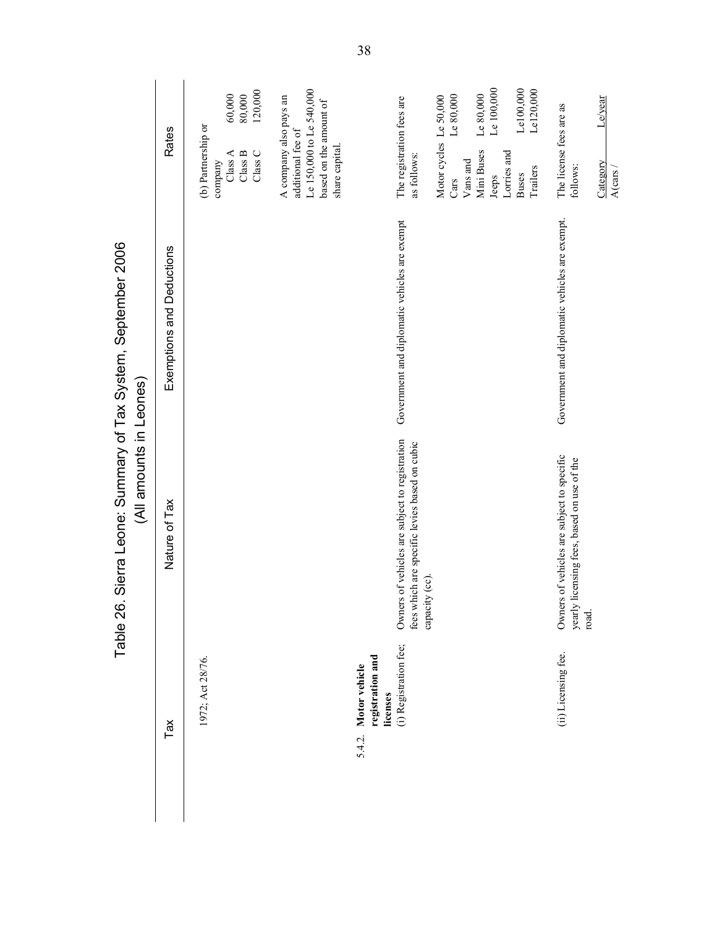| <b>Rates</b>  | $80,000$<br>120,000<br>60,000<br>(b) Partnership or<br>Class A<br>$\textsc{Class}\, \textsf{C}$<br>Class B<br>company | Le 150,000 to Le 540,000<br>A company also pays an<br>based on the amount of<br>additional fee of<br>share capital. |                                                        | The registration fees are<br>as follows: | Le $80,000$<br>Le 80,000<br>Motor cycles Le 50,000<br>Mini Buses<br>Lorries and<br>Vans and<br>Trailers<br><b>Buses</b><br>Jeeps<br>Cars         | Le/year<br>The license fees are as<br>Category<br>follows:<br>Government and diplomatic vehicles are exempt. |
|---------------|-----------------------------------------------------------------------------------------------------------------------|---------------------------------------------------------------------------------------------------------------------|--------------------------------------------------------|------------------------------------------|--------------------------------------------------------------------------------------------------------------------------------------------------|--------------------------------------------------------------------------------------------------------------|
|               |                                                                                                                       |                                                                                                                     |                                                        |                                          |                                                                                                                                                  |                                                                                                              |
| Nature of Tax |                                                                                                                       |                                                                                                                     |                                                        |                                          |                                                                                                                                                  | Owners of vehicles are subject to specific<br>licensing fees, based on use of the<br>yearly<br>road.         |
| Tax           | 1972; Act 28/76.                                                                                                      |                                                                                                                     | registration and<br>Motor vehicle<br>licenses<br>5.4.2 | (i) Registration fee;                    |                                                                                                                                                  | (ii) Licensing fee.                                                                                          |
|               | Exemptions and Deductions                                                                                             |                                                                                                                     |                                                        |                                          | Government and diplomatic vehicles are exempt<br>Owners of vehicles are subject to registration<br>fees which are specific levies based on cubic | Le100,000<br>Le 100,000<br>Le120,000<br>capacity (cc)                                                        |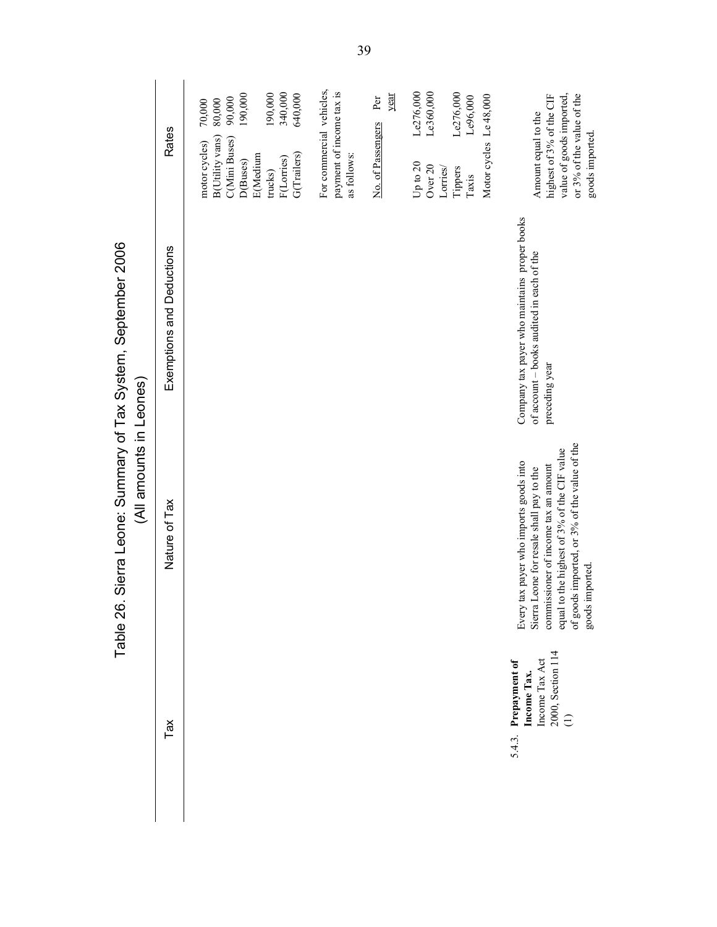|                                                     | Rates                     | 340,000<br>190,000<br>190,000<br>90,000<br>80,000<br>70,000<br><b>B</b> (Utility vans)<br>C(Mini Buses)<br>motor cycles)<br><b>E</b> (Medium<br>F(Lorries)<br>D(Buses)<br>trucks) | For commercial vehicles,<br>payment of income tax is<br>640,000<br>G(Trailers)<br>as follows: | Le276,000<br>Le360,000<br>Le276,000<br>year<br>Motor cycles Le 48,000<br>Le96,000<br>Per<br>No. of Passengers<br>Up to $20$<br>Over 20<br>Lorries/<br>Tippers<br>Taxis | or 3% of the value of the<br>highest of 3% of the CIF<br>value of goods imported,<br>Amount equal to the<br>goods imported.                                                                                                                  |
|-----------------------------------------------------|---------------------------|-----------------------------------------------------------------------------------------------------------------------------------------------------------------------------------|-----------------------------------------------------------------------------------------------|------------------------------------------------------------------------------------------------------------------------------------------------------------------------|----------------------------------------------------------------------------------------------------------------------------------------------------------------------------------------------------------------------------------------------|
| Sierra Leone: Summary of Tax System, September 2006 | Exemptions and Deductions |                                                                                                                                                                                   |                                                                                               |                                                                                                                                                                        | Company tax payer who maintains proper books<br>of account - books audited in each of the<br>preceding year                                                                                                                                  |
| (All amounts in Leones)<br>Table 26.                | Nature of Tax             |                                                                                                                                                                                   |                                                                                               |                                                                                                                                                                        | of goods imported, or 3% of the value of the<br>equal to the highest of 3% of the CIF value<br>Every tax payer who imports goods into<br>commissioner of income tax an amount<br>Sierra Leone for resale shall pay to the<br>goods imported. |
|                                                     | Tax                       |                                                                                                                                                                                   |                                                                                               |                                                                                                                                                                        | 2000, Section 114<br>Income Tax Act<br>Prepayment of<br>Income Tax.<br>$\ominus$<br>5.4.3.                                                                                                                                                   |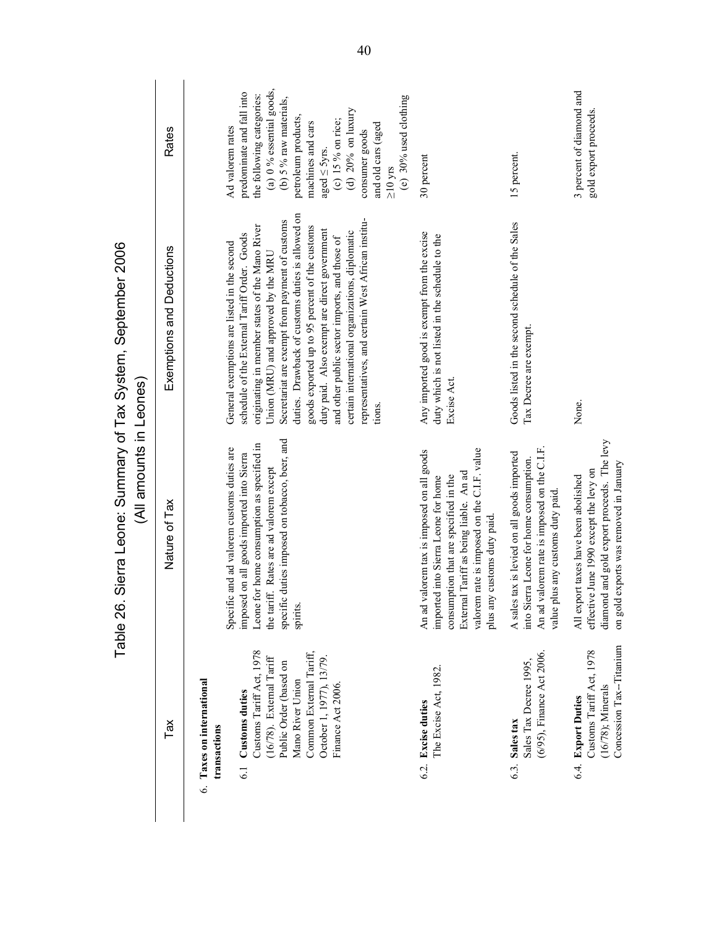|                                                                           |                                                                                                                                  | (All amounts in Leones)<br>Table 26                                                                                                                                                                                                               | Sierra Leone: Sumary of Tax System, September 2006                                                                                                                                                                                                                                                                                           |                                                                                                                                                                               |
|---------------------------------------------------------------------------|----------------------------------------------------------------------------------------------------------------------------------|---------------------------------------------------------------------------------------------------------------------------------------------------------------------------------------------------------------------------------------------------|----------------------------------------------------------------------------------------------------------------------------------------------------------------------------------------------------------------------------------------------------------------------------------------------------------------------------------------------|-------------------------------------------------------------------------------------------------------------------------------------------------------------------------------|
| Tax                                                                       |                                                                                                                                  | Nature of Tax                                                                                                                                                                                                                                     | Exemptions and Deductions                                                                                                                                                                                                                                                                                                                    | <b>Rates</b>                                                                                                                                                                  |
| 6. Taxes on international<br><b>Customs duties</b><br>transactions<br>6.1 | Customs Tariff Act, 1978<br>Common External Tariff,<br>$(16/78)$ . External Tariff<br>Public Order (based on<br>Mano River Union | specific duties imposed on tobacco, beer, and<br>Leone for home consumption as specified in<br>Specific and ad valorem customs duties are<br>imposed on all goods imported into Sierra<br>the tariff. Rates are ad valorem except<br>spirits.     | duties. Drawback of customs duties is allowed on<br>Secretariat are exempt from payment of customs<br>originating in member states of the Mano River<br>goods exported up to 95 percent of the customs<br>schedule of the External Tariff Order. Goods<br>General exemptions are listed in the second<br>Union (MRU) and approved by the MRU | (a) 0 % essential goods,<br>predominate and fall into<br>the following categories:<br>(b) $5%$ raw materials,<br>petroleum products,<br>machines and cars<br>Ad valorem rates |
| Finance Act 2006.                                                         | October 1, 1977), 13/79.                                                                                                         |                                                                                                                                                                                                                                                   | representatives, and certain West African institu-<br>duty paid. Also exempt are direct government<br>certain international organizations, diplomatic<br>and other public sector imports, and those of                                                                                                                                       | (e) 30% used clothing<br>(d) $20%$ on luxury<br>(c) 15 % on rice;<br>and old cars (aged<br>consumer goods<br>aged $\leq$ 5yrs.<br>$\geq$ 10 yrs                               |
| 6.2. Excise duties                                                        | The Excise Act, 1982.                                                                                                            | valorem rate is imposed on the C.I.F. value<br>An ad valorem tax is imposed on all goods<br>External Tariff as being liable. An ad<br>consumption that are specified in the<br>imported into Sierra Leone for home<br>plus any customs duty paid. | Any imported good is exempt from the excise<br>duty which is not listed in the schedule to the<br>Excise Act.                                                                                                                                                                                                                                | 30 percent                                                                                                                                                                    |
| 6.3. Sales tax                                                            | (6/95), Finance Act 2006.<br>Sales Tax Decree 1995,                                                                              | An ad valorem rate is imposed on the C.I.F.<br>A sales tax is levied on all goods imported<br>into Sierra Leone for home consumption.<br>value plus any customs duty paid                                                                         | Goods listed in the second schedule of the Sales<br>Tax Decree are exempt.                                                                                                                                                                                                                                                                   | 15 percent.                                                                                                                                                                   |
| $(16/78)$ ; Minerals<br>6.4. Export Duties                                | Concession Tax--Titanium<br>Customs Tariff Act, 1978                                                                             | diamond and gold export proceeds. The levy<br>on gold exports was removed in January<br>effective June 1990 except the levy on<br>All export taxes have been abolished                                                                            | None.                                                                                                                                                                                                                                                                                                                                        | 3 percent of diamond and<br>gold export proceeds.                                                                                                                             |

Table 26. Sierra Leone: Summary of Tax System. September 2006